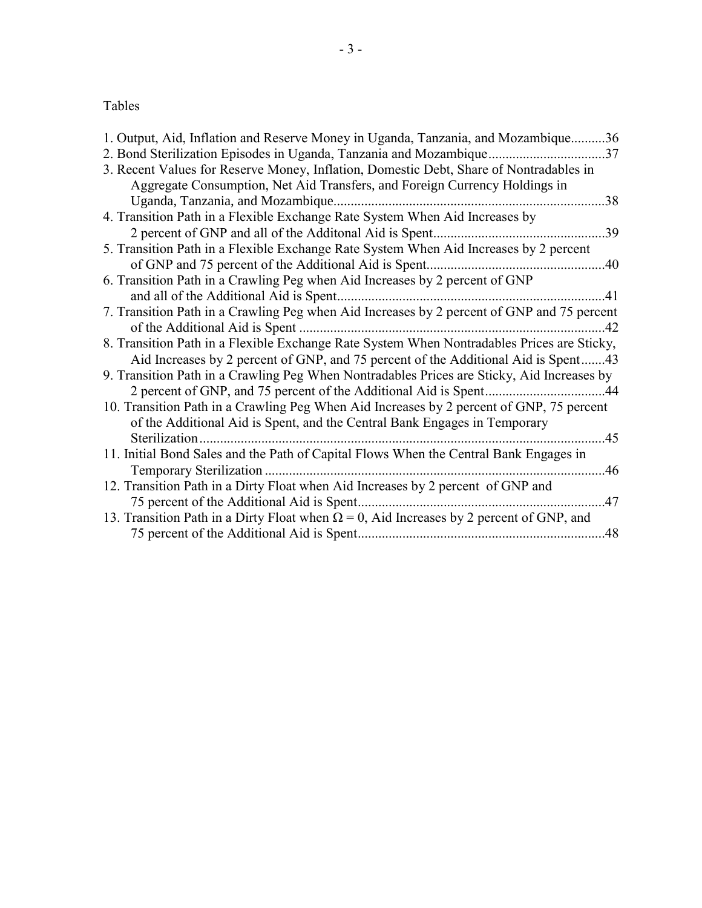# Tables

| 1. Output, Aid, Inflation and Reserve Money in Uganda, Tanzania, and Mozambique36               |     |
|-------------------------------------------------------------------------------------------------|-----|
| 2. Bond Sterilization Episodes in Uganda, Tanzania and Mozambique37                             |     |
| 3. Recent Values for Reserve Money, Inflation, Domestic Debt, Share of Nontradables in          |     |
| Aggregate Consumption, Net Aid Transfers, and Foreign Currency Holdings in                      |     |
| Uganda, Tanzania, and Mozambique.                                                               | .38 |
| 4. Transition Path in a Flexible Exchange Rate System When Aid Increases by                     |     |
| 2 percent of GNP and all of the Additonal Aid is Spent                                          | 39  |
| 5. Transition Path in a Flexible Exchange Rate System When Aid Increases by 2 percent           |     |
|                                                                                                 | .40 |
| 6. Transition Path in a Crawling Peg when Aid Increases by 2 percent of GNP                     |     |
|                                                                                                 | .41 |
| 7. Transition Path in a Crawling Peg when Aid Increases by 2 percent of GNP and 75 percent      |     |
| of the Additional Aid is Spent.                                                                 | .42 |
| 8. Transition Path in a Flexible Exchange Rate System When Nontradables Prices are Sticky,      |     |
| Aid Increases by 2 percent of GNP, and 75 percent of the Additional Aid is Spent43              |     |
| 9. Transition Path in a Crawling Peg When Nontradables Prices are Sticky, Aid Increases by      |     |
| 2 percent of GNP, and 75 percent of the Additional Aid is Spent                                 | .44 |
| 10. Transition Path in a Crawling Peg When Aid Increases by 2 percent of GNP, 75 percent        |     |
| of the Additional Aid is Spent, and the Central Bank Engages in Temporary                       |     |
|                                                                                                 | 45  |
| 11. Initial Bond Sales and the Path of Capital Flows When the Central Bank Engages in           |     |
|                                                                                                 | .46 |
| 12. Transition Path in a Dirty Float when Aid Increases by 2 percent of GNP and                 |     |
| 75 percent of the Additional Aid is Spent.                                                      | 47  |
| 13. Transition Path in a Dirty Float when $\Omega = 0$ , Aid Increases by 2 percent of GNP, and |     |
|                                                                                                 | 48  |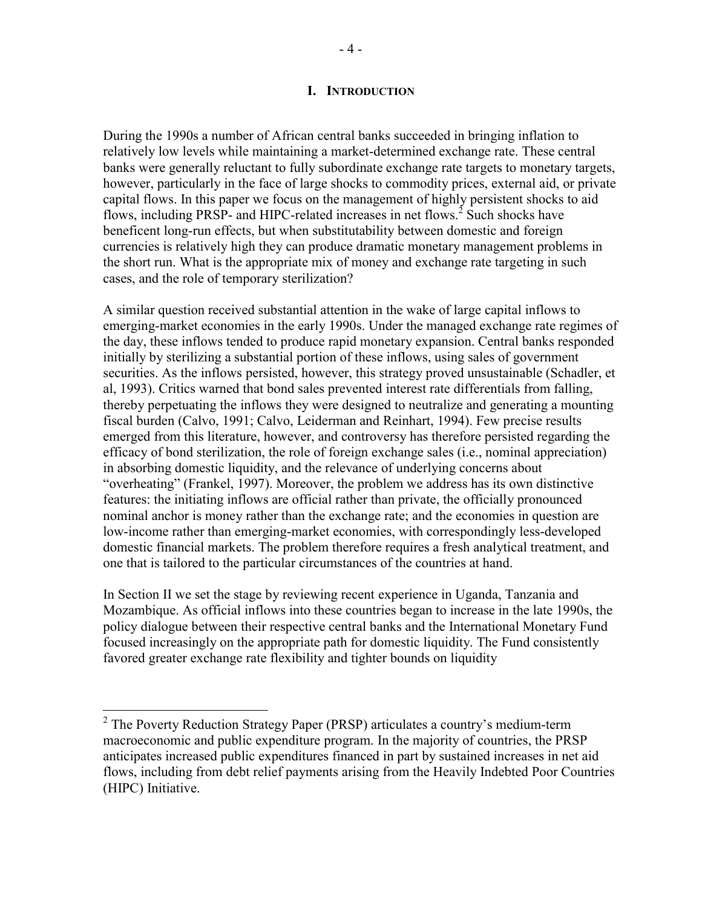During the 1990s a number of African central banks succeeded in bringing inflation to relatively low levels while maintaining a market-determined exchange rate. These central banks were generally reluctant to fully subordinate exchange rate targets to monetary targets, however, particularly in the face of large shocks to commodity prices, external aid, or private capital flows. In this paper we focus on the management of highly persistent shocks to aid flows, including PRSP- and HIPC-related increases in net flows.<sup>2</sup> Such shocks have beneficent long-run effects, but when substitutability between domestic and foreign currencies is relatively high they can produce dramatic monetary management problems in the short run. What is the appropriate mix of money and exchange rate targeting in such cases, and the role of temporary sterilization?

A similar question received substantial attention in the wake of large capital inflows to emerging-market economies in the early 1990s. Under the managed exchange rate regimes of the day, these inflows tended to produce rapid monetary expansion. Central banks responded initially by sterilizing a substantial portion of these inflows, using sales of government securities. As the inflows persisted, however, this strategy proved unsustainable (Schadler, et al, 1993). Critics warned that bond sales prevented interest rate differentials from falling, thereby perpetuating the inflows they were designed to neutralize and generating a mounting fiscal burden (Calvo, 1991; Calvo, Leiderman and Reinhart, 1994). Few precise results emerged from this literature, however, and controversy has therefore persisted regarding the efficacy of bond sterilization, the role of foreign exchange sales (i.e., nominal appreciation) in absorbing domestic liquidity, and the relevance of underlying concerns about "overheating" (Frankel, 1997). Moreover, the problem we address has its own distinctive features: the initiating inflows are official rather than private, the officially pronounced nominal anchor is money rather than the exchange rate; and the economies in question are low-income rather than emerging-market economies, with correspondingly less-developed domestic financial markets. The problem therefore requires a fresh analytical treatment, and one that is tailored to the particular circumstances of the countries at hand.

In Section II we set the stage by reviewing recent experience in Uganda, Tanzania and Mozambique. As official inflows into these countries began to increase in the late 1990s, the policy dialogue between their respective central banks and the International Monetary Fund focused increasingly on the appropriate path for domestic liquidity. The Fund consistently favored greater exchange rate flexibility and tighter bounds on liquidity

 $2$  The Poverty Reduction Strategy Paper (PRSP) articulates a country's medium-term macroeconomic and public expenditure program. In the majority of countries, the PRSP anticipates increased public expenditures financed in part by sustained increases in net aid flows, including from debt relief payments arising from the Heavily Indebted Poor Countries (HIPC) Initiative.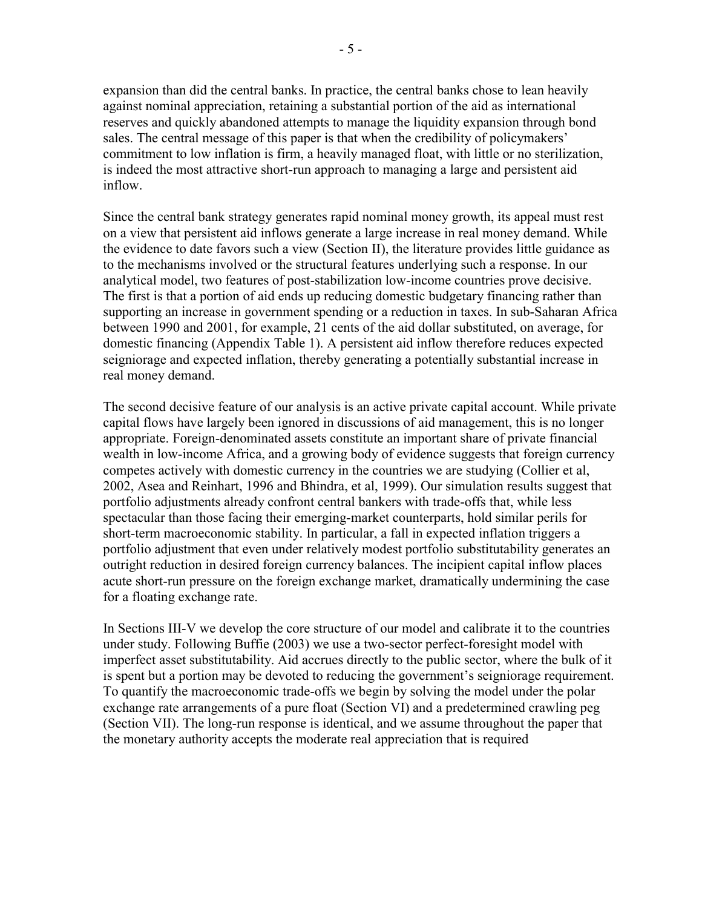expansion than did the central banks. In practice, the central banks chose to lean heavily against nominal appreciation, retaining a substantial portion of the aid as international reserves and quickly abandoned attempts to manage the liquidity expansion through bond sales. The central message of this paper is that when the credibility of policymakers' commitment to low inflation is firm, a heavily managed float, with little or no sterilization, is indeed the most attractive short-run approach to managing a large and persistent aid inflow.

Since the central bank strategy generates rapid nominal money growth, its appeal must rest on a view that persistent aid inflows generate a large increase in real money demand. While the evidence to date favors such a view (Section II), the literature provides little guidance as to the mechanisms involved or the structural features underlying such a response. In our analytical model, two features of post-stabilization low-income countries prove decisive. The first is that a portion of aid ends up reducing domestic budgetary financing rather than supporting an increase in government spending or a reduction in taxes. In sub-Saharan Africa between 1990 and 2001, for example, 21 cents of the aid dollar substituted, on average, for domestic financing (Appendix Table 1). A persistent aid inflow therefore reduces expected seigniorage and expected inflation, thereby generating a potentially substantial increase in real money demand.

The second decisive feature of our analysis is an active private capital account. While private capital flows have largely been ignored in discussions of aid management, this is no longer appropriate. Foreign-denominated assets constitute an important share of private financial wealth in low-income Africa, and a growing body of evidence suggests that foreign currency competes actively with domestic currency in the countries we are studying (Collier et al, 2002, Asea and Reinhart, 1996 and Bhindra, et al, 1999). Our simulation results suggest that portfolio adjustments already confront central bankers with trade-offs that, while less spectacular than those facing their emerging-market counterparts, hold similar perils for short-term macroeconomic stability. In particular, a fall in expected inflation triggers a portfolio adjustment that even under relatively modest portfolio substitutability generates an outright reduction in desired foreign currency balances. The incipient capital inflow places acute short-run pressure on the foreign exchange market, dramatically undermining the case for a floating exchange rate.

In Sections III-V we develop the core structure of our model and calibrate it to the countries under study. Following Buffie (2003) we use a two-sector perfect-foresight model with imperfect asset substitutability. Aid accrues directly to the public sector, where the bulk of it is spent but a portion may be devoted to reducing the government's seigniorage requirement. To quantify the macroeconomic trade-offs we begin by solving the model under the polar exchange rate arrangements of a pure float (Section VI) and a predetermined crawling peg (Section VII). The long-run response is identical, and we assume throughout the paper that the monetary authority accepts the moderate real appreciation that is required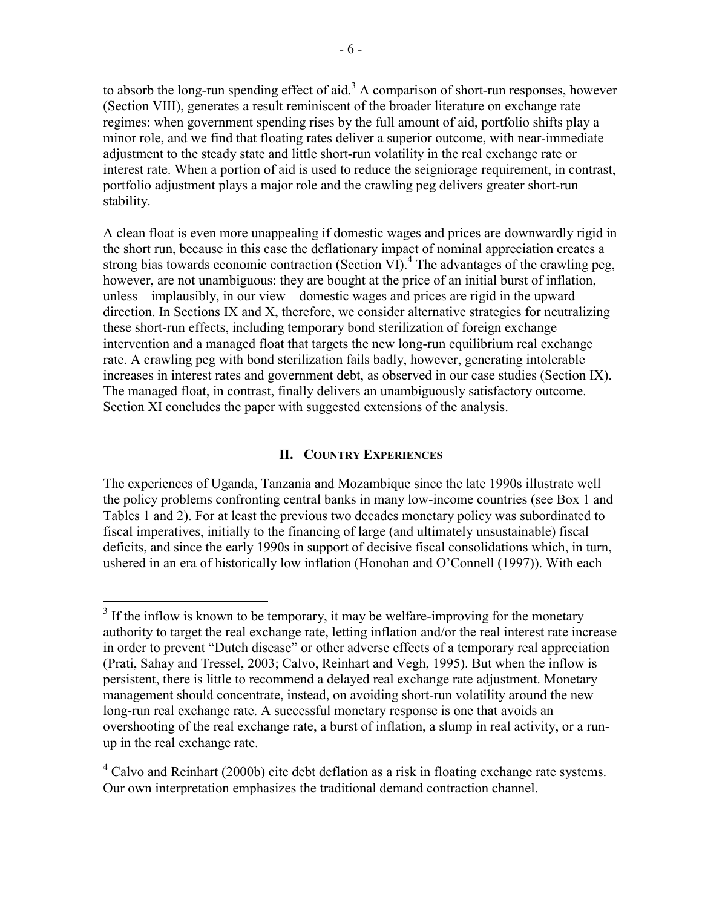to absorb the long-run spending effect of aid.<sup>3</sup> A comparison of short-run responses, however (Section VIII), generates a result reminiscent of the broader literature on exchange rate regimes: when government spending rises by the full amount of aid, portfolio shifts play a minor role, and we find that floating rates deliver a superior outcome, with near-immediate adjustment to the steady state and little short-run volatility in the real exchange rate or interest rate. When a portion of aid is used to reduce the seigniorage requirement, in contrast, portfolio adjustment plays a major role and the crawling peg delivers greater short-run stability.

A clean float is even more unappealing if domestic wages and prices are downwardly rigid in the short run, because in this case the deflationary impact of nominal appreciation creates a strong bias towards economic contraction (Section VI).<sup>4</sup> The advantages of the crawling peg, however, are not unambiguous: they are bought at the price of an initial burst of inflation, unless—implausibly, in our view—domestic wages and prices are rigid in the upward direction. In Sections IX and X, therefore, we consider alternative strategies for neutralizing these short-run effects, including temporary bond sterilization of foreign exchange intervention and a managed float that targets the new long-run equilibrium real exchange rate. A crawling peg with bond sterilization fails badly, however, generating intolerable increases in interest rates and government debt, as observed in our case studies (Section IX). The managed float, in contrast, finally delivers an unambiguously satisfactory outcome. Section XI concludes the paper with suggested extensions of the analysis.

## **II. COUNTRY EXPERIENCES**

The experiences of Uganda, Tanzania and Mozambique since the late 1990s illustrate well the policy problems confronting central banks in many low-income countries (see Box 1 and Tables 1 and 2). For at least the previous two decades monetary policy was subordinated to fiscal imperatives, initially to the financing of large (and ultimately unsustainable) fiscal deficits, and since the early 1990s in support of decisive fiscal consolidations which, in turn, ushered in an era of historically low inflation (Honohan and O'Connell (1997)). With each

1

 $4$  Calvo and Reinhart (2000b) cite debt deflation as a risk in floating exchange rate systems. Our own interpretation emphasizes the traditional demand contraction channel.

 $3$  If the inflow is known to be temporary, it may be welfare-improving for the monetary authority to target the real exchange rate, letting inflation and/or the real interest rate increase in order to prevent "Dutch disease" or other adverse effects of a temporary real appreciation (Prati, Sahay and Tressel, 2003; Calvo, Reinhart and Vegh, 1995). But when the inflow is persistent, there is little to recommend a delayed real exchange rate adjustment. Monetary management should concentrate, instead, on avoiding short-run volatility around the new long-run real exchange rate. A successful monetary response is one that avoids an overshooting of the real exchange rate, a burst of inflation, a slump in real activity, or a runup in the real exchange rate.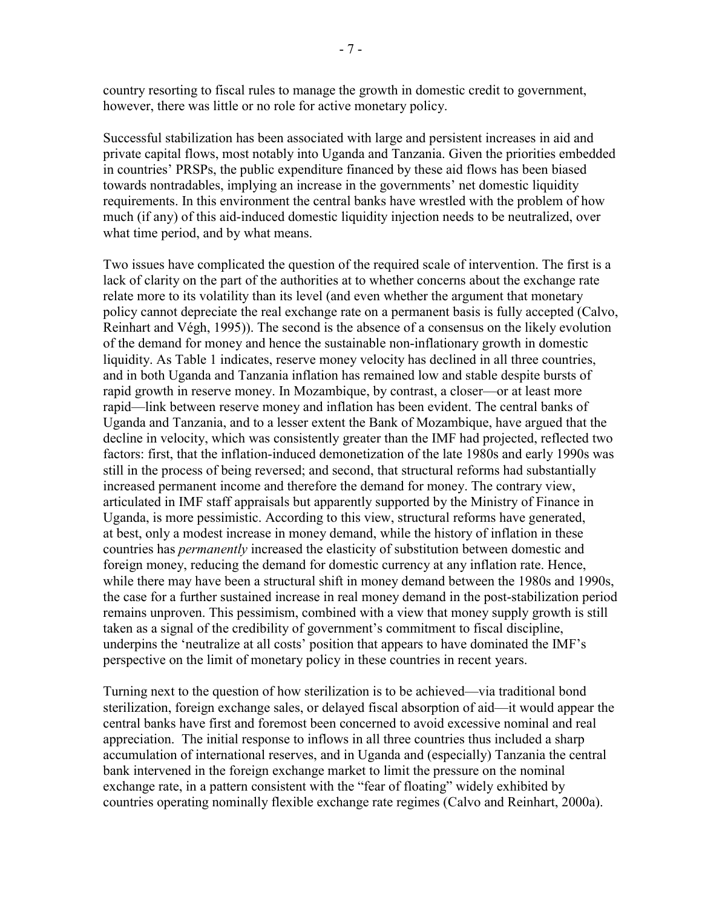country resorting to fiscal rules to manage the growth in domestic credit to government, however, there was little or no role for active monetary policy.

Successful stabilization has been associated with large and persistent increases in aid and private capital flows, most notably into Uganda and Tanzania. Given the priorities embedded in countries' PRSPs, the public expenditure financed by these aid flows has been biased towards nontradables, implying an increase in the governments' net domestic liquidity requirements. In this environment the central banks have wrestled with the problem of how much (if any) of this aid-induced domestic liquidity injection needs to be neutralized, over what time period, and by what means.

Two issues have complicated the question of the required scale of intervention. The first is a lack of clarity on the part of the authorities at to whether concerns about the exchange rate relate more to its volatility than its level (and even whether the argument that monetary policy cannot depreciate the real exchange rate on a permanent basis is fully accepted (Calvo, Reinhart and Végh, 1995)). The second is the absence of a consensus on the likely evolution of the demand for money and hence the sustainable non-inflationary growth in domestic liquidity. As Table 1 indicates, reserve money velocity has declined in all three countries, and in both Uganda and Tanzania inflation has remained low and stable despite bursts of rapid growth in reserve money. In Mozambique, by contrast, a closer—or at least more rapid—link between reserve money and inflation has been evident. The central banks of Uganda and Tanzania, and to a lesser extent the Bank of Mozambique, have argued that the decline in velocity, which was consistently greater than the IMF had projected, reflected two factors: first, that the inflation-induced demonetization of the late 1980s and early 1990s was still in the process of being reversed; and second, that structural reforms had substantially increased permanent income and therefore the demand for money. The contrary view, articulated in IMF staff appraisals but apparently supported by the Ministry of Finance in Uganda, is more pessimistic. According to this view, structural reforms have generated, at best, only a modest increase in money demand, while the history of inflation in these countries has *permanently* increased the elasticity of substitution between domestic and foreign money, reducing the demand for domestic currency at any inflation rate. Hence, while there may have been a structural shift in money demand between the 1980s and 1990s, the case for a further sustained increase in real money demand in the post-stabilization period remains unproven. This pessimism, combined with a view that money supply growth is still taken as a signal of the credibility of government's commitment to fiscal discipline, underpins the 'neutralize at all costs' position that appears to have dominated the IMF's perspective on the limit of monetary policy in these countries in recent years.

Turning next to the question of how sterilization is to be achieved—via traditional bond sterilization, foreign exchange sales, or delayed fiscal absorption of aid—it would appear the central banks have first and foremost been concerned to avoid excessive nominal and real appreciation. The initial response to inflows in all three countries thus included a sharp accumulation of international reserves, and in Uganda and (especially) Tanzania the central bank intervened in the foreign exchange market to limit the pressure on the nominal exchange rate, in a pattern consistent with the "fear of floating" widely exhibited by countries operating nominally flexible exchange rate regimes (Calvo and Reinhart, 2000a).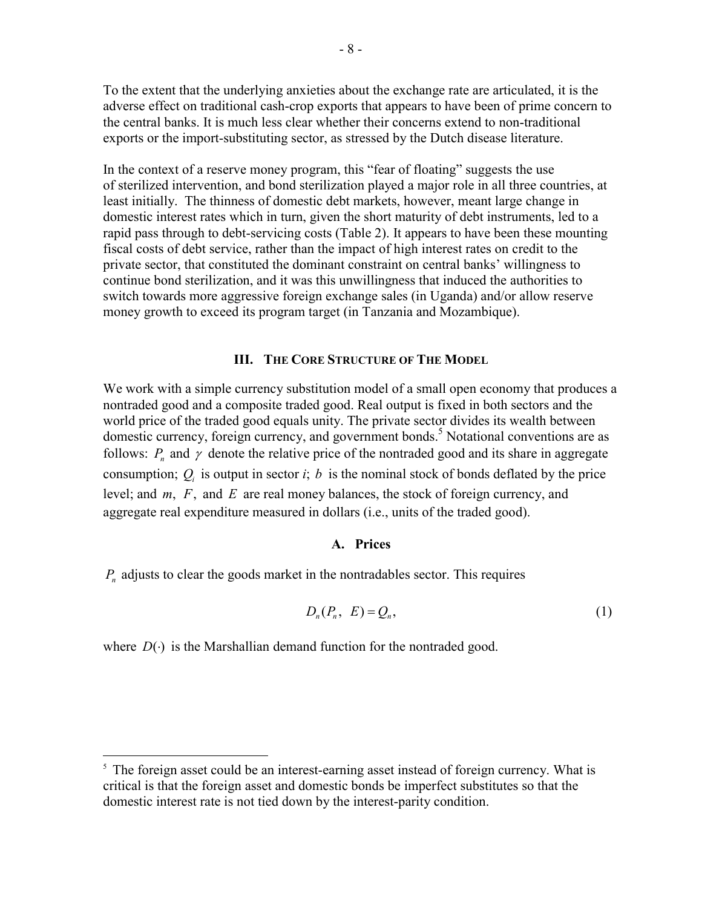To the extent that the underlying anxieties about the exchange rate are articulated, it is the adverse effect on traditional cash-crop exports that appears to have been of prime concern to the central banks. It is much less clear whether their concerns extend to non-traditional exports or the import-substituting sector, as stressed by the Dutch disease literature.

In the context of a reserve money program, this "fear of floating" suggests the use of sterilized intervention, and bond sterilization played a major role in all three countries, at least initially. The thinness of domestic debt markets, however, meant large change in domestic interest rates which in turn, given the short maturity of debt instruments, led to a rapid pass through to debt-servicing costs (Table 2). It appears to have been these mounting fiscal costs of debt service, rather than the impact of high interest rates on credit to the private sector, that constituted the dominant constraint on central banks' willingness to continue bond sterilization, and it was this unwillingness that induced the authorities to switch towards more aggressive foreign exchange sales (in Uganda) and/or allow reserve money growth to exceed its program target (in Tanzania and Mozambique).

## **III. THE CORE STRUCTURE OF THE MODEL**

We work with a simple currency substitution model of a small open economy that produces a nontraded good and a composite traded good. Real output is fixed in both sectors and the world price of the traded good equals unity. The private sector divides its wealth between domestic currency, foreign currency, and government bonds.<sup>5</sup> Notational conventions are as follows:  $P_n$  and  $\gamma$  denote the relative price of the nontraded good and its share in aggregate consumption;  $Q_i$  is output in sector *i*; *b* is the nominal stock of bonds deflated by the price level; and *m*, *F*, and *E* are real money balances, the stock of foreign currency, and aggregate real expenditure measured in dollars (i.e., units of the traded good).

#### **A. Prices**

 $P_n$  adjusts to clear the goods market in the nontradables sector. This requires

$$
D_n(P_n, E) = Q_n,\tag{1}
$$

where  $D(\cdot)$  is the Marshallian demand function for the nontraded good.

<u>.</u>

<sup>&</sup>lt;sup>5</sup> The foreign asset could be an interest-earning asset instead of foreign currency. What is critical is that the foreign asset and domestic bonds be imperfect substitutes so that the domestic interest rate is not tied down by the interest-parity condition.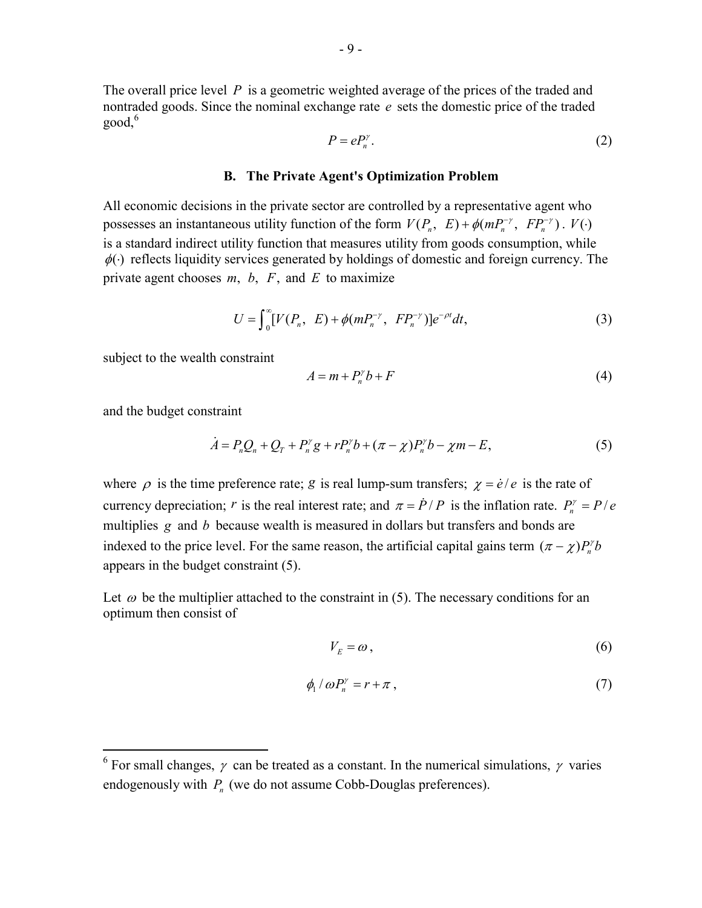The overall price level *P* is a geometric weighted average of the prices of the traded and nontraded goods. Since the nominal exchange rate *e* sets the domestic price of the traded  $good<sub>0</sub>$ <sup>6</sup>

$$
P = eP_n^{\gamma}.
$$
 (2)

#### **B. The Private Agent's Optimization Problem**

All economic decisions in the private sector are controlled by a representative agent who possesses an instantaneous utility function of the form  $V(P_n, E) + \phi(mP_n^{-\gamma}, FP_n^{-\gamma})$ .  $V(\cdot)$ is a standard indirect utility function that measures utility from goods consumption, while  $\phi(\cdot)$  reflects liquidity services generated by holdings of domestic and foreign currency. The private agent chooses  $m, b, F$ , and  $E$  to maximize

$$
U = \int_0^\infty [V(P_n, E) + \phi(mP_n^{-\gamma}, FP_n^{-\gamma})]e^{-\rho t}dt,
$$
\n(3)

subject to the wealth constraint

$$
A = m + P_n^{\gamma} b + F \tag{4}
$$

and the budget constraint

 $\overline{a}$ 

$$
\dot{A} = P_n Q_n + Q_T + P_n^{\gamma} g + r P_n^{\gamma} b + (\pi - \chi) P_n^{\gamma} b - \chi m - E, \tag{5}
$$

where  $\rho$  is the time preference rate; *g* is real lump-sum transfers;  $\chi = \dot{e}/e$  is the rate of currency depreciation; *r* is the real interest rate; and  $\pi = \dot{P}/P$  is the inflation rate.  $P_n^{\gamma} = P/e$ multiplies *g* and *b* because wealth is measured in dollars but transfers and bonds are indexed to the price level. For the same reason, the artificial capital gains term  $(\pi - \chi)P_n^{\gamma}b$ appears in the budget constraint (5).

Let  $\omega$  be the multiplier attached to the constraint in (5). The necessary conditions for an optimum then consist of

$$
V_E = \omega \,,\tag{6}
$$

$$
\phi_1 / \omega P_n^{\gamma} = r + \pi \,, \tag{7}
$$

<sup>&</sup>lt;sup>6</sup> For small changes,  $\gamma$  can be treated as a constant. In the numerical simulations,  $\gamma$  varies endogenously with  $P_n$  (we do not assume Cobb-Douglas preferences).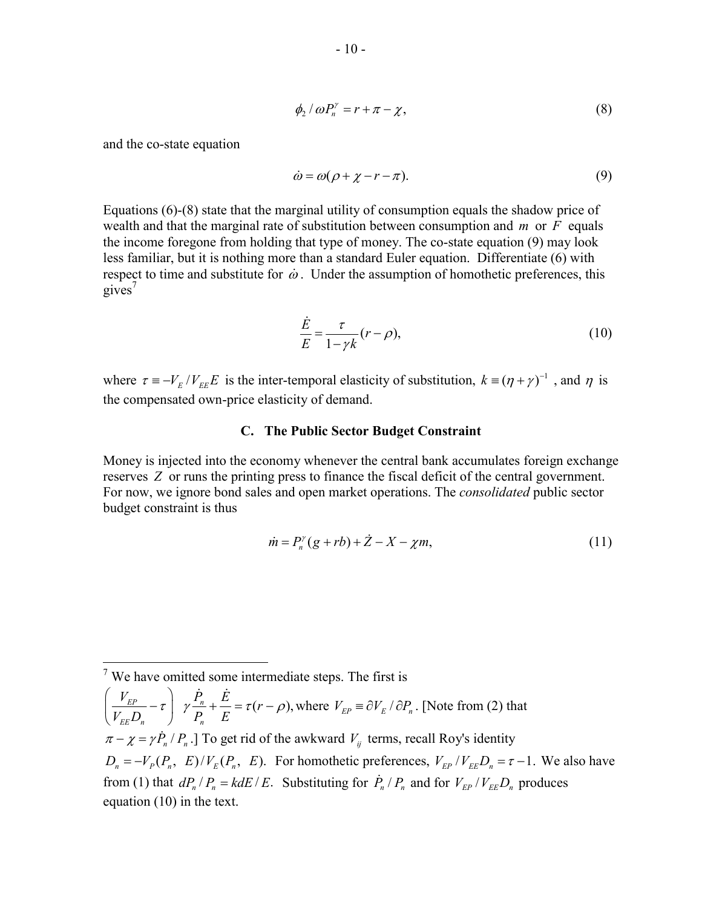$$
\phi_2 / \omega P_n^{\gamma} = r + \pi - \chi, \tag{8}
$$

and the co-state equation

$$
\dot{\omega} = \omega(\rho + \chi - r - \pi). \tag{9}
$$

Equations (6)-(8) state that the marginal utility of consumption equals the shadow price of wealth and that the marginal rate of substitution between consumption and *m* or *F* equals the income foregone from holding that type of money. The co-state equation (9) may look less familiar, but it is nothing more than a standard Euler equation. Differentiate (6) with respect to time and substitute for  $\dot{\omega}$ . Under the assumption of homothetic preferences, this gives $'$ 

$$
\frac{\dot{E}}{E} = \frac{\tau}{1 - \gamma k} (r - \rho),\tag{10}
$$

where  $\tau = -V_E / V_{EE}E$  is the inter-temporal elasticity of substitution,  $k = (\eta + \gamma)^{-1}$ , and  $\eta$  is the compensated own-price elasticity of demand.

### **C. The Public Sector Budget Constraint**

Money is injected into the economy whenever the central bank accumulates foreign exchange reserves *Z* or runs the printing press to finance the fiscal deficit of the central government. For now, we ignore bond sales and open market operations. The *consolidated* public sector budget constraint is thus

$$
\dot{m} = P_n^{\gamma}(g + rb) + \dot{Z} - X - \chi m,\tag{11}
$$

 $\left| \frac{EP}{E} - \tau \right|$   $\gamma \frac{I_n}{R} + \frac{E}{R} = \tau (r - \rho),$  $E E \rightarrow n$   $\rightarrow$   $n$  $\left[\frac{V_{EP}}{V_{EP}}-\tau\right]\gamma\frac{\dot{P}_n}{P}+\frac{\dot{E}}{F}=\tau(r)$  $\left(\frac{V_{EP}}{V_{EE}D_n} - \tau\right)$   $\gamma \frac{\dot{P}_n}{P_n} + \frac{\dot{E}}{E} = \tau(r - \rho)$  $(V_{EE}D_n)$  $\frac{\dot{p}}{R} + \frac{\dot{E}}{E} = \tau (r - \rho)$ , where  $V_{EP} \equiv \partial V_E / \partial P_n$ . [Note from (2) that  $\pi - \chi = \gamma P_n / P_n$ .] To get rid of the awkward  $V_{ij}$  terms, recall Roy's identity  $D_n = -V_P(P_n, E)/V_E(P_n, E)$ . For homothetic preferences,  $V_{EP}/V_{EE}D_n = \tau - 1$ . We also have from (1) that  $dP_n/P_n = k dE / E$ . Substituting for  $\dot{P}_n/P_n$  and for  $V_{EP}/V_{EE}D_n$  produces equation (10) in the text.

 $\frac{1}{7}$  We have omitted some intermediate steps. The first is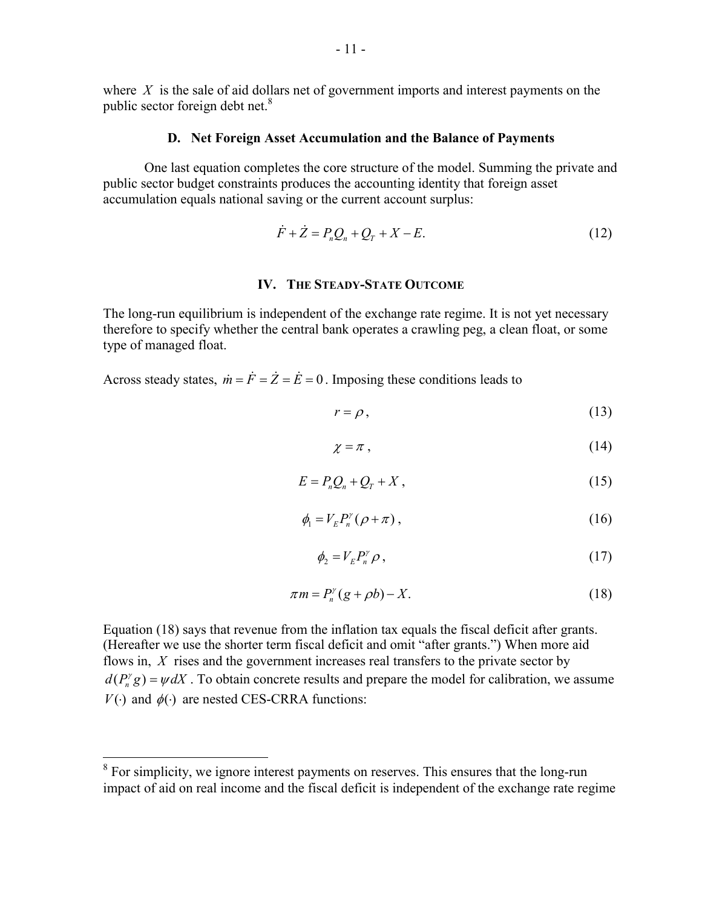where *X* is the sale of aid dollars net of government imports and interest payments on the public sector foreign debt net.<sup>8</sup>

#### **D. Net Foreign Asset Accumulation and the Balance of Payments**

 One last equation completes the core structure of the model. Summing the private and public sector budget constraints produces the accounting identity that foreign asset accumulation equals national saving or the current account surplus:

$$
\dot{F} + \dot{Z} = P_n Q_n + Q_T + X - E.
$$
 (12)

## **IV. THE STEADY-STATE OUTCOME**

The long-run equilibrium is independent of the exchange rate regime. It is not yet necessary therefore to specify whether the central bank operates a crawling peg, a clean float, or some type of managed float.

Across steady states,  $\dot{m} = \dot{F} = \dot{Z} = \dot{E} = 0$ . Imposing these conditions leads to

$$
r = \rho, \tag{13}
$$

$$
\chi = \pi \,,\tag{14}
$$

$$
E = P_n Q_n + Q_T + X \,,\tag{15}
$$

$$
\phi_1 = V_E P_n^{\gamma} (\rho + \pi), \qquad (16)
$$

$$
\phi_2 = V_E P_n^{\gamma} \rho \,, \tag{17}
$$

$$
\pi m = P_n^{\gamma}(g + \rho b) - X. \tag{18}
$$

Equation (18) says that revenue from the inflation tax equals the fiscal deficit after grants. (Hereafter we use the shorter term fiscal deficit and omit "after grants.") When more aid flows in, *X* rises and the government increases real transfers to the private sector by  $d(P_n^{\gamma}g) = \psi dX$ . To obtain concrete results and prepare the model for calibration, we assume *V*( $\cdot$ ) and  $\phi(\cdot)$  are nested CES-CRRA functions:

<sup>&</sup>lt;sup>8</sup> For simplicity, we ignore interest payments on reserves. This ensures that the long-run impact of aid on real income and the fiscal deficit is independent of the exchange rate regime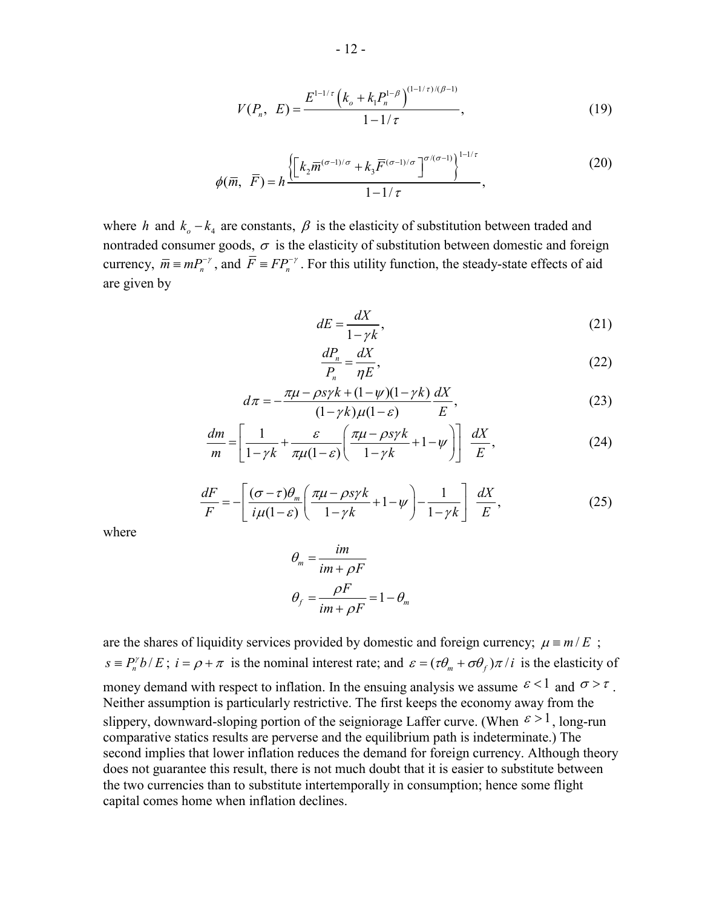$$
V(P_n, E) = \frac{E^{1-1/\tau} \left( k_o + k_1 P_n^{1-\beta} \right)^{(1-1/\tau)/(\beta-1)}}{1-1/\tau},
$$
\n(19)

$$
\phi(\overline{m}, \overline{F}) = h \frac{\left\{ \left[ k_2 \overline{m}^{(\sigma-1)/\sigma} + k_3 \overline{F}^{(\sigma-1)/\sigma} \right] ^{\sigma/(\sigma-1)} \right\}^{1-1/\tau}}{1-1/\tau},
$$
\n(20)

where *h* and  $k_o - k_4$  are constants,  $\beta$  is the elasticity of substitution between traded and nontraded consumer goods,  $\sigma$  is the elasticity of substitution between domestic and foreign currency,  $\overline{m} \equiv mP_n^{-\gamma}$ , and  $\overline{F} \equiv FP_n^{-\gamma}$ . For this utility function, the steady-state effects of aid are given by

$$
dE = \frac{dX}{1 - \gamma k},\tag{21}
$$

$$
\frac{dP_n}{P_n} = \frac{dX}{\eta E},\tag{22}
$$

$$
d\pi = -\frac{\pi\mu - \rho s \gamma k + (1 - \psi)(1 - \gamma k)}{(1 - \gamma k)\mu(1 - \varepsilon)} \frac{dX}{E},
$$
\n(23)

$$
\frac{dm}{m} = \left[ \frac{1}{1 - \gamma k} + \frac{\varepsilon}{\pi \mu (1 - \varepsilon)} \left( \frac{\pi \mu - \rho s \gamma k}{1 - \gamma k} + 1 - \psi \right) \right] \frac{dX}{E},\tag{24}
$$

$$
\frac{dF}{F} = -\left[\frac{(\sigma - \tau)\theta_m}{i\mu(1 - \varepsilon)} \left(\frac{\pi\mu - \rho s\gamma k}{1 - \gamma k} + 1 - \psi\right) - \frac{1}{1 - \gamma k}\right] \frac{dX}{E},\tag{25}
$$

where

$$
\theta_m = \frac{im}{im + \rho F}
$$

$$
\theta_f = \frac{\rho F}{im + \rho F} = 1 - \theta_m
$$

are the shares of liquidity services provided by domestic and foreign currency;  $\mu = m/E$ ;  $s = P_n^{\gamma} b / E$ ;  $i = \rho + \pi$  is the nominal interest rate; and  $\varepsilon = (\tau \theta_m + \sigma \theta_f) \pi / i$  is the elasticity of money demand with respect to inflation. In the ensuing analysis we assume  $\varepsilon < 1$  and  $\sigma > \tau$ . Neither assumption is particularly restrictive. The first keeps the economy away from the slippery, downward-sloping portion of the seigniorage Laffer curve. (When  $\epsilon > 1$ , long-run comparative statics results are perverse and the equilibrium path is indeterminate.) The second implies that lower inflation reduces the demand for foreign currency. Although theory does not guarantee this result, there is not much doubt that it is easier to substitute between the two currencies than to substitute intertemporally in consumption; hence some flight capital comes home when inflation declines.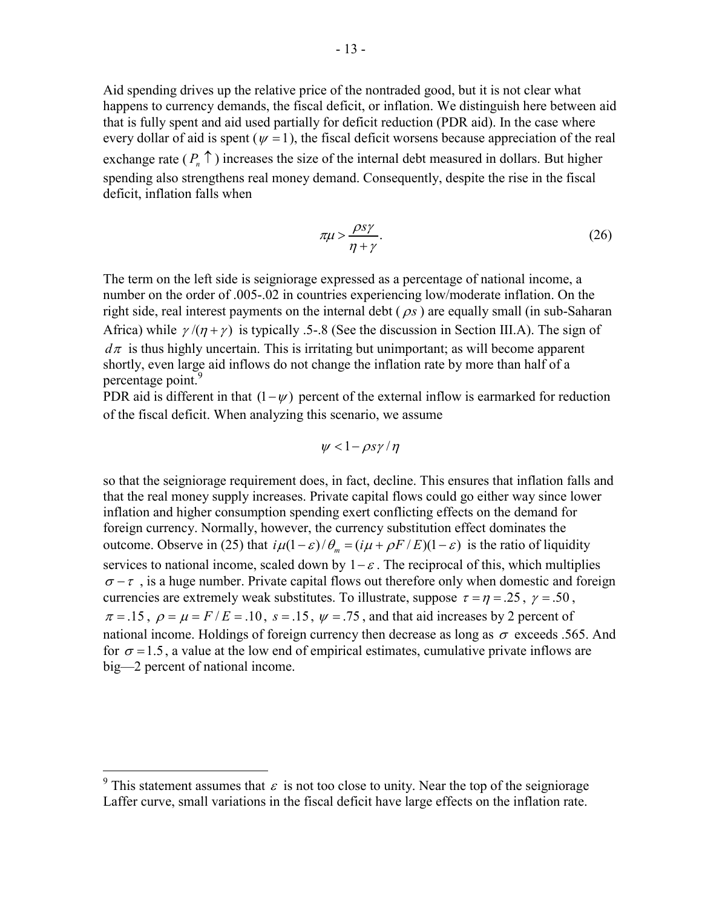Aid spending drives up the relative price of the nontraded good, but it is not clear what happens to currency demands, the fiscal deficit, or inflation. We distinguish here between aid that is fully spent and aid used partially for deficit reduction (PDR aid). In the case where every dollar of aid is spent ( $\psi$  = 1), the fiscal deficit worsens because appreciation of the real exchange rate  $(P_n \uparrow)$  increases the size of the internal debt measured in dollars. But higher spending also strengthens real money demand. Consequently, despite the rise in the fiscal deficit, inflation falls when

$$
\pi\mu > \frac{\rho s\gamma}{\eta + \gamma}.\tag{26}
$$

The term on the left side is seigniorage expressed as a percentage of national income, a number on the order of .005-.02 in countries experiencing low/moderate inflation. On the right side, real interest payments on the internal debt  $(\rho s)$  are equally small (in sub-Saharan Africa) while  $\gamma/(\eta + \gamma)$  is typically .5-.8 (See the discussion in Section III.A). The sign of  $d\pi$  is thus highly uncertain. This is irritating but unimportant; as will become apparent shortly, even large aid inflows do not change the inflation rate by more than half of a percentage point.

PDR aid is different in that  $(1 - \psi)$  percent of the external inflow is earmarked for reduction of the fiscal deficit. When analyzing this scenario, we assume

$$
\psi < 1 - \rho s \gamma / \eta
$$

so that the seigniorage requirement does, in fact, decline. This ensures that inflation falls and that the real money supply increases. Private capital flows could go either way since lower inflation and higher consumption spending exert conflicting effects on the demand for foreign currency. Normally, however, the currency substitution effect dominates the outcome. Observe in (25) that  $i\mu(1-\varepsilon)/\theta_m = (i\mu + \rho F/E)(1-\varepsilon)$  is the ratio of liquidity services to national income, scaled down by  $1-\varepsilon$ . The reciprocal of this, which multiplies  $\sigma - \tau$ , is a huge number. Private capital flows out therefore only when domestic and foreign currencies are extremely weak substitutes. To illustrate, suppose  $\tau = \eta = .25$ ,  $\gamma = .50$ ,  $\pi = .15$ ,  $\rho = \mu = F/E = .10$ ,  $s = .15$ ,  $\psi = .75$ , and that aid increases by 2 percent of national income. Holdings of foreign currency then decrease as long as  $\sigma$  exceeds .565. And for  $\sigma = 1.5$ , a value at the low end of empirical estimates, cumulative private inflows are big—2 percent of national income.

<sup>&</sup>lt;sup>9</sup> This statement assumes that  $\varepsilon$  is not too close to unity. Near the top of the seigniorage Laffer curve, small variations in the fiscal deficit have large effects on the inflation rate.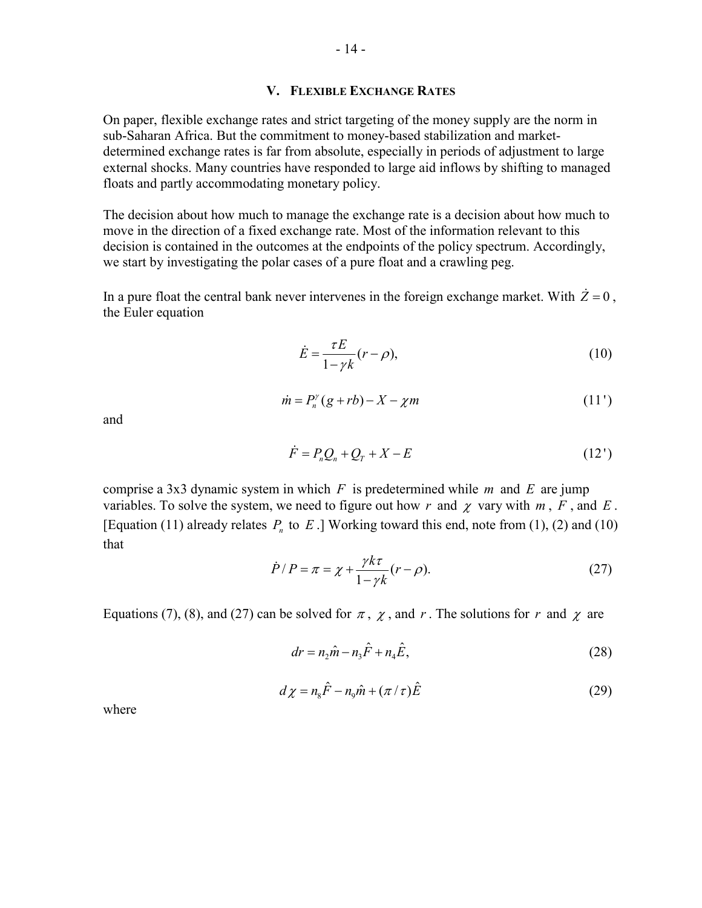### **V. FLEXIBLE EXCHANGE RATES**

On paper, flexible exchange rates and strict targeting of the money supply are the norm in sub-Saharan Africa. But the commitment to money-based stabilization and marketdetermined exchange rates is far from absolute, especially in periods of adjustment to large external shocks. Many countries have responded to large aid inflows by shifting to managed floats and partly accommodating monetary policy.

The decision about how much to manage the exchange rate is a decision about how much to move in the direction of a fixed exchange rate. Most of the information relevant to this decision is contained in the outcomes at the endpoints of the policy spectrum. Accordingly, we start by investigating the polar cases of a pure float and a crawling peg.

In a pure float the central bank never intervenes in the foreign exchange market. With  $\dot{Z} = 0$ , the Euler equation

$$
\dot{E} = \frac{\tau E}{1 - \gamma k} (r - \rho),\tag{10}
$$

$$
\dot{m} = P_n^{\gamma}(g + rb) - X - \chi m \tag{11'}
$$

and

$$
\dot{F} = P_n Q_n + Q_T + X - E \tag{12'}
$$

comprise a 3x3 dynamic system in which *F* is predetermined while *m* and *E* are jump variables. To solve the system, we need to figure out how r and  $\chi$  vary with  $m$ ,  $F$ , and  $E$ . [Equation (11) already relates  $P_n$  to  $E$ .] Working toward this end, note from (1), (2) and (10) that

$$
\dot{P}/P = \pi = \chi + \frac{\gamma k \tau}{1 - \gamma k} (r - \rho). \tag{27}
$$

Equations (7), (8), and (27) can be solved for  $\pi$ ,  $\chi$ , and r. The solutions for r and  $\chi$  are

$$
dr = n_2 \hat{m} - n_3 \hat{F} + n_4 \hat{E},
$$
\n(28)

$$
d\chi = n_s \hat{F} - n_s \hat{m} + (\pi/\tau)\hat{E}
$$
 (29)

where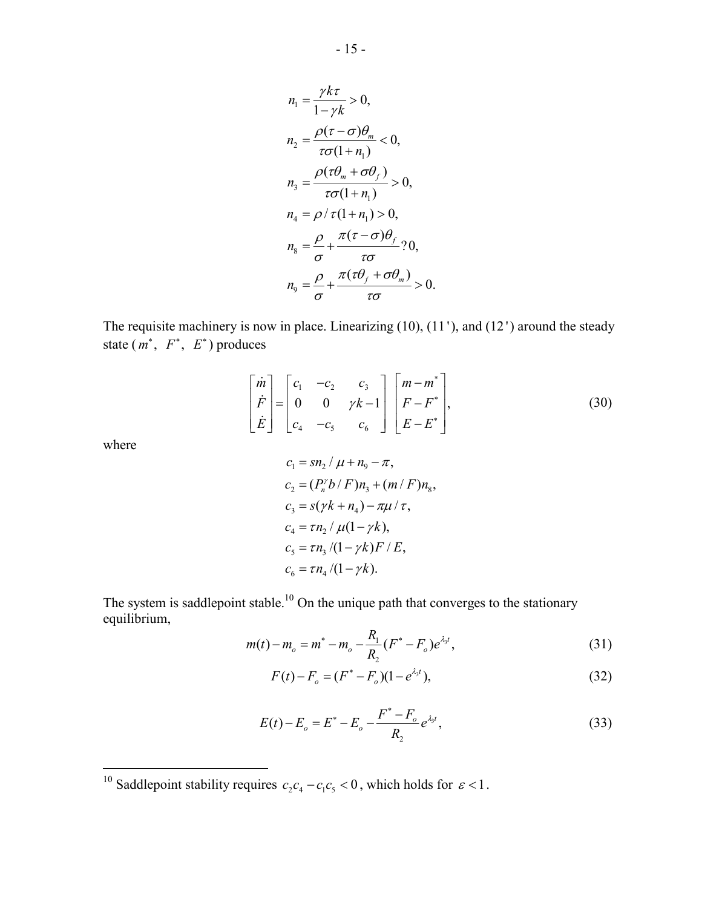$$
n_1 = \frac{\gamma k \tau}{1 - \gamma k} > 0,
$$
  
\n
$$
n_2 = \frac{\rho(\tau - \sigma)\theta_m}{\tau \sigma(1 + n_1)} < 0,
$$
  
\n
$$
n_3 = \frac{\rho(\tau \theta_m + \sigma \theta_f)}{\tau \sigma(1 + n_1)} > 0,
$$
  
\n
$$
n_4 = \rho/\tau(1 + n_1) > 0,
$$
  
\n
$$
n_8 = \frac{\rho}{\sigma} + \frac{\pi(\tau - \sigma)\theta_f}{\tau \sigma} ? 0,
$$
  
\n
$$
n_9 = \frac{\rho}{\sigma} + \frac{\pi(\tau \theta_f + \sigma \theta_m)}{\tau \sigma} > 0.
$$

The requisite machinery is now in place. Linearizing (10), (11 '), and (12 ') around the steady state  $(m^*, F^*, E^*)$  produces

$$
\begin{bmatrix} \dot{m} \\ \dot{F} \\ \dot{E} \end{bmatrix} = \begin{bmatrix} c_1 & -c_2 & c_3 \\ 0 & 0 & \gamma k - 1 \\ c_4 & -c_5 & c_6 \end{bmatrix} \begin{bmatrix} m - m^* \\ F - F^* \\ E - E^* \end{bmatrix},
$$
\n(30)

where

 $\overline{a}$ 

$$
c_1 = sn_2 / \mu + n_9 - \pi,
$$
  
\n
$$
c_2 = (P_n^{\gamma} b / F) n_3 + (m / F) n_8,
$$
  
\n
$$
c_3 = s(\gamma k + n_4) - \pi \mu / \tau,
$$
  
\n
$$
c_4 = \tau n_2 / \mu (1 - \gamma k),
$$
  
\n
$$
c_5 = \tau n_3 / (1 - \gamma k) F / E,
$$
  
\n
$$
c_6 = \tau n_4 / (1 - \gamma k).
$$

The system is saddlepoint stable.<sup>10</sup> On the unique path that converges to the stationary equilibrium,

$$
m(t) - m_o = m^* - m_o - \frac{R_1}{R_2} (F^* - F_o) e^{\lambda_3 t}, \qquad (31)
$$

$$
F(t) - F_o = (F^* - F_o)(1 - e^{\lambda_3 t}),
$$
\n(32)

$$
E(t) - E_o = E^* - E_o - \frac{F^* - F_o}{R_2} e^{\lambda_3 t},
$$
\n(33)

<sup>&</sup>lt;sup>10</sup> Saddlepoint stability requires  $c_2 c_4 - c_1 c_5 < 0$ , which holds for  $\varepsilon < 1$ .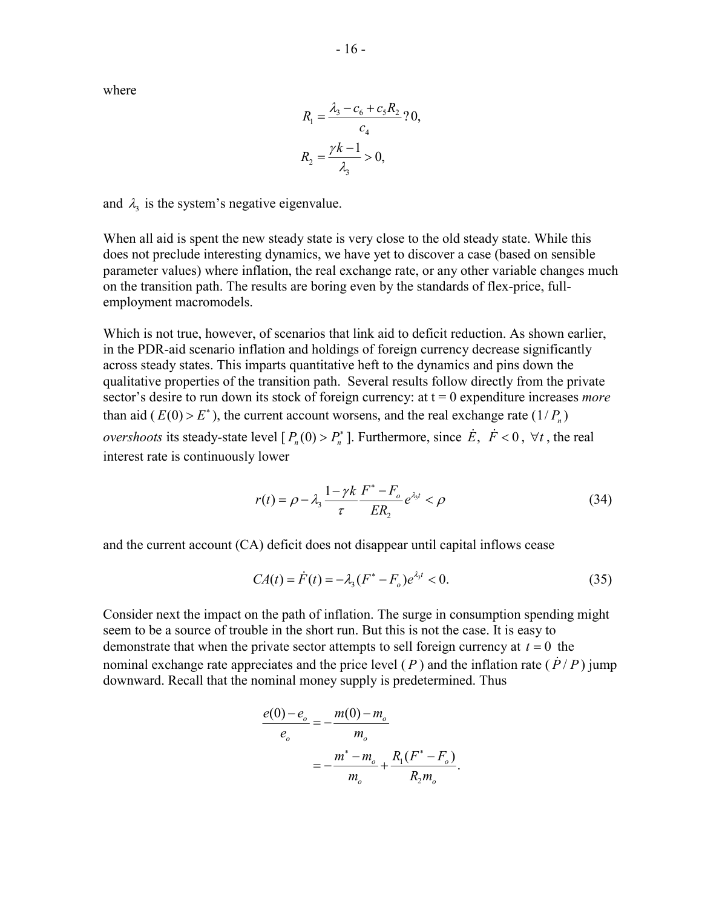where

$$
R_1 = \frac{\lambda_3 - c_6 + c_5 R_2}{c_4} ? 0,
$$
  

$$
R_2 = \frac{\gamma k - 1}{\lambda_3} > 0,
$$

and  $\lambda_3$  is the system's negative eigenvalue.

When all aid is spent the new steady state is very close to the old steady state. While this does not preclude interesting dynamics, we have yet to discover a case (based on sensible parameter values) where inflation, the real exchange rate, or any other variable changes much on the transition path. The results are boring even by the standards of flex-price, fullemployment macromodels.

Which is not true, however, of scenarios that link aid to deficit reduction. As shown earlier, in the PDR-aid scenario inflation and holdings of foreign currency decrease significantly across steady states. This imparts quantitative heft to the dynamics and pins down the qualitative properties of the transition path. Several results follow directly from the private sector's desire to run down its stock of foreign currency: at  $t = 0$  expenditure increases *more* than aid ( $E(0) > E^*$ ), the current account worsens, and the real exchange rate (1/ $P_n$ ) *overshoots* its steady-state level  $[P_n(0) > P_n^*]$ . Furthermore, since  $\dot{E}$ ,  $\dot{F} < 0$ ,  $\forall t$ , the real interest rate is continuously lower

$$
r(t) = \rho - \lambda_3 \frac{1 - \gamma k}{\tau} \frac{F^* - F_o}{ER_2} e^{\lambda_3 t} < \rho
$$
\n(34)

and the current account (CA) deficit does not disappear until capital inflows cease

$$
CA(t) = \dot{F}(t) = -\lambda_3 (F^* - F_o)e^{\lambda_3 t} < 0.
$$
 (35)

Consider next the impact on the path of inflation. The surge in consumption spending might seem to be a source of trouble in the short run. But this is not the case. It is easy to demonstrate that when the private sector attempts to sell foreign currency at  $t = 0$  the nominal exchange rate appreciates and the price level ( $P$ ) and the inflation rate ( $\dot{P}/P$ ) jump downward. Recall that the nominal money supply is predetermined. Thus

$$
\frac{e(0) - e_o}{e_o} = -\frac{m(0) - m_o}{m_o}
$$

$$
= -\frac{m^* - m_o}{m_o} + \frac{R_1(F^* - F_o)}{R_2 m_o}.
$$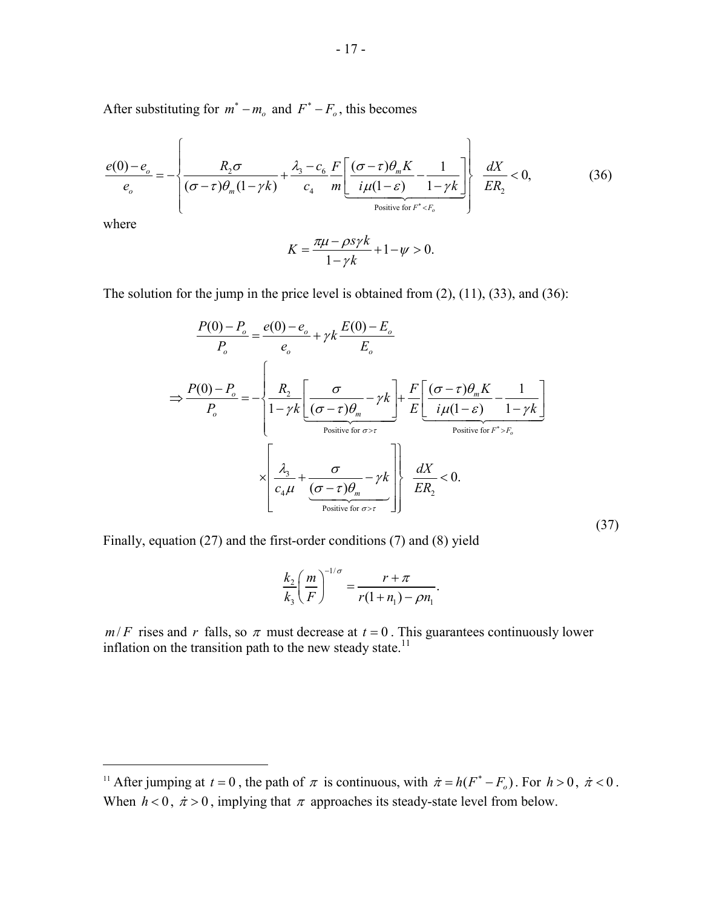After substituting for  $m^* - m_o$  and  $F^* - F_o$ , this becomes

$$
\frac{e(0)-e_o}{e_o} = -\left\{\frac{R_2\sigma}{(\sigma-\tau)\theta_m(1-\gamma k)} + \frac{\lambda_3 - c_6}{c_4} \frac{F}{m} \left[ \frac{(\sigma-\tau)\theta_m K}{i\mu(1-\varepsilon)} - \frac{1}{1-\gamma k} \right] \right\} \frac{dX}{E R_2} < 0,
$$
\n(36)

where

1

$$
K = \frac{\pi\mu - \rho s \gamma k}{1 - \gamma k} + 1 - \psi > 0.
$$

The solution for the jump in the price level is obtained from (2), (11), (33), and (36):

$$
\frac{P(0) - P_o}{P_o} = \frac{e(0) - e_o}{e_o} + \gamma k \frac{E(0) - E_o}{E_o}
$$
\n
$$
\Rightarrow \frac{P(0) - P_o}{P_o} = -\left\{ \frac{R_2}{1 - \gamma k} \left[ \frac{\sigma}{(\sigma - \tau)\theta_m} - \gamma k \right] + \frac{F}{E} \left[ \frac{(\sigma - \tau)\theta_m K}{i\mu(1 - \varepsilon)} - \frac{1}{1 - \gamma k} \right] \right\}
$$
\n
$$
\times \left[ \frac{\lambda_3}{c_4 \mu} + \frac{\sigma}{(\sigma - \tau)\theta_m} - \gamma k \right] \left\{ \frac{dX}{ER_2} < 0. \right\}
$$
\n
$$
\Rightarrow \left[ \frac{\lambda_3}{\rho_{\text{ositive for } \sigma > \tau}} \right] \frac{dX}{ER_2} < 0. \tag{37}
$$

Finally, equation (27) and the first-order conditions (7) and (8) yield

$$
\frac{k_2}{k_3}\left(\frac{m}{F}\right)^{-1/\sigma} = \frac{r+\pi}{r(1+n_1)-\rho n_1}.
$$

 $m/F$  rises and *r* falls, so  $\pi$  must decrease at  $t = 0$ . This guarantees continuously lower inflation on the transition path to the new steady state.<sup>11</sup>

<sup>&</sup>lt;sup>11</sup> After jumping at  $t = 0$ , the path of  $\pi$  is continuous, with  $\dot{\pi} = h(F^* - F_o)$ . For  $h > 0$ ,  $\dot{\pi} < 0$ . When  $h < 0$ ,  $\dot{\pi} > 0$ , implying that  $\pi$  approaches its steady-state level from below.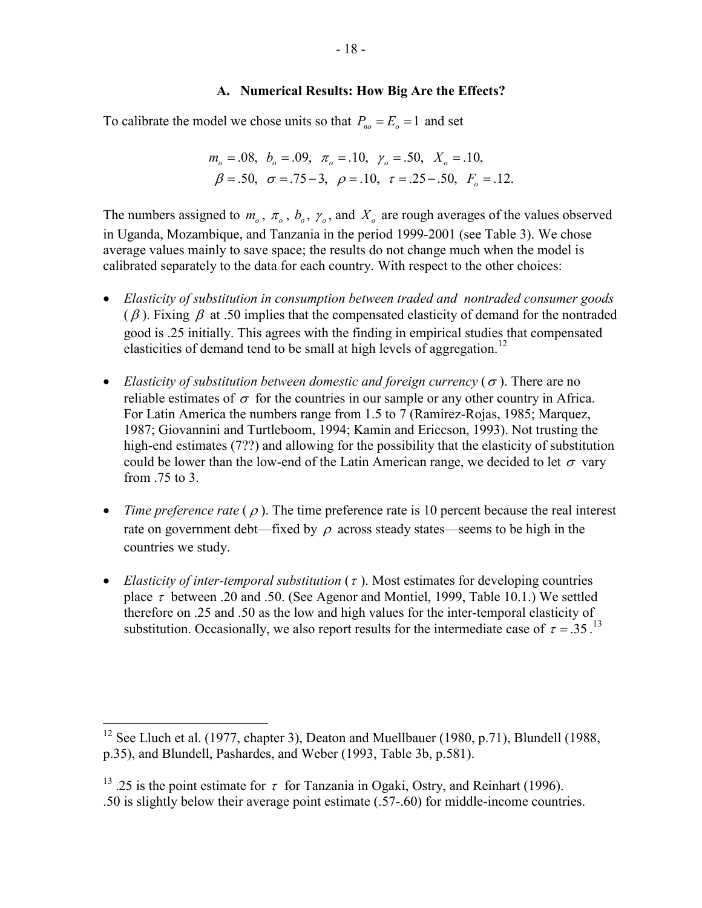## **A. Numerical Results: How Big Are the Effects?**

To calibrate the model we chose units so that  $P_{no} = E_o = 1$  and set

$$
m_o = .08
$$
,  $b_o = .09$ ,  $\pi_o = .10$ ,  $\gamma_o = .50$ ,  $X_o = .10$ ,  
 $\beta = .50$ ,  $\sigma = .75 - 3$ ,  $\rho = .10$ ,  $\tau = .25 - .50$ ,  $F_o = .12$ .

The numbers assigned to  $m_0$ ,  $\pi_0$ ,  $b_0$ ,  $\gamma_0$ , and  $X_0$  are rough averages of the values observed in Uganda, Mozambique, and Tanzania in the period 1999-2001 (see Table 3). We chose average values mainly to save space; the results do not change much when the model is calibrated separately to the data for each country. With respect to the other choices:

- *Elasticity of substitution in consumption between traded and nontraded consumer goods*  $(\beta)$ . Fixing  $\beta$  at .50 implies that the compensated elasticity of demand for the nontraded good is .25 initially. This agrees with the finding in empirical studies that compensated elasticities of demand tend to be small at high levels of aggregation.<sup>12</sup>
- *Elasticity of substitution between domestic and foreign currency (* $\sigma$ *).* There are no reliable estimates of  $\sigma$  for the countries in our sample or any other country in Africa. For Latin America the numbers range from 1.5 to 7 (Ramirez-Rojas, 1985; Marquez, 1987; Giovannini and Turtleboom, 1994; Kamin and Ericcson, 1993). Not trusting the high-end estimates (7??) and allowing for the possibility that the elasticity of substitution could be lower than the low-end of the Latin American range, we decided to let  $\sigma$  vary from .75 to 3.
- *Time preference rate*  $(\rho)$ . The time preference rate is 10 percent because the real interest rate on government debt—fixed by  $\rho$  across steady states—seems to be high in the countries we study.
- *Elasticity of inter-temporal substitution*  $(\tau)$ . Most estimates for developing countries place  $\tau$  between .20 and .50. (See Agenor and Montiel, 1999, Table 10.1.) We settled therefore on .25 and .50 as the low and high values for the inter-temporal elasticity of substitution. Occasionally, we also report results for the intermediate case of  $\tau = .35$ .<sup>13</sup>

<sup>&</sup>lt;sup>12</sup> See Lluch et al. (1977, chapter 3), Deaton and Muellbauer (1980, p.71), Blundell (1988, p.35), and Blundell, Pashardes, and Weber (1993, Table 3b, p.581).

<sup>&</sup>lt;sup>13</sup> .25 is the point estimate for  $\tau$  for Tanzania in Ogaki, Ostry, and Reinhart (1996).

<sup>.50</sup> is slightly below their average point estimate (.57-.60) for middle-income countries.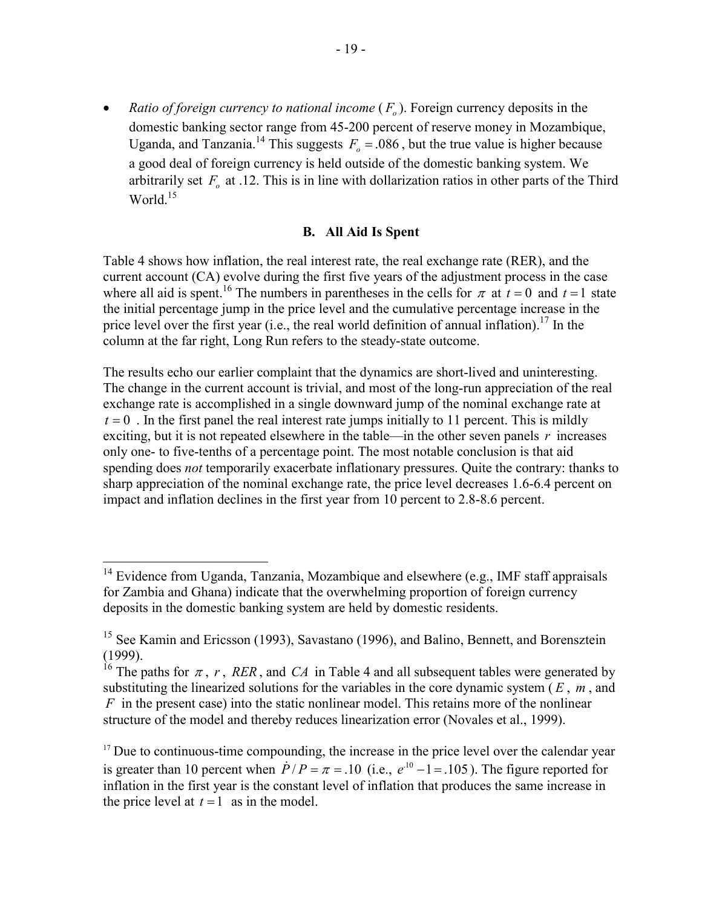• *Ratio of foreign currency to national income*  $(F<sub>o</sub>)$ . Foreign currency deposits in the domestic banking sector range from 45-200 percent of reserve money in Mozambique, Uganda, and Tanzania.<sup>14</sup> This suggests  $F_o = .086$ , but the true value is higher because a good deal of foreign currency is held outside of the domestic banking system. We arbitrarily set  $F<sub>o</sub>$  at .12. This is in line with dollarization ratios in other parts of the Third World<sup>15</sup>

## **B. All Aid Is Spent**

Table 4 shows how inflation, the real interest rate, the real exchange rate (RER), and the current account (CA) evolve during the first five years of the adjustment process in the case where all aid is spent.<sup>16</sup> The numbers in parentheses in the cells for  $\pi$  at  $t = 0$  and  $t = 1$  state the initial percentage jump in the price level and the cumulative percentage increase in the price level over the first year (i.e., the real world definition of annual inflation).<sup>17</sup> In the column at the far right, Long Run refers to the steady-state outcome.

The results echo our earlier complaint that the dynamics are short-lived and uninteresting. The change in the current account is trivial, and most of the long-run appreciation of the real exchange rate is accomplished in a single downward jump of the nominal exchange rate at  $t = 0$ . In the first panel the real interest rate jumps initially to 11 percent. This is mildly exciting, but it is not repeated elsewhere in the table—in the other seven panels *r* increases only one- to five-tenths of a percentage point. The most notable conclusion is that aid spending does *not* temporarily exacerbate inflationary pressures. Quite the contrary: thanks to sharp appreciation of the nominal exchange rate, the price level decreases 1.6-6.4 percent on impact and inflation declines in the first year from 10 percent to 2.8-8.6 percent.

1

<sup>&</sup>lt;sup>14</sup> Evidence from Uganda, Tanzania, Mozambique and elsewhere (e.g., IMF staff appraisals for Zambia and Ghana) indicate that the overwhelming proportion of foreign currency deposits in the domestic banking system are held by domestic residents.

<sup>&</sup>lt;sup>15</sup> See Kamin and Ericsson (1993), Savastano (1996), and Balino, Bennett, and Borensztein (1999).

<sup>&</sup>lt;sup>16</sup> The paths for  $\pi$ , *r*, *RER*, and *CA* in Table 4 and all subsequent tables were generated by substituting the linearized solutions for the variables in the core dynamic system  $(E, m, \text{ and})$ *F* in the present case) into the static nonlinear model. This retains more of the nonlinear structure of the model and thereby reduces linearization error (Novales et al., 1999).

<sup>&</sup>lt;sup>17</sup> Due to continuous-time compounding, the increase in the price level over the calendar year is greater than 10 percent when  $\dot{P}/P = \pi = .10$  (i.e.,  $e^{10} - 1 = .105$ ). The figure reported for inflation in the first year is the constant level of inflation that produces the same increase in the price level at  $t = 1$  as in the model.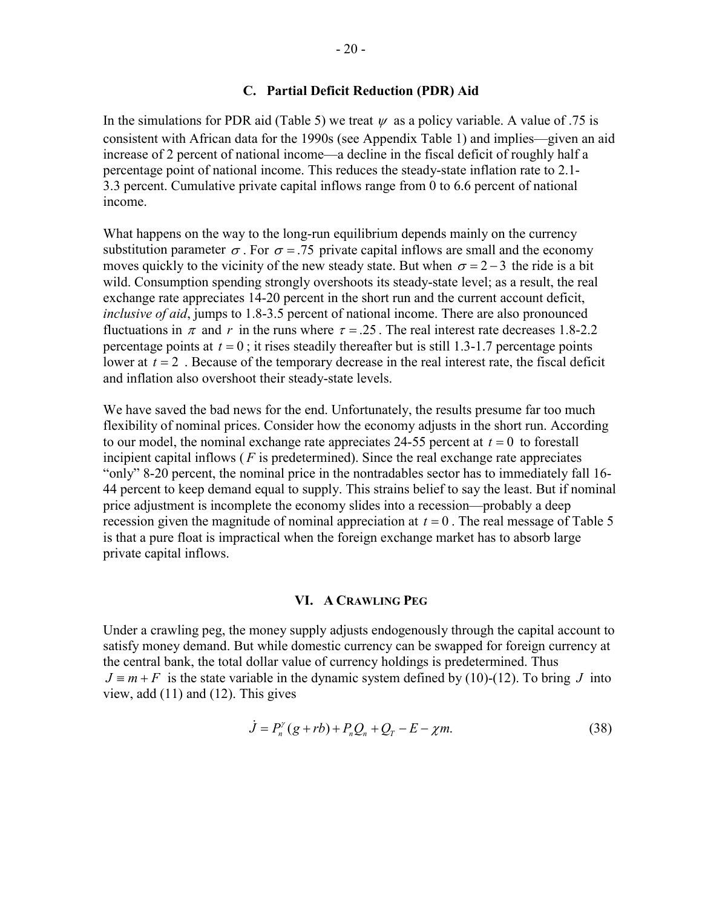## **C. Partial Deficit Reduction (PDR) Aid**

In the simulations for PDR aid (Table 5) we treat  $\psi$  as a policy variable. A value of .75 is consistent with African data for the 1990s (see Appendix Table 1) and implies—given an aid increase of 2 percent of national income—a decline in the fiscal deficit of roughly half a percentage point of national income. This reduces the steady-state inflation rate to 2.1- 3.3 percent. Cumulative private capital inflows range from 0 to 6.6 percent of national income.

What happens on the way to the long-run equilibrium depends mainly on the currency substitution parameter  $\sigma$ . For  $\sigma$  = .75 private capital inflows are small and the economy moves quickly to the vicinity of the new steady state. But when  $\sigma = 2 - 3$  the ride is a bit wild. Consumption spending strongly overshoots its steady-state level; as a result, the real exchange rate appreciates 14-20 percent in the short run and the current account deficit, *inclusive of aid*, jumps to 1.8-3.5 percent of national income. There are also pronounced fluctuations in  $\pi$  and r in the runs where  $\tau = 0.25$ . The real interest rate decreases 1.8-2.2 percentage points at  $t = 0$ ; it rises steadily thereafter but is still 1.3-1.7 percentage points lower at  $t = 2$ . Because of the temporary decrease in the real interest rate, the fiscal deficit and inflation also overshoot their steady-state levels.

We have saved the bad news for the end. Unfortunately, the results presume far too much flexibility of nominal prices. Consider how the economy adjusts in the short run. According to our model, the nominal exchange rate appreciates 24-55 percent at  $t = 0$  to forestall incipient capital inflows ( *F* is predetermined). Since the real exchange rate appreciates "only" 8-20 percent, the nominal price in the nontradables sector has to immediately fall 16- 44 percent to keep demand equal to supply. This strains belief to say the least. But if nominal price adjustment is incomplete the economy slides into a recession—probably a deep recession given the magnitude of nominal appreciation at  $t = 0$ . The real message of Table 5 is that a pure float is impractical when the foreign exchange market has to absorb large private capital inflows.

## **VI. A CRAWLING PEG**

Under a crawling peg, the money supply adjusts endogenously through the capital account to satisfy money demand. But while domestic currency can be swapped for foreign currency at the central bank, the total dollar value of currency holdings is predetermined. Thus  $J \equiv m + F$  is the state variable in the dynamic system defined by (10)-(12). To bring *J* into view, add (11) and (12). This gives

$$
\dot{J} = P_n^{\gamma} (g + rb) + P_n Q_n + Q_T - E - \chi m. \tag{38}
$$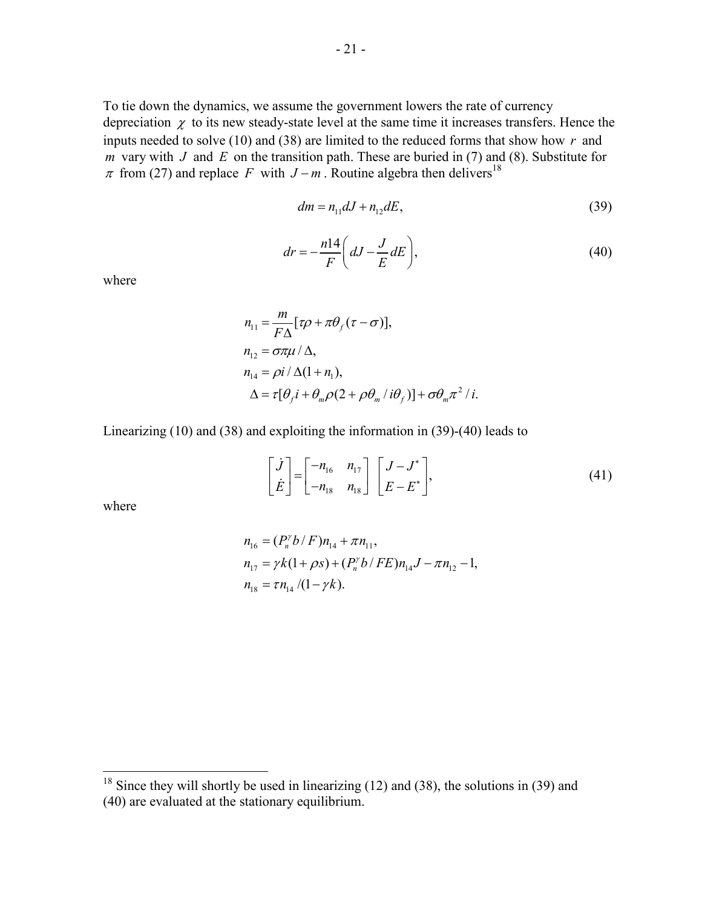To tie down the dynamics, we assume the government lowers the rate of currency depreciation  $\chi$  to its new steady-state level at the same time it increases transfers. Hence the inputs needed to solve (10) and (38) are limited to the reduced forms that show how *r* and *m* vary with *J* and *E* on the transition path. These are buried in (7) and (8). Substitute for  $\pi$  from (27) and replace *F* with *J* − *m* . Routine algebra then delivers<sup>18</sup>

$$
dm = n_{11}dJ + n_{12}dE, \t\t(39)
$$

$$
dr = -\frac{n14}{F} \left( dJ - \frac{J}{E} dE \right),\tag{40}
$$

where

$$
n_{11} = \frac{m}{F\Delta} [\tau \rho + \pi \theta_f (\tau - \sigma)],
$$
  
\n
$$
n_{12} = \sigma \pi \mu / \Delta,
$$
  
\n
$$
n_{14} = \rho i / \Delta (1 + n_1),
$$
  
\n
$$
\Delta = \tau [\theta_f i + \theta_m \rho (2 + \rho \theta_m / i \theta_f)] + \sigma \theta_m \pi^2 / i.
$$

Linearizing (10) and (38) and exploiting the information in (39)-(40) leads to

$$
\begin{bmatrix} \dot{J} \\ \dot{E} \end{bmatrix} = \begin{bmatrix} -n_{16} & n_{17} \\ -n_{18} & n_{18} \end{bmatrix} \begin{bmatrix} J - J^* \\ E - E^* \end{bmatrix},
$$
\n(41)

where

$$
n_{16} = (P_n^{\gamma} b / F) n_{14} + \pi n_{11},
$$
  
\n
$$
n_{17} = \gamma k (1 + \rho s) + (P_n^{\gamma} b / FE) n_{14} J - \pi n_{12} - 1,
$$
  
\n
$$
n_{18} = \tau n_{14} / (1 - \gamma k).
$$

 $18$  Since they will shortly be used in linearizing (12) and (38), the solutions in (39) and (40) are evaluated at the stationary equilibrium.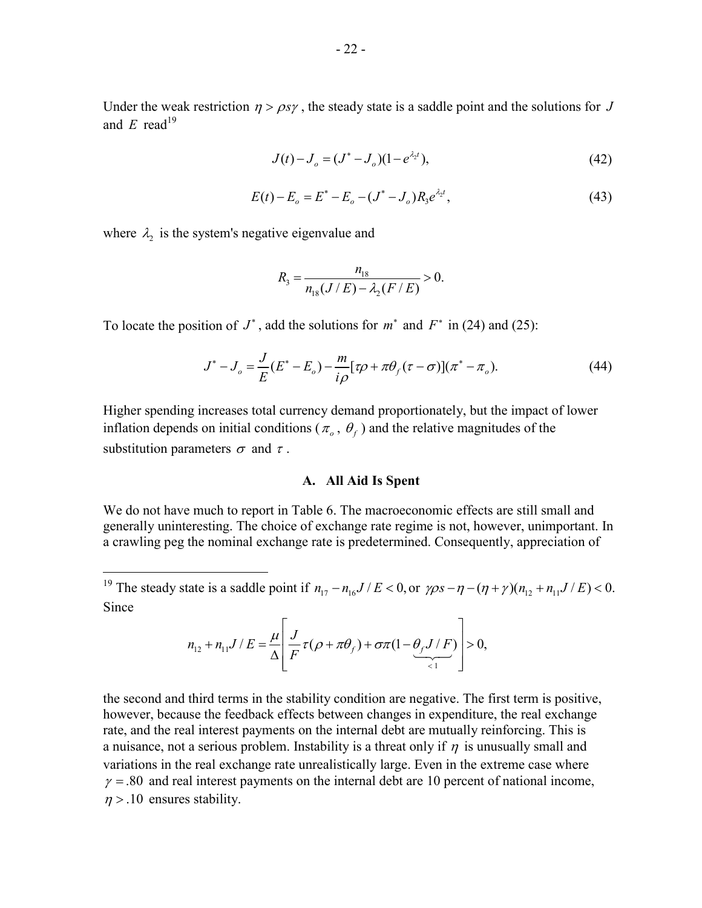$$
J(t) - J_o = (J^* - J_o)(1 - e^{\lambda_2 t}),
$$
\n(42)

$$
E(t) - E_o = E^* - E_o - (J^* - J_o)R_3 e^{\lambda_2 t},
$$
\n(43)

where  $\lambda_2$  is the system's negative eigenvalue and

1

$$
R_{3} = \frac{n_{18}}{n_{18}(J/E) - \lambda_{2}(F/E)} > 0.
$$

To locate the position of  $J^*$ , add the solutions for  $m^*$  and  $F^*$  in (24) and (25):

$$
J^* - J_o = \frac{J}{E}(E^* - E_o) - \frac{m}{i\rho} [\tau \rho + \pi \theta_f (\tau - \sigma)] (\pi^* - \pi_o).
$$
 (44)

Higher spending increases total currency demand proportionately, but the impact of lower inflation depends on initial conditions ( $\pi$ <sub>o</sub>,  $\theta$ <sub>f</sub>) and the relative magnitudes of the substitution parameters  $\sigma$  and  $\tau$ .

### **A. All Aid Is Spent**

We do not have much to report in Table 6. The macroeconomic effects are still small and generally uninteresting. The choice of exchange rate regime is not, however, unimportant. In a crawling peg the nominal exchange rate is predetermined. Consequently, appreciation of

$$
n_{12} + n_{11}J/E = \frac{\mu}{\Delta} \left[ \frac{J}{F} \tau (\rho + \pi \theta_f) + \sigma \tau (1 - \underbrace{\theta_f J/F}_{\leq 1} \right] > 0,
$$

the second and third terms in the stability condition are negative. The first term is positive, however, because the feedback effects between changes in expenditure, the real exchange rate, and the real interest payments on the internal debt are mutually reinforcing. This is a nuisance, not a serious problem. Instability is a threat only if  $\eta$  is unusually small and variations in the real exchange rate unrealistically large. Even in the extreme case where  $\gamma = 80$  and real interest payments on the internal debt are 10 percent of national income,  $\eta$  > .10 ensures stability.

<sup>&</sup>lt;sup>19</sup> The steady state is a saddle point if  $n_{17} - n_{16}J/E < 0$ , or  $\gamma \rho s - \eta - (\eta + \gamma)(n_{12} + n_{11}J/E) < 0$ . Since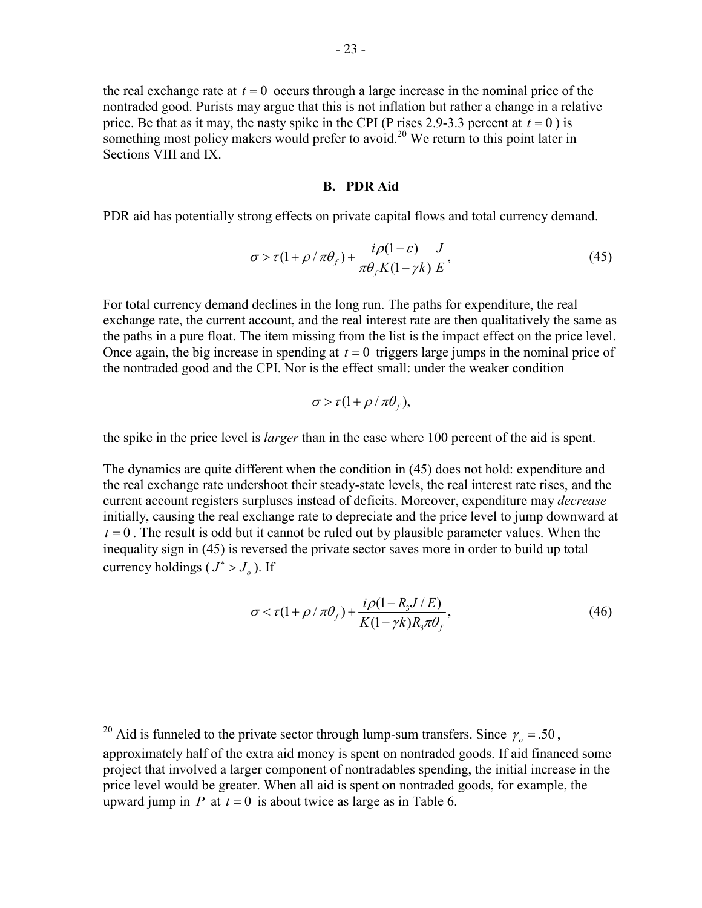the real exchange rate at  $t = 0$  occurs through a large increase in the nominal price of the nontraded good. Purists may argue that this is not inflation but rather a change in a relative price. Be that as it may, the nasty spike in the CPI (P rises 2.9-3.3 percent at  $t = 0$ ) is something most policy makers would prefer to avoid.<sup>20</sup> We return to this point later in Sections VIII and IX.

#### **B. PDR Aid**

PDR aid has potentially strong effects on private capital flows and total currency demand.

$$
\sigma > \tau (1 + \rho / \pi \theta_f) + \frac{i\rho (1 - \varepsilon)}{\pi \theta_f K (1 - \gamma k)} \frac{J}{E},\tag{45}
$$

For total currency demand declines in the long run. The paths for expenditure, the real exchange rate, the current account, and the real interest rate are then qualitatively the same as the paths in a pure float. The item missing from the list is the impact effect on the price level. Once again, the big increase in spending at  $t = 0$  triggers large jumps in the nominal price of the nontraded good and the CPI. Nor is the effect small: under the weaker condition

$$
\sigma > \tau (1 + \rho / \pi \theta_f),
$$

the spike in the price level is *larger* than in the case where 100 percent of the aid is spent.

The dynamics are quite different when the condition in (45) does not hold: expenditure and the real exchange rate undershoot their steady-state levels, the real interest rate rises, and the current account registers surpluses instead of deficits. Moreover, expenditure may *decrease* initially, causing the real exchange rate to depreciate and the price level to jump downward at  $t = 0$ . The result is odd but it cannot be ruled out by plausible parameter values. When the inequality sign in (45) is reversed the private sector saves more in order to build up total currency holdings ( $J^* > J_a$ ). If

$$
\sigma < \tau(1 + \rho / \pi \theta_f) + \frac{i\rho(1 - R_3 J / E)}{K(1 - \gamma k)R_3 \pi \theta_f},\tag{46}
$$

<sup>&</sup>lt;sup>20</sup> Aid is funneled to the private sector through lump-sum transfers. Since  $\gamma_o = .50$ ,

approximately half of the extra aid money is spent on nontraded goods. If aid financed some project that involved a larger component of nontradables spending, the initial increase in the price level would be greater. When all aid is spent on nontraded goods, for example, the upward jump in *P* at  $t = 0$  is about twice as large as in Table 6.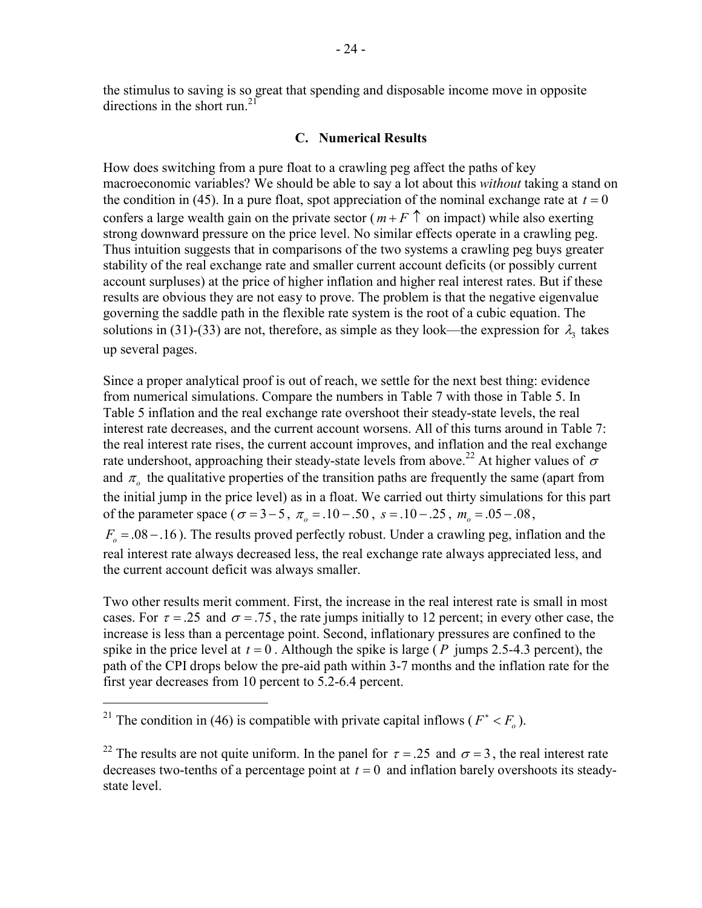the stimulus to saving is so great that spending and disposable income move in opposite directions in the short run<sup>21</sup>

## **C. Numerical Results**

How does switching from a pure float to a crawling peg affect the paths of key macroeconomic variables? We should be able to say a lot about this *without* taking a stand on the condition in (45). In a pure float, spot appreciation of the nominal exchange rate at  $t = 0$ confers a large wealth gain on the private sector ( $m + F \uparrow$  on impact) while also exerting strong downward pressure on the price level. No similar effects operate in a crawling peg. Thus intuition suggests that in comparisons of the two systems a crawling peg buys greater stability of the real exchange rate and smaller current account deficits (or possibly current account surpluses) at the price of higher inflation and higher real interest rates. But if these results are obvious they are not easy to prove. The problem is that the negative eigenvalue governing the saddle path in the flexible rate system is the root of a cubic equation. The solutions in (31)-(33) are not, therefore, as simple as they look—the expression for  $\lambda_1$  takes up several pages.

Since a proper analytical proof is out of reach, we settle for the next best thing: evidence from numerical simulations. Compare the numbers in Table 7 with those in Table 5. In Table 5 inflation and the real exchange rate overshoot their steady-state levels, the real interest rate decreases, and the current account worsens. All of this turns around in Table 7: the real interest rate rises, the current account improves, and inflation and the real exchange rate undershoot, approaching their steady-state levels from above.<sup>22</sup> At higher values of  $\sigma$ and  $\pi$ <sub>o</sub> the qualitative properties of the transition paths are frequently the same (apart from the initial jump in the price level) as in a float. We carried out thirty simulations for this part of the parameter space ( $\sigma = 3 - 5$ ,  $\pi_{0} = .10 - .50$ ,  $s = .10 - .25$ ,  $m_{0} = .05 - .08$ ,

 $F<sub>o</sub> = 0.08 - 0.16$ . The results proved perfectly robust. Under a crawling peg, inflation and the real interest rate always decreased less, the real exchange rate always appreciated less, and the current account deficit was always smaller.

Two other results merit comment. First, the increase in the real interest rate is small in most cases. For  $\tau = .25$  and  $\sigma = .75$ , the rate jumps initially to 12 percent; in every other case, the increase is less than a percentage point. Second, inflationary pressures are confined to the spike in the price level at  $t = 0$ . Although the spike is large ( $P$  jumps 2.5-4.3 percent), the path of the CPI drops below the pre-aid path within 3-7 months and the inflation rate for the first year decreases from 10 percent to 5.2-6.4 percent.

<sup>&</sup>lt;sup>21</sup> The condition in (46) is compatible with private capital inflows ( $F^* < F_o$ ).

<sup>&</sup>lt;sup>22</sup> The results are not quite uniform. In the panel for  $\tau = .25$  and  $\sigma = 3$ , the real interest rate decreases two-tenths of a percentage point at  $t = 0$  and inflation barely overshoots its steadystate level.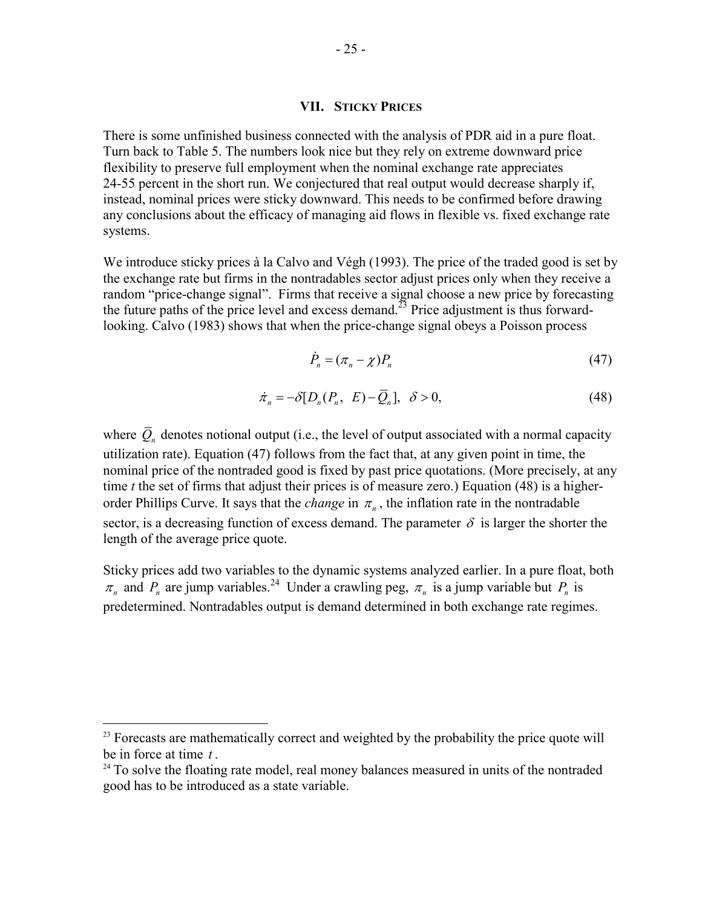### **VII. STICKY PRICES**

There is some unfinished business connected with the analysis of PDR aid in a pure float. Turn back to Table 5. The numbers look nice but they rely on extreme downward price flexibility to preserve full employment when the nominal exchange rate appreciates 24-55 percent in the short run. We conjectured that real output would decrease sharply if, instead, nominal prices were sticky downward. This needs to be confirmed before drawing any conclusions about the efficacy of managing aid flows in flexible vs. fixed exchange rate systems.

We introduce sticky prices à la Calvo and Végh (1993). The price of the traded good is set by the exchange rate but firms in the nontradables sector adjust prices only when they receive a random "price-change signal". Firms that receive a signal choose a new price by forecasting the future paths of the price level and excess demand.<sup>23</sup> Price adjustment is thus forwardlooking. Calvo (1983) shows that when the price-change signal obeys a Poisson process

$$
\dot{P}_n = (\pi_n - \chi) P_n \tag{47}
$$

$$
\dot{\pi}_n = -\delta [D_n(P_n, E) - \overline{Q}_n], \quad \delta > 0,
$$
\n(48)

where  $\overline{Q}_n$  denotes notional output (i.e., the level of output associated with a normal capacity utilization rate). Equation (47) follows from the fact that, at any given point in time, the nominal price of the nontraded good is fixed by past price quotations. (More precisely, at any time *t* the set of firms that adjust their prices is of measure zero.) Equation (48) is a higherorder Phillips Curve. It says that the *change* in  $\pi_n$ , the inflation rate in the nontradable sector, is a decreasing function of excess demand. The parameter  $\delta$  is larger the shorter the length of the average price quote.

Sticky prices add two variables to the dynamic systems analyzed earlier. In a pure float, both  $\pi_n$  and  $P_n$  are jump variables.<sup>24</sup> Under a crawling peg,  $\pi_n$  is a jump variable but  $P_n$  is predetermined. Nontradables output is demand determined in both exchange rate regimes.

 $2<sup>23</sup>$  Forecasts are mathematically correct and weighted by the probability the price quote will be in force at time  $t$ .<br><sup>24</sup> To solve the floating rate model, real money balances measured in units of the nontraded

good has to be introduced as a state variable.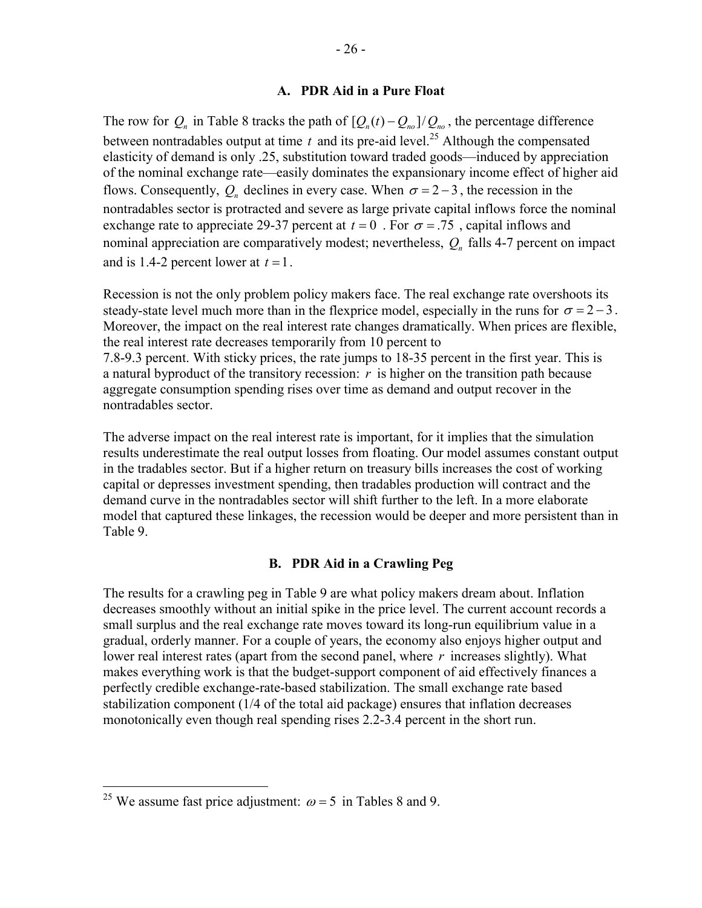The row for  $Q_n$  in Table 8 tracks the path of  $[Q_n(t) - Q_{n_0}]/Q_{n_0}$ , the percentage difference between nontradables output at time  $t$  and its pre-aid level.<sup>25</sup> Although the compensated elasticity of demand is only .25, substitution toward traded goods—induced by appreciation of the nominal exchange rate—easily dominates the expansionary income effect of higher aid flows. Consequently,  $Q_n$  declines in every case. When  $\sigma = 2 - 3$ , the recession in the nontradables sector is protracted and severe as large private capital inflows force the nominal exchange rate to appreciate 29-37 percent at  $t = 0$ . For  $\sigma = .75$ , capital inflows and nominal appreciation are comparatively modest; nevertheless,  $Q_n$  falls 4-7 percent on impact and is 1.4-2 percent lower at  $t = 1$ .

Recession is not the only problem policy makers face. The real exchange rate overshoots its steady-state level much more than in the flexprice model, especially in the runs for  $\sigma = 2 - 3$ . Moreover, the impact on the real interest rate changes dramatically. When prices are flexible, the real interest rate decreases temporarily from 10 percent to 7.8-9.3 percent. With sticky prices, the rate jumps to 18-35 percent in the first year. This is a natural byproduct of the transitory recession: *r* is higher on the transition path because aggregate consumption spending rises over time as demand and output recover in the nontradables sector.

The adverse impact on the real interest rate is important, for it implies that the simulation results underestimate the real output losses from floating. Our model assumes constant output in the tradables sector. But if a higher return on treasury bills increases the cost of working capital or depresses investment spending, then tradables production will contract and the demand curve in the nontradables sector will shift further to the left. In a more elaborate model that captured these linkages, the recession would be deeper and more persistent than in Table 9.

## **B. PDR Aid in a Crawling Peg**

The results for a crawling peg in Table 9 are what policy makers dream about. Inflation decreases smoothly without an initial spike in the price level. The current account records a small surplus and the real exchange rate moves toward its long-run equilibrium value in a gradual, orderly manner. For a couple of years, the economy also enjoys higher output and lower real interest rates (apart from the second panel, where *r* increases slightly). What makes everything work is that the budget-support component of aid effectively finances a perfectly credible exchange-rate-based stabilization. The small exchange rate based stabilization component (1/4 of the total aid package) ensures that inflation decreases monotonically even though real spending rises 2.2-3.4 percent in the short run.

1

<sup>&</sup>lt;sup>25</sup> We assume fast price adjustment:  $\omega = 5$  in Tables 8 and 9.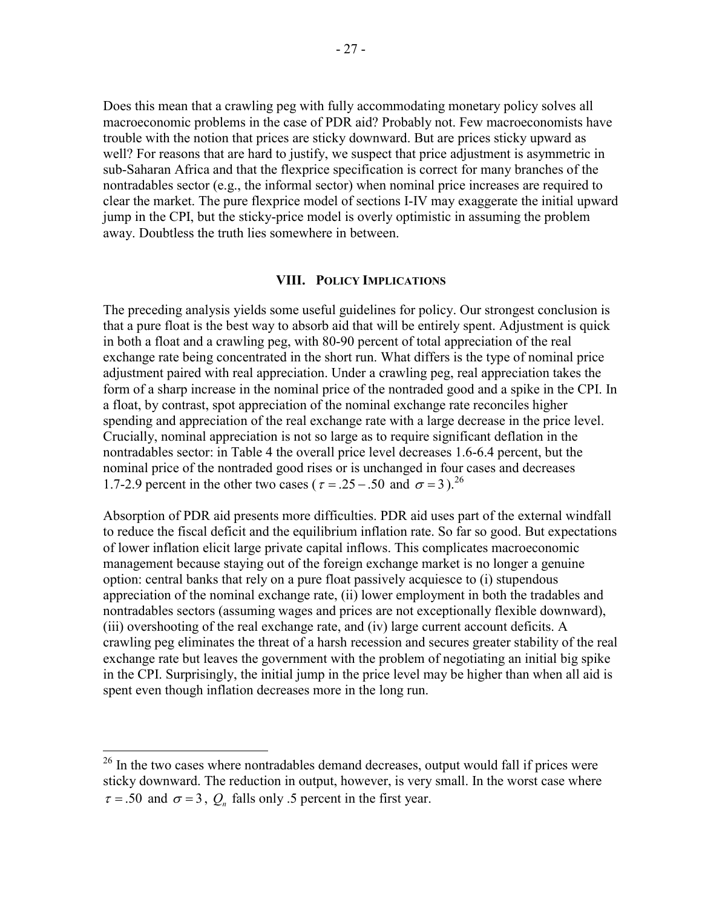Does this mean that a crawling peg with fully accommodating monetary policy solves all macroeconomic problems in the case of PDR aid? Probably not. Few macroeconomists have trouble with the notion that prices are sticky downward. But are prices sticky upward as well? For reasons that are hard to justify, we suspect that price adjustment is asymmetric in sub-Saharan Africa and that the flexprice specification is correct for many branches of the nontradables sector (e.g., the informal sector) when nominal price increases are required to clear the market. The pure flexprice model of sections I-IV may exaggerate the initial upward jump in the CPI, but the sticky-price model is overly optimistic in assuming the problem away. Doubtless the truth lies somewhere in between.

#### **VIII. POLICY IMPLICATIONS**

The preceding analysis yields some useful guidelines for policy. Our strongest conclusion is that a pure float is the best way to absorb aid that will be entirely spent. Adjustment is quick in both a float and a crawling peg, with 80-90 percent of total appreciation of the real exchange rate being concentrated in the short run. What differs is the type of nominal price adjustment paired with real appreciation. Under a crawling peg, real appreciation takes the form of a sharp increase in the nominal price of the nontraded good and a spike in the CPI. In a float, by contrast, spot appreciation of the nominal exchange rate reconciles higher spending and appreciation of the real exchange rate with a large decrease in the price level. Crucially, nominal appreciation is not so large as to require significant deflation in the nontradables sector: in Table 4 the overall price level decreases 1.6-6.4 percent, but the nominal price of the nontraded good rises or is unchanged in four cases and decreases 1.7-2.9 percent in the other two cases ( $\tau = 0.25 - 0.50$  and  $\sigma = 3$ ).<sup>26</sup>

Absorption of PDR aid presents more difficulties. PDR aid uses part of the external windfall to reduce the fiscal deficit and the equilibrium inflation rate. So far so good. But expectations of lower inflation elicit large private capital inflows. This complicates macroeconomic management because staying out of the foreign exchange market is no longer a genuine option: central banks that rely on a pure float passively acquiesce to (i) stupendous appreciation of the nominal exchange rate, (ii) lower employment in both the tradables and nontradables sectors (assuming wages and prices are not exceptionally flexible downward), (iii) overshooting of the real exchange rate, and (iv) large current account deficits. A crawling peg eliminates the threat of a harsh recession and secures greater stability of the real exchange rate but leaves the government with the problem of negotiating an initial big spike in the CPI. Surprisingly, the initial jump in the price level may be higher than when all aid is spent even though inflation decreases more in the long run.

 $26$  In the two cases where nontradables demand decreases, output would fall if prices were sticky downward. The reduction in output, however, is very small. In the worst case where  $\tau = .50$  and  $\sigma = 3$ ,  $Q_n$  falls only .5 percent in the first year.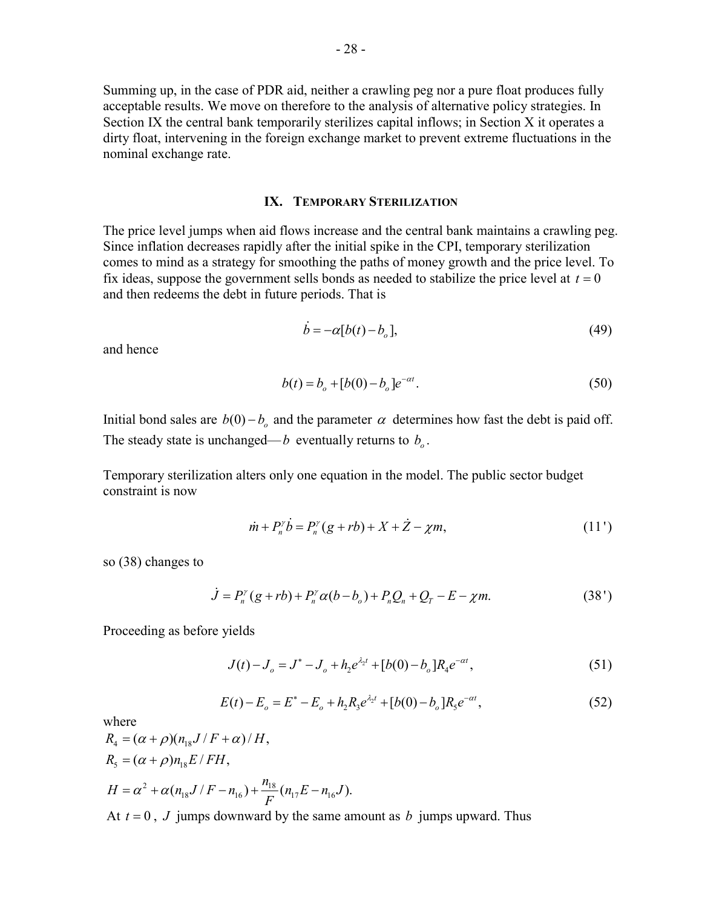Summing up, in the case of PDR aid, neither a crawling peg nor a pure float produces fully acceptable results. We move on therefore to the analysis of alternative policy strategies. In Section IX the central bank temporarily sterilizes capital inflows; in Section X it operates a dirty float, intervening in the foreign exchange market to prevent extreme fluctuations in the nominal exchange rate.

## **IX. TEMPORARY STERILIZATION**

The price level jumps when aid flows increase and the central bank maintains a crawling peg. Since inflation decreases rapidly after the initial spike in the CPI, temporary sterilization comes to mind as a strategy for smoothing the paths of money growth and the price level. To fix ideas, suppose the government sells bonds as needed to stabilize the price level at  $t = 0$ and then redeems the debt in future periods. That is

$$
\dot{b} = -\alpha[b(t) - b_o],\tag{49}
$$

and hence

$$
b(t) = b_o + [b(0) - b_o]e^{-\alpha t}.
$$
\n(50)

Initial bond sales are  $b(0) - b_0$  and the parameter  $\alpha$  determines how fast the debt is paid off. The steady state is unchanged—*b* eventually returns to  $b<sub>o</sub>$ .

Temporary sterilization alters only one equation in the model. The public sector budget constraint is now

$$
\dot{m} + P_n^{\gamma} \dot{b} = P_n^{\gamma} (g + rb) + X + \dot{Z} - \chi m, \tag{11'}
$$

so (38) changes to

$$
\dot{J} = P_n^{\gamma}(g + rb) + P_n^{\gamma}\alpha(b - b_o) + P_n Q_n + Q_T - E - \chi m.
$$
 (38')

Proceeding as before yields

$$
J(t) - J_o = J^* - J_o + h_2 e^{\lambda_2 t} + [b(0) - b_o] R_4 e^{-\alpha t},
$$
\n(51)

$$
E(t) - E_o = E^* - E_o + h_2 R_3 e^{\lambda_2 t} + [b(0) - b_o] R_5 e^{-\alpha t},
$$
\n(52)

where

$$
R_4 = (\alpha + \rho)(n_{18}J/F + \alpha) / H,
$$
  
\n
$$
R_5 = (\alpha + \rho)n_{18}E / FH,
$$
  
\n
$$
H = \alpha^2 + \alpha(n_{18}J/F - n_{16}) + \frac{n_{18}}{F}(n_{17}E - n_{16}J).
$$
  
\nAt  $t = 0$ , *J* jumps downward by the same amount as *h* jumps upward. Thus

At  $t = 0$ , *J* jumps downward by the same amount as *b* jumps upward. Thus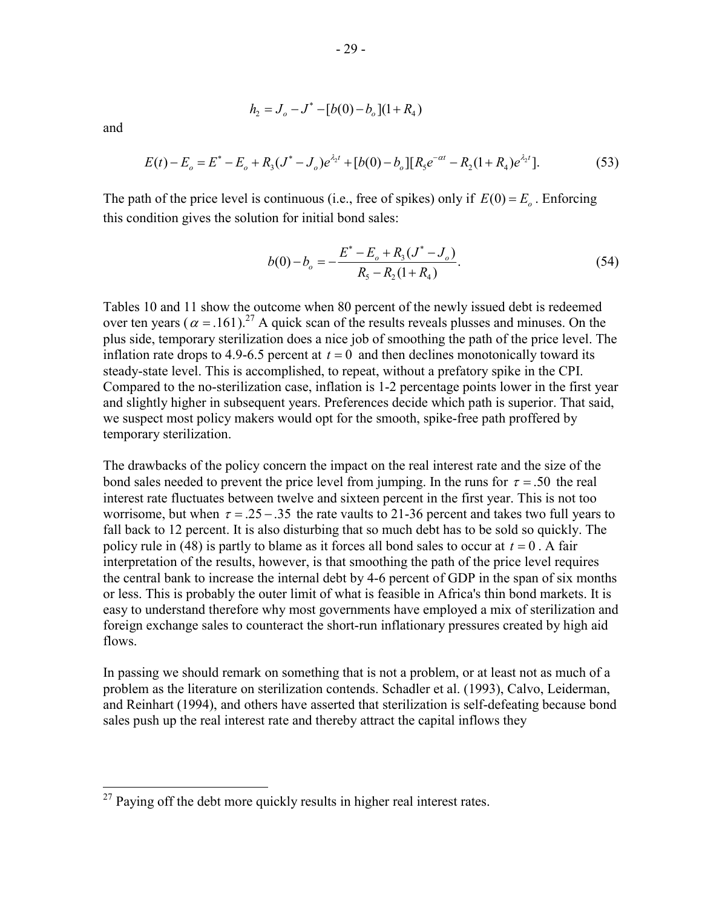and

 $\overline{a}$ 

$$
h_2 = J_o - J^* - [b(0) - b_o](1 + R_4)
$$

$$
E(t) - E_o = E^* - E_o + R_3(J^* - J_o)e^{\lambda_2 t} + [b(0) - b_o][R_5e^{-\alpha t} - R_2(1 + R_4)e^{\lambda_2 t}].
$$
\n(53)

The path of the price level is continuous (i.e., free of spikes) only if  $E(0) = E_{\alpha}$ . Enforcing this condition gives the solution for initial bond sales:

$$
b(0) - b_o = -\frac{E^* - E_o + R_3(J^* - J_o)}{R_5 - R_2(1 + R_4)}.
$$
\n(54)

Tables 10 and 11 show the outcome when 80 percent of the newly issued debt is redeemed over ten years ( $\alpha$  = .161).<sup>27</sup> A quick scan of the results reveals plusses and minuses. On the plus side, temporary sterilization does a nice job of smoothing the path of the price level. The inflation rate drops to 4.9-6.5 percent at  $t = 0$  and then declines monotonically toward its steady-state level. This is accomplished, to repeat, without a prefatory spike in the CPI. Compared to the no-sterilization case, inflation is 1-2 percentage points lower in the first year and slightly higher in subsequent years. Preferences decide which path is superior. That said, we suspect most policy makers would opt for the smooth, spike-free path proffered by temporary sterilization.

The drawbacks of the policy concern the impact on the real interest rate and the size of the bond sales needed to prevent the price level from jumping. In the runs for  $\tau = 0.50$  the real interest rate fluctuates between twelve and sixteen percent in the first year. This is not too worrisome, but when  $\tau = 0.25 - 0.35$  the rate vaults to 21-36 percent and takes two full years to fall back to 12 percent. It is also disturbing that so much debt has to be sold so quickly. The policy rule in (48) is partly to blame as it forces all bond sales to occur at  $t = 0$ . A fair interpretation of the results, however, is that smoothing the path of the price level requires the central bank to increase the internal debt by 4-6 percent of GDP in the span of six months or less. This is probably the outer limit of what is feasible in Africa's thin bond markets. It is easy to understand therefore why most governments have employed a mix of sterilization and foreign exchange sales to counteract the short-run inflationary pressures created by high aid flows.

In passing we should remark on something that is not a problem, or at least not as much of a problem as the literature on sterilization contends. Schadler et al. (1993), Calvo, Leiderman, and Reinhart (1994), and others have asserted that sterilization is self-defeating because bond sales push up the real interest rate and thereby attract the capital inflows they

 $^{27}$  Paying off the debt more quickly results in higher real interest rates.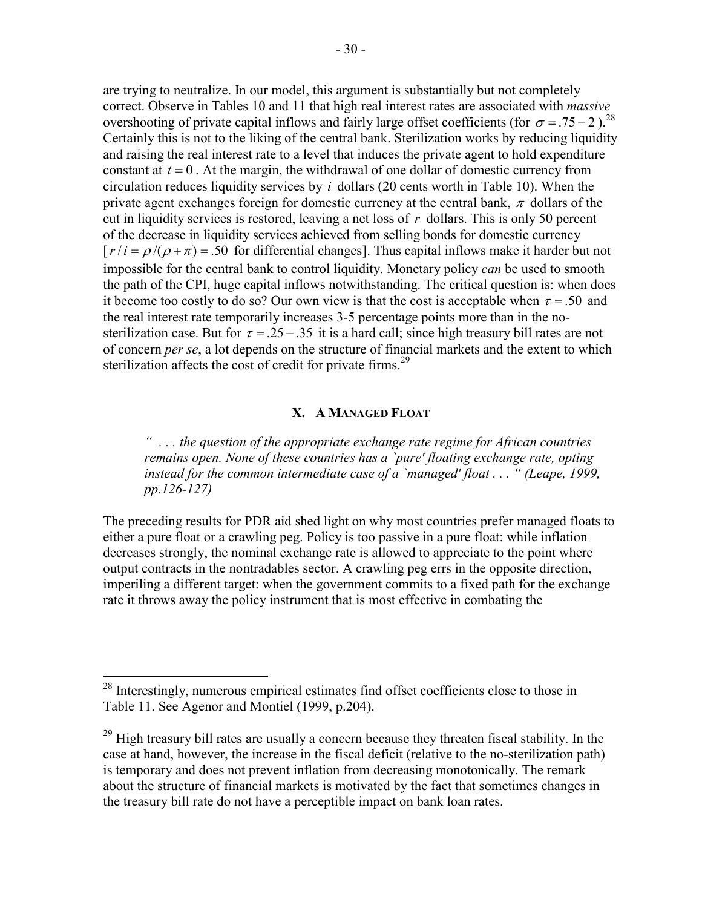are trying to neutralize. In our model, this argument is substantially but not completely correct. Observe in Tables 10 and 11 that high real interest rates are associated with *massive*  overshooting of private capital inflows and fairly large offset coefficients (for  $\sigma = .75 - 2$ ).<sup>28</sup> Certainly this is not to the liking of the central bank. Sterilization works by reducing liquidity and raising the real interest rate to a level that induces the private agent to hold expenditure constant at  $t = 0$ . At the margin, the withdrawal of one dollar of domestic currency from circulation reduces liquidity services by *i* dollars (20 cents worth in Table 10). When the private agent exchanges foreign for domestic currency at the central bank,  $\pi$  dollars of the cut in liquidity services is restored, leaving a net loss of *r* dollars. This is only 50 percent of the decrease in liquidity services achieved from selling bonds for domestic currency  $[r/i = \rho/(\rho + \pi) = .50$  for differential changes]. Thus capital inflows make it harder but not impossible for the central bank to control liquidity. Monetary policy *can* be used to smooth the path of the CPI, huge capital inflows notwithstanding. The critical question is: when does it become too costly to do so? Our own view is that the cost is acceptable when  $\tau = .50$  and the real interest rate temporarily increases 3-5 percentage points more than in the nosterilization case. But for  $\tau = 0.25 - 0.35$  it is a hard call; since high treasury bill rates are not of concern *per se*, a lot depends on the structure of financial markets and the extent to which sterilization affects the cost of credit for private firms.<sup>29</sup>

## **X. A MANAGED FLOAT**

*" . . . the question of the appropriate exchange rate regime for African countries remains open. None of these countries has a `pure' floating exchange rate, opting instead for the common intermediate case of a `managed' float . . . " (Leape, 1999, pp.126-127)* 

The preceding results for PDR aid shed light on why most countries prefer managed floats to either a pure float or a crawling peg. Policy is too passive in a pure float: while inflation decreases strongly, the nominal exchange rate is allowed to appreciate to the point where output contracts in the nontradables sector. A crawling peg errs in the opposite direction, imperiling a different target: when the government commits to a fixed path for the exchange rate it throws away the policy instrument that is most effective in combating the

<u>.</u>

 $2<sup>28</sup>$  Interestingly, numerous empirical estimates find offset coefficients close to those in Table 11. See Agenor and Montiel (1999, p.204).

 $^{29}$  High treasury bill rates are usually a concern because they threaten fiscal stability. In the case at hand, however, the increase in the fiscal deficit (relative to the no-sterilization path) is temporary and does not prevent inflation from decreasing monotonically. The remark about the structure of financial markets is motivated by the fact that sometimes changes in the treasury bill rate do not have a perceptible impact on bank loan rates.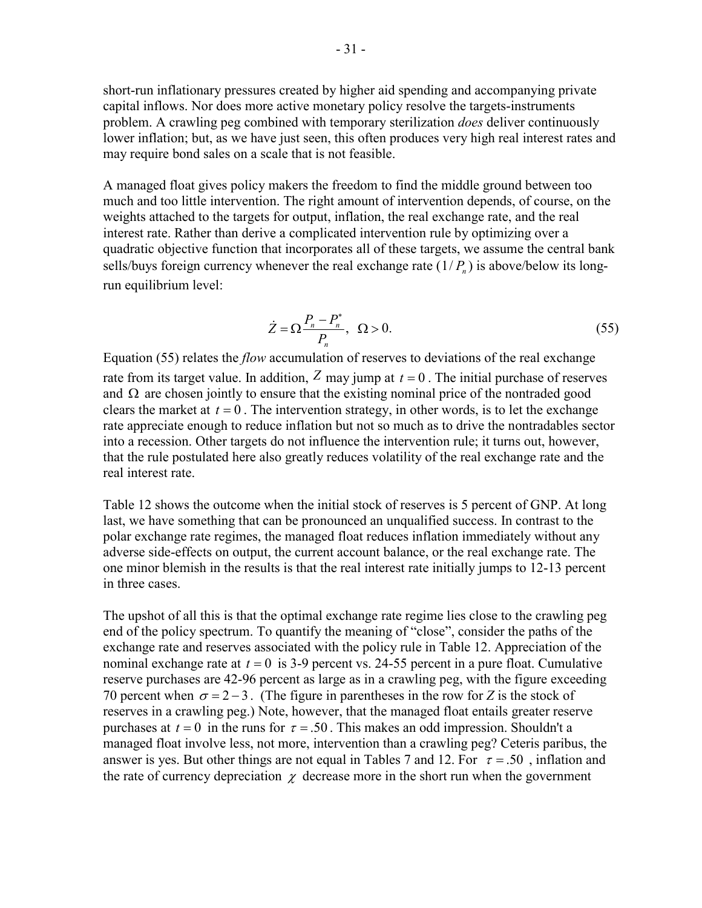short-run inflationary pressures created by higher aid spending and accompanying private capital inflows. Nor does more active monetary policy resolve the targets-instruments problem. A crawling peg combined with temporary sterilization *does* deliver continuously lower inflation; but, as we have just seen, this often produces very high real interest rates and may require bond sales on a scale that is not feasible.

A managed float gives policy makers the freedom to find the middle ground between too much and too little intervention. The right amount of intervention depends, of course, on the weights attached to the targets for output, inflation, the real exchange rate, and the real interest rate. Rather than derive a complicated intervention rule by optimizing over a quadratic objective function that incorporates all of these targets, we assume the central bank sells/buys foreign currency whenever the real exchange rate  $(1/P_n)$  is above/below its longrun equilibrium level:

$$
\dot{Z} = \Omega \frac{P_n - P_n^*}{P_n}, \ \Omega > 0. \tag{55}
$$

Equation (55) relates the *flow* accumulation of reserves to deviations of the real exchange rate from its target value. In addition,  $Z$  may jump at  $t = 0$ . The initial purchase of reserves and  $\Omega$  are chosen jointly to ensure that the existing nominal price of the nontraded good clears the market at  $t = 0$ . The intervention strategy, in other words, is to let the exchange rate appreciate enough to reduce inflation but not so much as to drive the nontradables sector into a recession. Other targets do not influence the intervention rule; it turns out, however, that the rule postulated here also greatly reduces volatility of the real exchange rate and the real interest rate.

Table 12 shows the outcome when the initial stock of reserves is 5 percent of GNP. At long last, we have something that can be pronounced an unqualified success. In contrast to the polar exchange rate regimes, the managed float reduces inflation immediately without any adverse side-effects on output, the current account balance, or the real exchange rate. The one minor blemish in the results is that the real interest rate initially jumps to 12-13 percent in three cases.

The upshot of all this is that the optimal exchange rate regime lies close to the crawling peg end of the policy spectrum. To quantify the meaning of "close", consider the paths of the exchange rate and reserves associated with the policy rule in Table 12. Appreciation of the nominal exchange rate at  $t = 0$  is 3-9 percent vs. 24-55 percent in a pure float. Cumulative reserve purchases are 42-96 percent as large as in a crawling peg, with the figure exceeding 70 percent when  $\sigma = 2 - 3$ . (The figure in parentheses in the row for *Z* is the stock of reserves in a crawling peg.) Note, however, that the managed float entails greater reserve purchases at  $t = 0$  in the runs for  $\tau = .50$ . This makes an odd impression. Shouldn't a managed float involve less, not more, intervention than a crawling peg? Ceteris paribus, the answer is yes. But other things are not equal in Tables 7 and 12. For  $\tau = .50$ , inflation and the rate of currency depreciation  $\chi$  decrease more in the short run when the government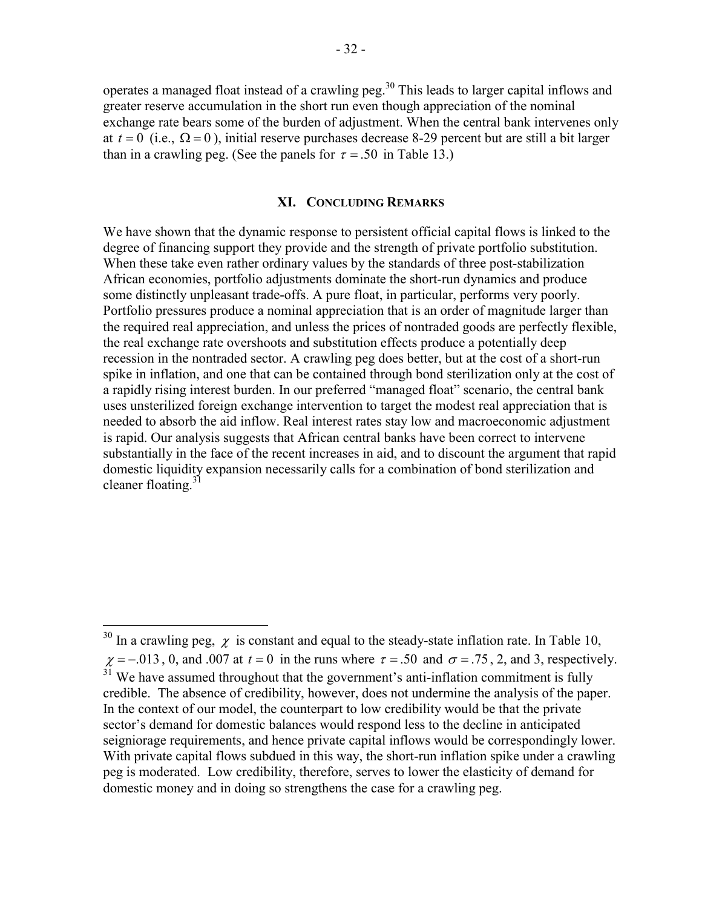operates a managed float instead of a crawling peg.<sup>30</sup> This leads to larger capital inflows and greater reserve accumulation in the short run even though appreciation of the nominal exchange rate bears some of the burden of adjustment. When the central bank intervenes only at  $t = 0$  (i.e.,  $\Omega = 0$ ), initial reserve purchases decrease 8-29 percent but are still a bit larger than in a crawling peg. (See the panels for  $\tau = 0.50$  in Table 13.)

### **XI. CONCLUDING REMARKS**

We have shown that the dynamic response to persistent official capital flows is linked to the degree of financing support they provide and the strength of private portfolio substitution. When these take even rather ordinary values by the standards of three post-stabilization African economies, portfolio adjustments dominate the short-run dynamics and produce some distinctly unpleasant trade-offs. A pure float, in particular, performs very poorly. Portfolio pressures produce a nominal appreciation that is an order of magnitude larger than the required real appreciation, and unless the prices of nontraded goods are perfectly flexible, the real exchange rate overshoots and substitution effects produce a potentially deep recession in the nontraded sector. A crawling peg does better, but at the cost of a short-run spike in inflation, and one that can be contained through bond sterilization only at the cost of a rapidly rising interest burden. In our preferred "managed float" scenario, the central bank uses unsterilized foreign exchange intervention to target the modest real appreciation that is needed to absorb the aid inflow. Real interest rates stay low and macroeconomic adjustment is rapid. Our analysis suggests that African central banks have been correct to intervene substantially in the face of the recent increases in aid, and to discount the argument that rapid domestic liquidity expansion necessarily calls for a combination of bond sterilization and cleaner floating.<sup>31</sup>

1

<sup>&</sup>lt;sup>30</sup> In a crawling peg,  $\chi$  is constant and equal to the steady-state inflation rate. In Table 10,  $\chi = -0.013$ , 0, and .007 at  $t = 0$  in the runs where  $\tau = .50$  and  $\sigma = .75$ , 2, and 3, respectively.  $31$  We have assumed throughout that the government's anti-inflation commitment is fully credible. The absence of credibility, however, does not undermine the analysis of the paper. In the context of our model, the counterpart to low credibility would be that the private sector's demand for domestic balances would respond less to the decline in anticipated seigniorage requirements, and hence private capital inflows would be correspondingly lower. With private capital flows subdued in this way, the short-run inflation spike under a crawling peg is moderated. Low credibility, therefore, serves to lower the elasticity of demand for domestic money and in doing so strengthens the case for a crawling peg.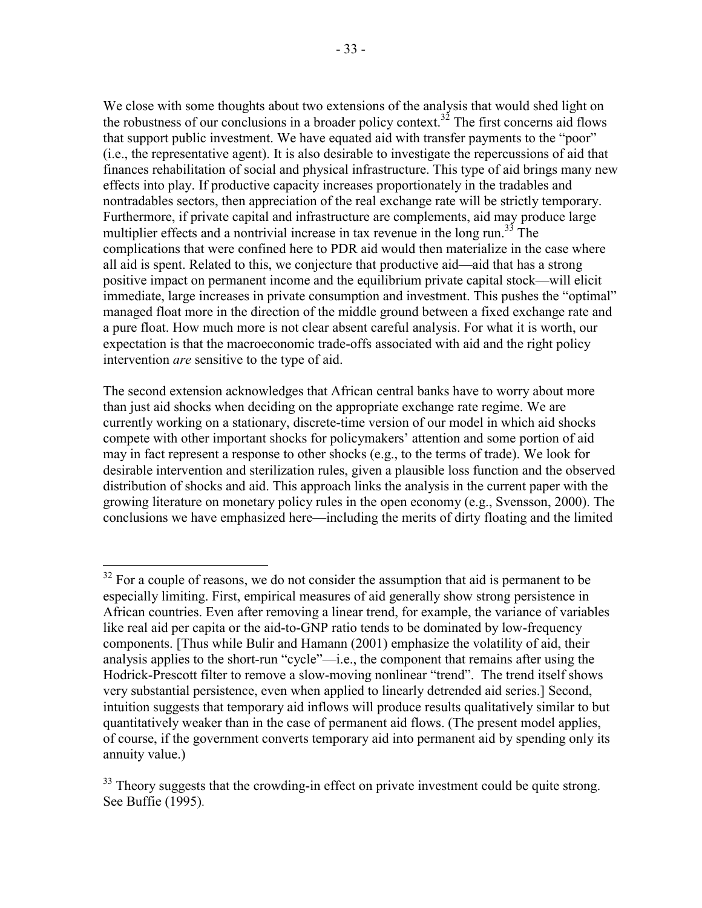We close with some thoughts about two extensions of the analysis that would shed light on the robustness of our conclusions in a broader policy context.<sup>32</sup> The first concerns aid flows that support public investment. We have equated aid with transfer payments to the "poor" (i.e., the representative agent). It is also desirable to investigate the repercussions of aid that finances rehabilitation of social and physical infrastructure. This type of aid brings many new effects into play. If productive capacity increases proportionately in the tradables and nontradables sectors, then appreciation of the real exchange rate will be strictly temporary. Furthermore, if private capital and infrastructure are complements, aid may produce large multiplier effects and a nontrivial increase in tax revenue in the long run.<sup>33</sup> The complications that were confined here to PDR aid would then materialize in the case where all aid is spent. Related to this, we conjecture that productive aid—aid that has a strong positive impact on permanent income and the equilibrium private capital stock—will elicit immediate, large increases in private consumption and investment. This pushes the "optimal" managed float more in the direction of the middle ground between a fixed exchange rate and a pure float. How much more is not clear absent careful analysis. For what it is worth, our expectation is that the macroeconomic trade-offs associated with aid and the right policy intervention *are* sensitive to the type of aid.

The second extension acknowledges that African central banks have to worry about more than just aid shocks when deciding on the appropriate exchange rate regime. We are currently working on a stationary, discrete-time version of our model in which aid shocks compete with other important shocks for policymakers' attention and some portion of aid may in fact represent a response to other shocks (e.g., to the terms of trade). We look for desirable intervention and sterilization rules, given a plausible loss function and the observed distribution of shocks and aid. This approach links the analysis in the current paper with the growing literature on monetary policy rules in the open economy (e.g., Svensson, 2000). The conclusions we have emphasized here—including the merits of dirty floating and the limited

<sup>1</sup>  $32$  For a couple of reasons, we do not consider the assumption that aid is permanent to be especially limiting. First, empirical measures of aid generally show strong persistence in African countries. Even after removing a linear trend, for example, the variance of variables like real aid per capita or the aid-to-GNP ratio tends to be dominated by low-frequency components. [Thus while Bulir and Hamann (2001) emphasize the volatility of aid, their analysis applies to the short-run "cycle"—i.e., the component that remains after using the Hodrick-Prescott filter to remove a slow-moving nonlinear "trend". The trend itself shows very substantial persistence, even when applied to linearly detrended aid series.] Second, intuition suggests that temporary aid inflows will produce results qualitatively similar to but quantitatively weaker than in the case of permanent aid flows. (The present model applies, of course, if the government converts temporary aid into permanent aid by spending only its annuity value.)

 $33$  Theory suggests that the crowding-in effect on private investment could be quite strong. See Buffie (1995).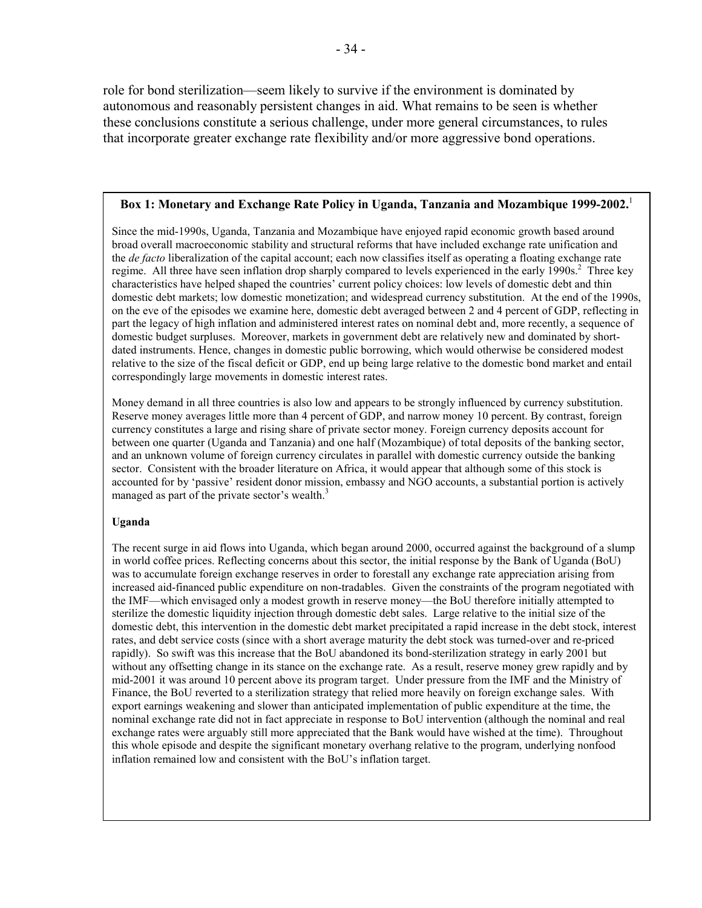role for bond sterilization—seem likely to survive if the environment is dominated by autonomous and reasonably persistent changes in aid. What remains to be seen is whether these conclusions constitute a serious challenge, under more general circumstances, to rules that incorporate greater exchange rate flexibility and/or more aggressive bond operations.

#### **Box 1: Monetary and Exchange Rate Policy in Uganda, Tanzania and Mozambique 1999-2002.**<sup>1</sup>

Since the mid-1990s, Uganda, Tanzania and Mozambique have enjoyed rapid economic growth based around broad overall macroeconomic stability and structural reforms that have included exchange rate unification and the *de facto* liberalization of the capital account; each now classifies itself as operating a floating exchange rate regime. All three have seen inflation drop sharply compared to levels experienced in the early 1990s.<sup>2</sup> Three key characteristics have helped shaped the countries' current policy choices: low levels of domestic debt and thin domestic debt markets; low domestic monetization; and widespread currency substitution. At the end of the 1990s, on the eve of the episodes we examine here, domestic debt averaged between 2 and 4 percent of GDP, reflecting in part the legacy of high inflation and administered interest rates on nominal debt and, more recently, a sequence of domestic budget surpluses. Moreover, markets in government debt are relatively new and dominated by shortdated instruments. Hence, changes in domestic public borrowing, which would otherwise be considered modest relative to the size of the fiscal deficit or GDP, end up being large relative to the domestic bond market and entail correspondingly large movements in domestic interest rates.

Money demand in all three countries is also low and appears to be strongly influenced by currency substitution. Reserve money averages little more than 4 percent of GDP, and narrow money 10 percent. By contrast, foreign currency constitutes a large and rising share of private sector money. Foreign currency deposits account for between one quarter (Uganda and Tanzania) and one half (Mozambique) of total deposits of the banking sector, and an unknown volume of foreign currency circulates in parallel with domestic currency outside the banking sector. Consistent with the broader literature on Africa, it would appear that although some of this stock is accounted for by 'passive' resident donor mission, embassy and NGO accounts, a substantial portion is actively managed as part of the private sector's wealth.<sup>3</sup>

#### **Uganda**

The recent surge in aid flows into Uganda, which began around 2000, occurred against the background of a slump in world coffee prices. Reflecting concerns about this sector, the initial response by the Bank of Uganda (BoU) was to accumulate foreign exchange reserves in order to forestall any exchange rate appreciation arising from increased aid-financed public expenditure on non-tradables. Given the constraints of the program negotiated with the IMF—which envisaged only a modest growth in reserve money—the BoU therefore initially attempted to sterilize the domestic liquidity injection through domestic debt sales. Large relative to the initial size of the domestic debt, this intervention in the domestic debt market precipitated a rapid increase in the debt stock, interest rates, and debt service costs (since with a short average maturity the debt stock was turned-over and re-priced rapidly). So swift was this increase that the BoU abandoned its bond-sterilization strategy in early 2001 but without any offsetting change in its stance on the exchange rate. As a result, reserve money grew rapidly and by mid-2001 it was around 10 percent above its program target. Under pressure from the IMF and the Ministry of Finance, the BoU reverted to a sterilization strategy that relied more heavily on foreign exchange sales. With export earnings weakening and slower than anticipated implementation of public expenditure at the time, the nominal exchange rate did not in fact appreciate in response to BoU intervention (although the nominal and real exchange rates were arguably still more appreciated that the Bank would have wished at the time). Throughout this whole episode and despite the significant monetary overhang relative to the program, underlying nonfood inflation remained low and consistent with the BoU's inflation target.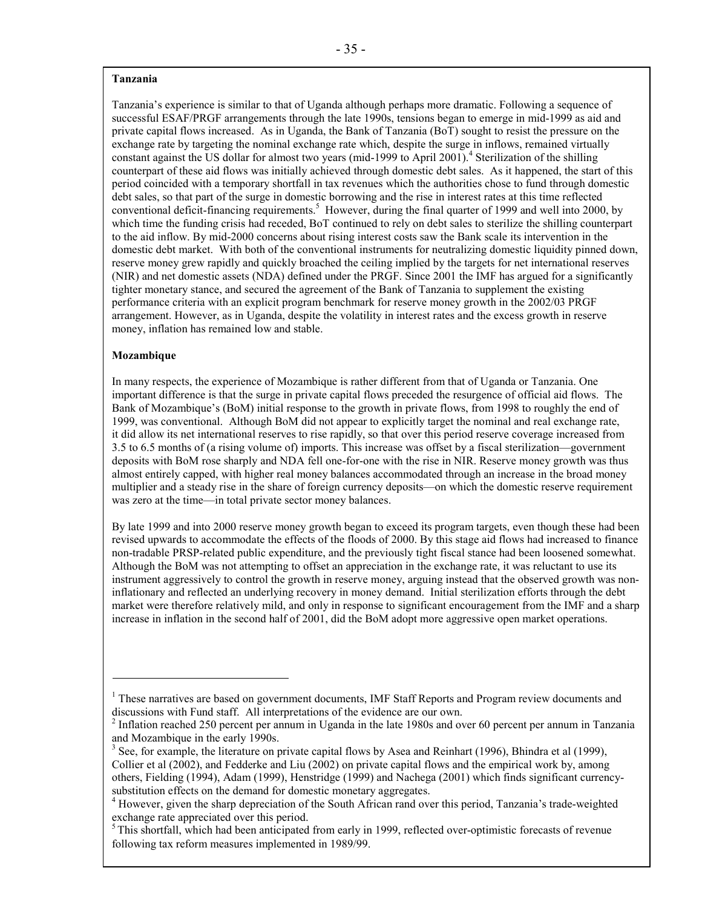#### **Tanzania**

Tanzania's experience is similar to that of Uganda although perhaps more dramatic. Following a sequence of successful ESAF/PRGF arrangements through the late 1990s, tensions began to emerge in mid-1999 as aid and private capital flows increased. As in Uganda, the Bank of Tanzania (BoT) sought to resist the pressure on the exchange rate by targeting the nominal exchange rate which, despite the surge in inflows, remained virtually constant against the US dollar for almost two years (mid-1999 to April 2001).<sup>4</sup> Sterilization of the shilling counterpart of these aid flows was initially achieved through domestic debt sales. As it happened, the start of this period coincided with a temporary shortfall in tax revenues which the authorities chose to fund through domestic debt sales, so that part of the surge in domestic borrowing and the rise in interest rates at this time reflected conventional deficit-financing requirements.<sup>5</sup> However, during the final quarter of 1999 and well into 2000, by which time the funding crisis had receded, BoT continued to rely on debt sales to sterilize the shilling counterpart to the aid inflow. By mid-2000 concerns about rising interest costs saw the Bank scale its intervention in the domestic debt market. With both of the conventional instruments for neutralizing domestic liquidity pinned down, reserve money grew rapidly and quickly broached the ceiling implied by the targets for net international reserves (NIR) and net domestic assets (NDA) defined under the PRGF. Since 2001 the IMF has argued for a significantly tighter monetary stance, and secured the agreement of the Bank of Tanzania to supplement the existing performance criteria with an explicit program benchmark for reserve money growth in the 2002/03 PRGF arrangement. However, as in Uganda, despite the volatility in interest rates and the excess growth in reserve money, inflation has remained low and stable.

#### **Mozambique**

In many respects, the experience of Mozambique is rather different from that of Uganda or Tanzania. One important difference is that the surge in private capital flows preceded the resurgence of official aid flows. The Bank of Mozambique's (BoM) initial response to the growth in private flows, from 1998 to roughly the end of 1999, was conventional. Although BoM did not appear to explicitly target the nominal and real exchange rate, it did allow its net international reserves to rise rapidly, so that over this period reserve coverage increased from 3.5 to 6.5 months of (a rising volume of) imports. This increase was offset by a fiscal sterilization—government deposits with BoM rose sharply and NDA fell one-for-one with the rise in NIR. Reserve money growth was thus almost entirely capped, with higher real money balances accommodated through an increase in the broad money multiplier and a steady rise in the share of foreign currency deposits—on which the domestic reserve requirement was zero at the time—in total private sector money balances.

By late 1999 and into 2000 reserve money growth began to exceed its program targets, even though these had been revised upwards to accommodate the effects of the floods of 2000. By this stage aid flows had increased to finance non-tradable PRSP-related public expenditure, and the previously tight fiscal stance had been loosened somewhat. Although the BoM was not attempting to offset an appreciation in the exchange rate, it was reluctant to use its instrument aggressively to control the growth in reserve money, arguing instead that the observed growth was noninflationary and reflected an underlying recovery in money demand. Initial sterilization efforts through the debt market were therefore relatively mild, and only in response to significant encouragement from the IMF and a sharp increase in inflation in the second half of 2001, did the BoM adopt more aggressive open market operations.

<sup>&</sup>lt;sup>1</sup> These narratives are based on government documents, IMF Staff Reports and Program review documents and discussions with Fund staff. All interpretations of the evidence are our own.

 $2$  Inflation reached 250 percent per annum in Uganda in the late 1980s and over 60 percent per annum in Tanzania and Mozambique in the early 1990s.

 $3$  See, for example, the literature on private capital flows by Asea and Reinhart (1996), Bhindra et al (1999), Collier et al (2002), and Fedderke and Liu (2002) on private capital flows and the empirical work by, among others, Fielding (1994), Adam (1999), Henstridge (1999) and Nachega (2001) which finds significant currencysubstitution effects on the demand for domestic monetary aggregates.

<sup>&</sup>lt;sup>4</sup> However, given the sharp depreciation of the South African rand over this period, Tanzania's trade-weighted exchange rate appreciated over this period.

 $<sup>5</sup>$  This shortfall, which had been anticipated from early in 1999, reflected over-optimistic forecasts of revenue</sup> following tax reform measures implemented in 1989/99.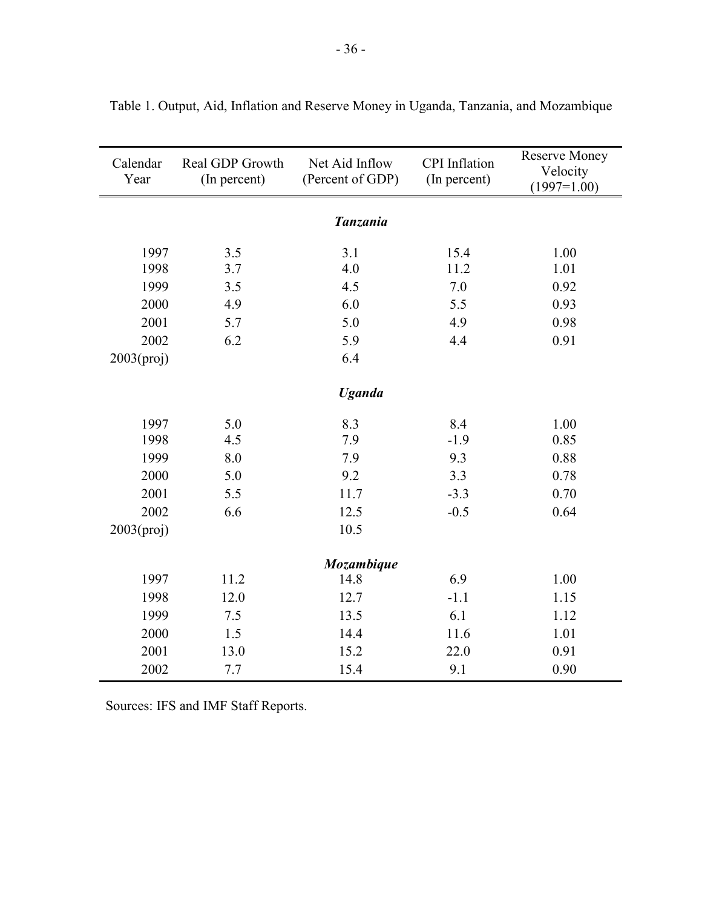| Calendar<br>Year | Real GDP Growth<br>(In percent) | Net Aid Inflow<br>(Percent of GDP) | <b>CPI</b> Inflation<br>(In percent) | <b>Reserve Money</b><br>Velocity<br>$(1997=1.00)$ |
|------------------|---------------------------------|------------------------------------|--------------------------------------|---------------------------------------------------|
|                  |                                 | <b>Tanzania</b>                    |                                      |                                                   |
| 1997             | 3.5                             | 3.1                                | 15.4                                 | 1.00                                              |
| 1998             | 3.7                             | 4.0                                | 11.2                                 | 1.01                                              |
| 1999             | 3.5                             | 4.5                                | 7.0                                  | 0.92                                              |
| 2000             | 4.9                             | 6.0                                | 5.5                                  | 0.93                                              |
| 2001             | 5.7                             | 5.0                                | 4.9                                  | 0.98                                              |
| 2002             | 6.2                             | 5.9                                | 4.4                                  | 0.91                                              |
| 2003(proj)       |                                 | 6.4                                |                                      |                                                   |
|                  |                                 | <b>Uganda</b>                      |                                      |                                                   |
|                  |                                 |                                    |                                      |                                                   |
| 1997             | 5.0                             | 8.3                                | 8.4                                  | 1.00                                              |
| 1998             | 4.5                             | 7.9                                | $-1.9$                               | 0.85                                              |
| 1999             | 8.0                             | 7.9                                | 9.3                                  | 0.88                                              |
| 2000             | 5.0                             | 9.2                                | 3.3                                  | 0.78                                              |
| 2001             | 5.5                             | 11.7                               | $-3.3$                               | 0.70                                              |
| 2002             | 6.6                             | 12.5                               | $-0.5$                               | 0.64                                              |
| 2003(proj)       |                                 | 10.5                               |                                      |                                                   |
|                  |                                 | Mozambique                         |                                      |                                                   |
| 1997             | 11.2                            | 14.8                               | 6.9                                  | 1.00                                              |
| 1998             | 12.0                            | 12.7                               | $-1.1$                               | 1.15                                              |
| 1999             | 7.5                             | 13.5                               | 6.1                                  | 1.12                                              |
| 2000             | 1.5                             | 14.4                               | 11.6                                 | 1.01                                              |
| 2001             | 13.0                            | 15.2                               | 22.0                                 | 0.91                                              |
| 2002             | 7.7                             | 15.4                               | 9.1                                  | 0.90                                              |

Table 1. Output, Aid, Inflation and Reserve Money in Uganda, Tanzania, and Mozambique

Sources: IFS and IMF Staff Reports.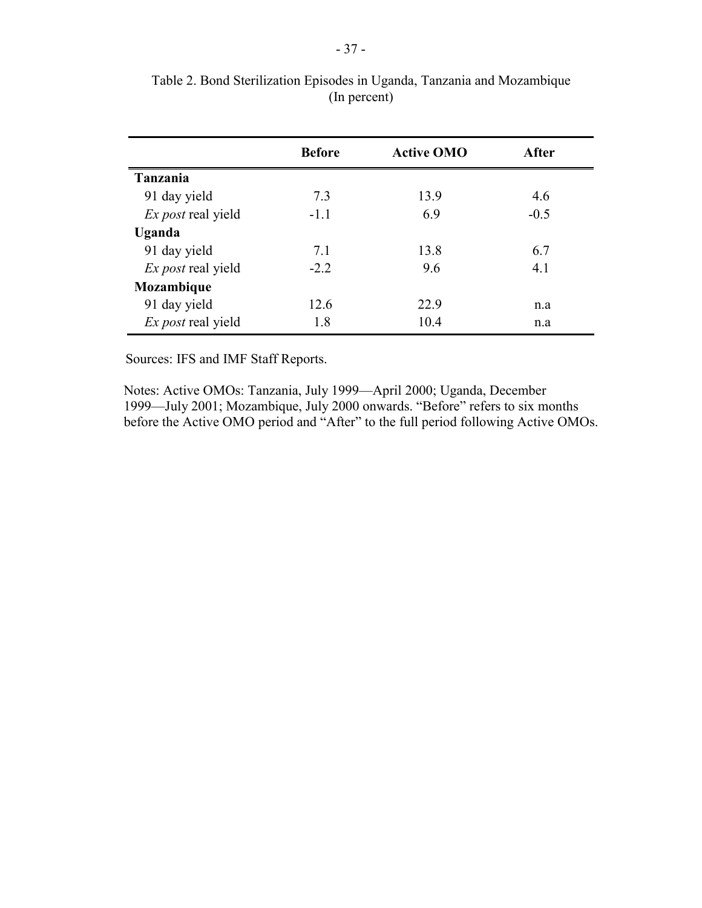|                           | <b>Before</b> | <b>Active OMO</b> | After  |
|---------------------------|---------------|-------------------|--------|
| Tanzania                  |               |                   |        |
| 91 day yield              | 7.3           | 13.9              | 4.6    |
| <i>Ex post</i> real yield | $-1.1$        | 6.9               | $-0.5$ |
| Uganda                    |               |                   |        |
| 91 day yield              | 7.1           | 13.8              | 6.7    |
| <i>Ex post</i> real yield | $-2.2$        | 9.6               | 4.1    |
| Mozambique                |               |                   |        |
| 91 day yield              | 12.6          | 22.9              | n.a    |
| <i>Ex post</i> real yield | 1.8           | 10.4              | n.a    |

Table 2. Bond Sterilization Episodes in Uganda, Tanzania and Mozambique (In percent)

Sources: IFS and IMF Staff Reports.

Notes: Active OMOs: Tanzania, July 1999—April 2000; Uganda, December 1999—July 2001; Mozambique, July 2000 onwards. "Before" refers to six months before the Active OMO period and "After" to the full period following Active OMOs.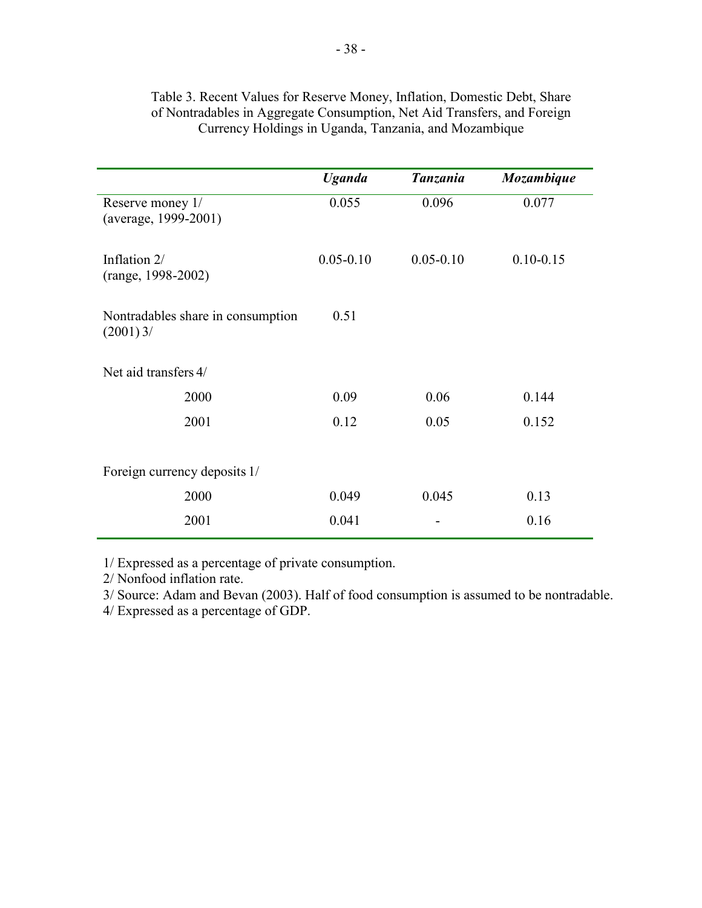|                                                  | <b>Uganda</b> | <b>Tanzania</b> | Mozambique    |
|--------------------------------------------------|---------------|-----------------|---------------|
| Reserve money 1/<br>(average, 1999-2001)         | 0.055         | 0.096           | 0.077         |
| Inflation 2/<br>(range, 1998-2002)               | $0.05 - 0.10$ | $0.05 - 0.10$   | $0.10 - 0.15$ |
| Nontradables share in consumption<br>$(2001)$ 3/ | 0.51          |                 |               |
| Net aid transfers 4/                             |               |                 |               |
| 2000                                             | 0.09          | 0.06            | 0.144         |
| 2001                                             | 0.12          | 0.05            | 0.152         |
| Foreign currency deposits 1/                     |               |                 |               |
| 2000                                             | 0.049         | 0.045           | 0.13          |
| 2001                                             | 0.041         |                 | 0.16          |

## Table 3. Recent Values for Reserve Money, Inflation, Domestic Debt, Share of Nontradables in Aggregate Consumption, Net Aid Transfers, and Foreign Currency Holdings in Uganda, Tanzania, and Mozambique

1/ Expressed as a percentage of private consumption.

2/ Nonfood inflation rate.

3/ Source: Adam and Bevan (2003). Half of food consumption is assumed to be nontradable.

4/ Expressed as a percentage of GDP.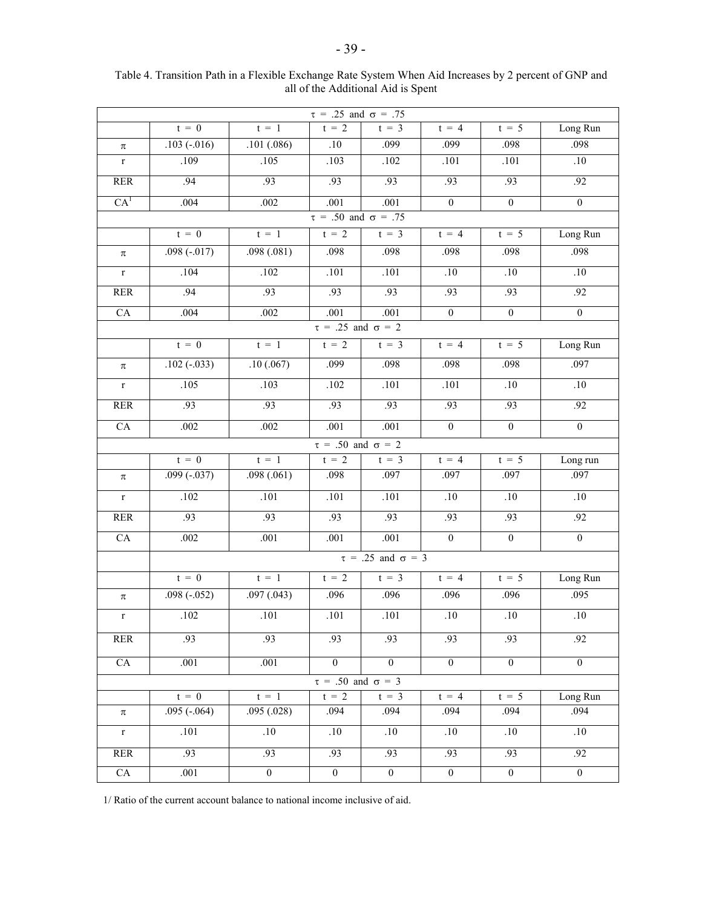| $\tau = .25$ and $\sigma = .75$ |                               |                  |                                            |                               |                  |                  |                  |  |  |  |  |  |
|---------------------------------|-------------------------------|------------------|--------------------------------------------|-------------------------------|------------------|------------------|------------------|--|--|--|--|--|
|                                 | $t = 0$                       | $t = 1$          | $t = 2$                                    | $t = 3$                       | $t = 4$          | $t = 5$          | Long Run         |  |  |  |  |  |
| $\pi$                           | $.103(-.016)$                 | .101(.086)       | .10                                        | .099                          | .099             | .098             | .098             |  |  |  |  |  |
| $\mathbf r$                     | .109                          | .105             | .103                                       | .102                          | .101             | $.101$           | .10              |  |  |  |  |  |
| <b>RER</b>                      | $\overline{.94}$              | .93              | .93                                        | .93                           | .93              | .93              | .92              |  |  |  |  |  |
| CA <sup>1</sup>                 | .004                          | .002             | .001                                       | .001                          | $\overline{0}$   | $\overline{0}$   | $\overline{0}$   |  |  |  |  |  |
|                                 |                               |                  | $\overline{\tau}$ = .50 and $\sigma$ = .75 |                               |                  |                  |                  |  |  |  |  |  |
|                                 | $t = 0$                       | $t = 1$          | $t = 2$                                    | $t = 3$                       | $t = 4$          | $t = 5$          | Long Run         |  |  |  |  |  |
| $\pi$                           | $.098(-.017)$                 | .098(.081)       | .098                                       | .098                          | .098             | .098             | .098             |  |  |  |  |  |
| $\mathbf r$                     | .104                          | .102             | .101                                       | .101                          | .10              | .10              | .10              |  |  |  |  |  |
| <b>RER</b>                      | $-94$                         | .93              | .93                                        | .93                           | .93              | .93              | .92              |  |  |  |  |  |
| CA                              | .004                          | $.002\,$         | .001                                       | .001                          | $\boldsymbol{0}$ | $\boldsymbol{0}$ | $\boldsymbol{0}$ |  |  |  |  |  |
| $\tau = .25$ and $\sigma = 2$   |                               |                  |                                            |                               |                  |                  |                  |  |  |  |  |  |
|                                 | $t = 0$                       | $t = 1$          | $t = 2$                                    | $t = 3$                       | $t = 4$          | $t = 5$          | Long Run         |  |  |  |  |  |
| $\pi$                           | $.102 (-033)$                 | .10(.067)        | .099                                       | .098                          | .098             | .098             | .097             |  |  |  |  |  |
| $\mathbf r$                     | .105                          | .103             | .102                                       | .101                          | .101             | .10              | .10              |  |  |  |  |  |
| <b>RER</b>                      | .93                           | .93              | .93                                        | .93                           | .93              | .93              | .92              |  |  |  |  |  |
| CA                              | .002                          | .002             | .001                                       | .001                          | $\boldsymbol{0}$ | $\boldsymbol{0}$ | $\overline{0}$   |  |  |  |  |  |
|                                 | $\tau = .50$ and $\sigma = 2$ |                  |                                            |                               |                  |                  |                  |  |  |  |  |  |
|                                 | $t = 0$                       | $t = 1$          | $t = 2$                                    | $t = 3$                       | $t = 4$          | $t = 5$          | Long run         |  |  |  |  |  |
| π                               | $.099(-.037)$                 | .098(.061)       | .098                                       | .097                          | .097             | .097             | .097             |  |  |  |  |  |
| $\mathbf{r}$                    | .102                          | .101             | .101                                       | .101                          | .10              | .10              | .10              |  |  |  |  |  |
| <b>RER</b>                      | .93                           | .93              | .93                                        | .93                           | .93              | .93              | .92              |  |  |  |  |  |
| CA                              | .002                          | .001             | .001                                       | .001                          | $\mathbf{0}$     | $\boldsymbol{0}$ | $\overline{0}$   |  |  |  |  |  |
|                                 |                               |                  |                                            | $\tau = .25$ and $\sigma = 3$ |                  |                  |                  |  |  |  |  |  |
|                                 | $t = 0$                       | $t = 1$          | $t = 2$                                    | $t = 3$                       | $t = 4$          | $t = 5$          | Long Run         |  |  |  |  |  |
| $\pi$                           | $.098 (-052)$                 | .097(.043)       | .096                                       | .096                          | .096             | .096             | .095             |  |  |  |  |  |
| $\mathbf r$                     | .102                          | .101             | .101                                       | .101                          | .10              | .10              | .10              |  |  |  |  |  |
| <b>RER</b>                      | .93                           | .93              | .93                                        | .93                           | .93              | .93              | .92              |  |  |  |  |  |
| CA                              | .001                          | .001             | $\overline{0}$                             | $\overline{0}$                | $\overline{0}$   | $\overline{0}$   | $\overline{0}$   |  |  |  |  |  |
|                                 |                               |                  | $\tau = .50$ and $\sigma = 3$              |                               |                  |                  |                  |  |  |  |  |  |
|                                 | $t = 0$                       | $t = 1$          | $t = 2$                                    | $t = 3$                       | $t = 4$          | $t = 5$          | Long Run         |  |  |  |  |  |
| $\pi$                           | $.095(-.064)$                 | .095(.028)       | .094                                       | .094                          | .094             | .094             | .094             |  |  |  |  |  |
| $\mathbf r$                     | .101                          | .10              | .10                                        | $.10\,$                       | .10              | .10              | $.10\,$          |  |  |  |  |  |
| <b>RER</b>                      | .93                           | .93              | .93                                        | .93                           | .93              | .93              | .92              |  |  |  |  |  |
| ${\rm CA}$                      | $\overline{.}001$             | $\boldsymbol{0}$ | $\boldsymbol{0}$                           | $\boldsymbol{0}$              | $\boldsymbol{0}$ | $\boldsymbol{0}$ | $\boldsymbol{0}$ |  |  |  |  |  |

#### Table 4. Transition Path in a Flexible Exchange Rate System When Aid Increases by 2 percent of GNP and all of the Additional Aid is Spent

1/ Ratio of the current account balance to national income inclusive of aid.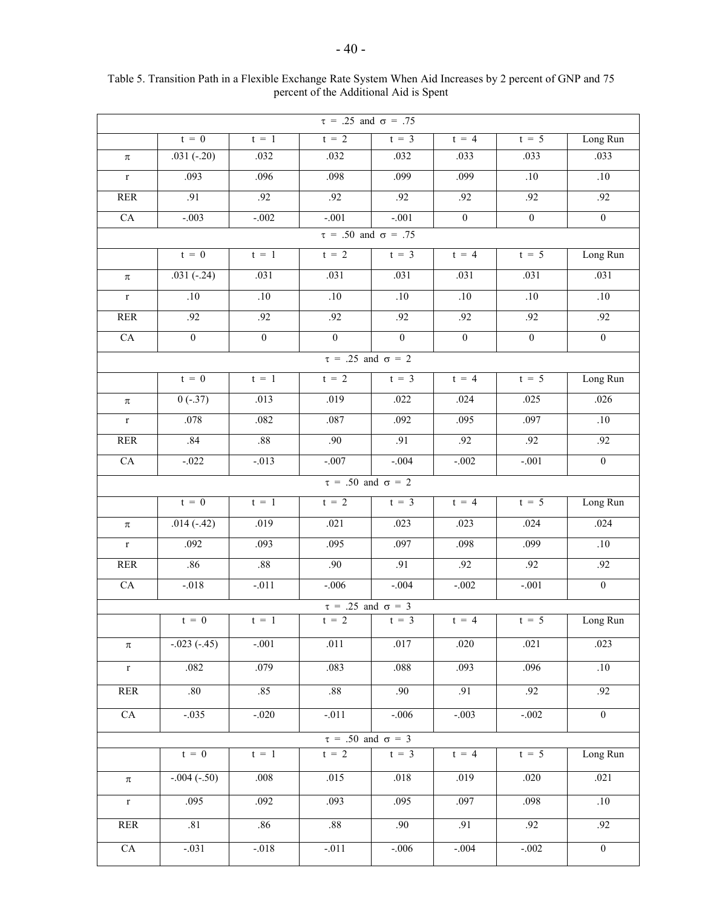| $t = 0$<br>$t = 2$<br>$t = 4$<br>$t = 5$<br>Long Run<br>$t = 3$<br>$t = 1$<br>$.031(-.20)$<br>.032<br>.033<br>.032<br>.032<br>.033<br>.033<br>$\pi$<br>.093<br>.098<br>.099<br>.099<br>$.10\,$<br>$.10\,$<br>.096<br>$\mathbf r$<br>.91<br>.92<br>.92<br>.92<br>.92<br>.92<br>.92<br>$\ensuremath{\mathsf{RER}}$<br>$\overline{0}$<br>$-.001$<br>$-.001$<br>$\overline{0}$<br>${\rm CA}$<br>$-.003$<br>$-.002$<br>$\boldsymbol{0}$<br>$\tau = .50$ and $\sigma = .75$<br>$t = 2$<br>Long Run<br>$t = 0$<br>$t = 1$<br>$t = 3$<br>$t = 4$<br>$t = 5$<br>$.031(-.24)$<br>.031<br>.031<br>.031<br>.031<br>.031<br>.031<br>$\pi$<br>.10<br>.10<br>.10<br>.10<br>.10<br>.10<br>$.10\,$<br>$\mathbf r$<br>.92<br>.92<br>.92<br>.92<br>.92<br>.92<br><b>RER</b><br>.92<br>$\overline{0}$<br>$\overline{0}$<br>CA<br>$\overline{0}$<br>$\overline{0}$<br>$\overline{0}$<br>$\overline{0}$<br>$\overline{0}$<br>$\tau = .25$ and $\sigma = 2$<br>Long Run<br>$t = 0$<br>$t = 2$<br>$t = 1$<br>$t = 3$<br>$t = 4$<br>$t = 5$<br>.019<br>.022<br>.026<br>$0(-.37)$<br>.013<br>.024<br>.025<br>$\pi$<br>.078<br>.082<br>.095<br>.10<br>.087<br>.092<br>.097<br>$\mathbf r$<br>.84<br>.88<br>.90<br>.92<br>.91<br>.92<br>.92<br><b>RER</b><br>CA<br>$-.007$<br>$-0.004$<br>$\overline{0}$<br>$-.022$<br>$-.013$<br>$-.002$<br>$-.001$<br>$\tau = .50$ and $\sigma = 2$<br>$t = 2$<br>Long Run<br>$t = 0$<br>$t = 1$<br>$t = 3$<br>$t = 4$<br>$t = 5$<br>.024<br>$.014(-.42)$<br>.019<br>.021<br>.023<br>.024<br>.023<br>$\pi$<br>.092<br>.093<br>.095<br>.097<br>.098<br>.099<br>.10<br>$\mathbf r$<br>.86<br>.88<br>.90<br>.92<br>.91<br>.92<br>.92<br>RER<br>CA<br>$-.006$<br>$-.002$<br>$\overline{0}$<br>$-.018$<br>$-.011$<br>$-.004$<br>$-.001$ | $\tau = .25$ and $\sigma = .75$ |  |  |  |  |  |  |  |  |  |  |  |  |
|------------------------------------------------------------------------------------------------------------------------------------------------------------------------------------------------------------------------------------------------------------------------------------------------------------------------------------------------------------------------------------------------------------------------------------------------------------------------------------------------------------------------------------------------------------------------------------------------------------------------------------------------------------------------------------------------------------------------------------------------------------------------------------------------------------------------------------------------------------------------------------------------------------------------------------------------------------------------------------------------------------------------------------------------------------------------------------------------------------------------------------------------------------------------------------------------------------------------------------------------------------------------------------------------------------------------------------------------------------------------------------------------------------------------------------------------------------------------------------------------------------------------------------------------------------------------------------------------------------------------------------------------------------------------------------------------------------------------------------------|---------------------------------|--|--|--|--|--|--|--|--|--|--|--|--|
|                                                                                                                                                                                                                                                                                                                                                                                                                                                                                                                                                                                                                                                                                                                                                                                                                                                                                                                                                                                                                                                                                                                                                                                                                                                                                                                                                                                                                                                                                                                                                                                                                                                                                                                                          |                                 |  |  |  |  |  |  |  |  |  |  |  |  |
|                                                                                                                                                                                                                                                                                                                                                                                                                                                                                                                                                                                                                                                                                                                                                                                                                                                                                                                                                                                                                                                                                                                                                                                                                                                                                                                                                                                                                                                                                                                                                                                                                                                                                                                                          |                                 |  |  |  |  |  |  |  |  |  |  |  |  |
|                                                                                                                                                                                                                                                                                                                                                                                                                                                                                                                                                                                                                                                                                                                                                                                                                                                                                                                                                                                                                                                                                                                                                                                                                                                                                                                                                                                                                                                                                                                                                                                                                                                                                                                                          |                                 |  |  |  |  |  |  |  |  |  |  |  |  |
|                                                                                                                                                                                                                                                                                                                                                                                                                                                                                                                                                                                                                                                                                                                                                                                                                                                                                                                                                                                                                                                                                                                                                                                                                                                                                                                                                                                                                                                                                                                                                                                                                                                                                                                                          |                                 |  |  |  |  |  |  |  |  |  |  |  |  |
|                                                                                                                                                                                                                                                                                                                                                                                                                                                                                                                                                                                                                                                                                                                                                                                                                                                                                                                                                                                                                                                                                                                                                                                                                                                                                                                                                                                                                                                                                                                                                                                                                                                                                                                                          |                                 |  |  |  |  |  |  |  |  |  |  |  |  |
|                                                                                                                                                                                                                                                                                                                                                                                                                                                                                                                                                                                                                                                                                                                                                                                                                                                                                                                                                                                                                                                                                                                                                                                                                                                                                                                                                                                                                                                                                                                                                                                                                                                                                                                                          |                                 |  |  |  |  |  |  |  |  |  |  |  |  |
|                                                                                                                                                                                                                                                                                                                                                                                                                                                                                                                                                                                                                                                                                                                                                                                                                                                                                                                                                                                                                                                                                                                                                                                                                                                                                                                                                                                                                                                                                                                                                                                                                                                                                                                                          |                                 |  |  |  |  |  |  |  |  |  |  |  |  |
|                                                                                                                                                                                                                                                                                                                                                                                                                                                                                                                                                                                                                                                                                                                                                                                                                                                                                                                                                                                                                                                                                                                                                                                                                                                                                                                                                                                                                                                                                                                                                                                                                                                                                                                                          |                                 |  |  |  |  |  |  |  |  |  |  |  |  |
|                                                                                                                                                                                                                                                                                                                                                                                                                                                                                                                                                                                                                                                                                                                                                                                                                                                                                                                                                                                                                                                                                                                                                                                                                                                                                                                                                                                                                                                                                                                                                                                                                                                                                                                                          |                                 |  |  |  |  |  |  |  |  |  |  |  |  |
|                                                                                                                                                                                                                                                                                                                                                                                                                                                                                                                                                                                                                                                                                                                                                                                                                                                                                                                                                                                                                                                                                                                                                                                                                                                                                                                                                                                                                                                                                                                                                                                                                                                                                                                                          |                                 |  |  |  |  |  |  |  |  |  |  |  |  |
|                                                                                                                                                                                                                                                                                                                                                                                                                                                                                                                                                                                                                                                                                                                                                                                                                                                                                                                                                                                                                                                                                                                                                                                                                                                                                                                                                                                                                                                                                                                                                                                                                                                                                                                                          |                                 |  |  |  |  |  |  |  |  |  |  |  |  |
|                                                                                                                                                                                                                                                                                                                                                                                                                                                                                                                                                                                                                                                                                                                                                                                                                                                                                                                                                                                                                                                                                                                                                                                                                                                                                                                                                                                                                                                                                                                                                                                                                                                                                                                                          |                                 |  |  |  |  |  |  |  |  |  |  |  |  |
|                                                                                                                                                                                                                                                                                                                                                                                                                                                                                                                                                                                                                                                                                                                                                                                                                                                                                                                                                                                                                                                                                                                                                                                                                                                                                                                                                                                                                                                                                                                                                                                                                                                                                                                                          |                                 |  |  |  |  |  |  |  |  |  |  |  |  |
|                                                                                                                                                                                                                                                                                                                                                                                                                                                                                                                                                                                                                                                                                                                                                                                                                                                                                                                                                                                                                                                                                                                                                                                                                                                                                                                                                                                                                                                                                                                                                                                                                                                                                                                                          |                                 |  |  |  |  |  |  |  |  |  |  |  |  |
|                                                                                                                                                                                                                                                                                                                                                                                                                                                                                                                                                                                                                                                                                                                                                                                                                                                                                                                                                                                                                                                                                                                                                                                                                                                                                                                                                                                                                                                                                                                                                                                                                                                                                                                                          |                                 |  |  |  |  |  |  |  |  |  |  |  |  |
|                                                                                                                                                                                                                                                                                                                                                                                                                                                                                                                                                                                                                                                                                                                                                                                                                                                                                                                                                                                                                                                                                                                                                                                                                                                                                                                                                                                                                                                                                                                                                                                                                                                                                                                                          |                                 |  |  |  |  |  |  |  |  |  |  |  |  |
|                                                                                                                                                                                                                                                                                                                                                                                                                                                                                                                                                                                                                                                                                                                                                                                                                                                                                                                                                                                                                                                                                                                                                                                                                                                                                                                                                                                                                                                                                                                                                                                                                                                                                                                                          |                                 |  |  |  |  |  |  |  |  |  |  |  |  |
|                                                                                                                                                                                                                                                                                                                                                                                                                                                                                                                                                                                                                                                                                                                                                                                                                                                                                                                                                                                                                                                                                                                                                                                                                                                                                                                                                                                                                                                                                                                                                                                                                                                                                                                                          |                                 |  |  |  |  |  |  |  |  |  |  |  |  |
|                                                                                                                                                                                                                                                                                                                                                                                                                                                                                                                                                                                                                                                                                                                                                                                                                                                                                                                                                                                                                                                                                                                                                                                                                                                                                                                                                                                                                                                                                                                                                                                                                                                                                                                                          |                                 |  |  |  |  |  |  |  |  |  |  |  |  |
|                                                                                                                                                                                                                                                                                                                                                                                                                                                                                                                                                                                                                                                                                                                                                                                                                                                                                                                                                                                                                                                                                                                                                                                                                                                                                                                                                                                                                                                                                                                                                                                                                                                                                                                                          |                                 |  |  |  |  |  |  |  |  |  |  |  |  |
|                                                                                                                                                                                                                                                                                                                                                                                                                                                                                                                                                                                                                                                                                                                                                                                                                                                                                                                                                                                                                                                                                                                                                                                                                                                                                                                                                                                                                                                                                                                                                                                                                                                                                                                                          |                                 |  |  |  |  |  |  |  |  |  |  |  |  |
|                                                                                                                                                                                                                                                                                                                                                                                                                                                                                                                                                                                                                                                                                                                                                                                                                                                                                                                                                                                                                                                                                                                                                                                                                                                                                                                                                                                                                                                                                                                                                                                                                                                                                                                                          |                                 |  |  |  |  |  |  |  |  |  |  |  |  |
|                                                                                                                                                                                                                                                                                                                                                                                                                                                                                                                                                                                                                                                                                                                                                                                                                                                                                                                                                                                                                                                                                                                                                                                                                                                                                                                                                                                                                                                                                                                                                                                                                                                                                                                                          |                                 |  |  |  |  |  |  |  |  |  |  |  |  |
| $\tau = .25$ and $\sigma = 3$                                                                                                                                                                                                                                                                                                                                                                                                                                                                                                                                                                                                                                                                                                                                                                                                                                                                                                                                                                                                                                                                                                                                                                                                                                                                                                                                                                                                                                                                                                                                                                                                                                                                                                            |                                 |  |  |  |  |  |  |  |  |  |  |  |  |
| $t = 2$<br>$t = 0$<br>$t = 1$<br>$t = \overline{3}$<br>$t = 4$<br>$t = 5$<br>Long Run                                                                                                                                                                                                                                                                                                                                                                                                                                                                                                                                                                                                                                                                                                                                                                                                                                                                                                                                                                                                                                                                                                                                                                                                                                                                                                                                                                                                                                                                                                                                                                                                                                                    |                                 |  |  |  |  |  |  |  |  |  |  |  |  |
| $-.023(-.45)$<br>$-.001$<br>.011<br>.017<br>.020<br>.021<br>.023<br>$\pi$                                                                                                                                                                                                                                                                                                                                                                                                                                                                                                                                                                                                                                                                                                                                                                                                                                                                                                                                                                                                                                                                                                                                                                                                                                                                                                                                                                                                                                                                                                                                                                                                                                                                |                                 |  |  |  |  |  |  |  |  |  |  |  |  |
| .096<br>.10<br>.082<br>.083<br>.088<br>.079<br>.093<br>$\mathbf r$                                                                                                                                                                                                                                                                                                                                                                                                                                                                                                                                                                                                                                                                                                                                                                                                                                                                                                                                                                                                                                                                                                                                                                                                                                                                                                                                                                                                                                                                                                                                                                                                                                                                       |                                 |  |  |  |  |  |  |  |  |  |  |  |  |
| .80<br><b>RER</b><br>.85<br>$.88\,$<br>.90<br>.91<br>.92<br>.92                                                                                                                                                                                                                                                                                                                                                                                                                                                                                                                                                                                                                                                                                                                                                                                                                                                                                                                                                                                                                                                                                                                                                                                                                                                                                                                                                                                                                                                                                                                                                                                                                                                                          |                                 |  |  |  |  |  |  |  |  |  |  |  |  |
| CA<br>$-0.035$<br>$-.011$<br>$-.020$<br>$-.006$<br>$-.003$<br>$-.002$<br>$\boldsymbol{0}$                                                                                                                                                                                                                                                                                                                                                                                                                                                                                                                                                                                                                                                                                                                                                                                                                                                                                                                                                                                                                                                                                                                                                                                                                                                                                                                                                                                                                                                                                                                                                                                                                                                |                                 |  |  |  |  |  |  |  |  |  |  |  |  |
| $\tau = .50$ and $\sigma = 3$                                                                                                                                                                                                                                                                                                                                                                                                                                                                                                                                                                                                                                                                                                                                                                                                                                                                                                                                                                                                                                                                                                                                                                                                                                                                                                                                                                                                                                                                                                                                                                                                                                                                                                            |                                 |  |  |  |  |  |  |  |  |  |  |  |  |
| $t = 2$<br>$t = 0$<br>$t = 1$<br>$t = 3$<br>$t = 5$<br>Long Run<br>$t = 4$                                                                                                                                                                                                                                                                                                                                                                                                                                                                                                                                                                                                                                                                                                                                                                                                                                                                                                                                                                                                                                                                                                                                                                                                                                                                                                                                                                                                                                                                                                                                                                                                                                                               |                                 |  |  |  |  |  |  |  |  |  |  |  |  |
| $-.004 (-.50)$<br>.015<br>.021<br>.008<br>.018<br>.019<br>.020<br>$\pi$                                                                                                                                                                                                                                                                                                                                                                                                                                                                                                                                                                                                                                                                                                                                                                                                                                                                                                                                                                                                                                                                                                                                                                                                                                                                                                                                                                                                                                                                                                                                                                                                                                                                  |                                 |  |  |  |  |  |  |  |  |  |  |  |  |
| .095<br>.097<br>.092<br>.093<br>.095<br>.098<br>.10<br>$\mathbf r$                                                                                                                                                                                                                                                                                                                                                                                                                                                                                                                                                                                                                                                                                                                                                                                                                                                                                                                                                                                                                                                                                                                                                                                                                                                                                                                                                                                                                                                                                                                                                                                                                                                                       |                                 |  |  |  |  |  |  |  |  |  |  |  |  |
| .81<br>.86<br>.88<br>.91<br><b>RER</b><br>.90<br>.92<br>.92                                                                                                                                                                                                                                                                                                                                                                                                                                                                                                                                                                                                                                                                                                                                                                                                                                                                                                                                                                                                                                                                                                                                                                                                                                                                                                                                                                                                                                                                                                                                                                                                                                                                              |                                 |  |  |  |  |  |  |  |  |  |  |  |  |
| $-.031$<br>$-.004$<br>CA<br>$-.018$<br>$-011$<br>$-.006$<br>$-.002$<br>$\boldsymbol{0}$                                                                                                                                                                                                                                                                                                                                                                                                                                                                                                                                                                                                                                                                                                                                                                                                                                                                                                                                                                                                                                                                                                                                                                                                                                                                                                                                                                                                                                                                                                                                                                                                                                                  |                                 |  |  |  |  |  |  |  |  |  |  |  |  |

Table 5. Transition Path in a Flexible Exchange Rate System When Aid Increases by 2 percent of GNP and 75 percent of the Additional Aid is Spent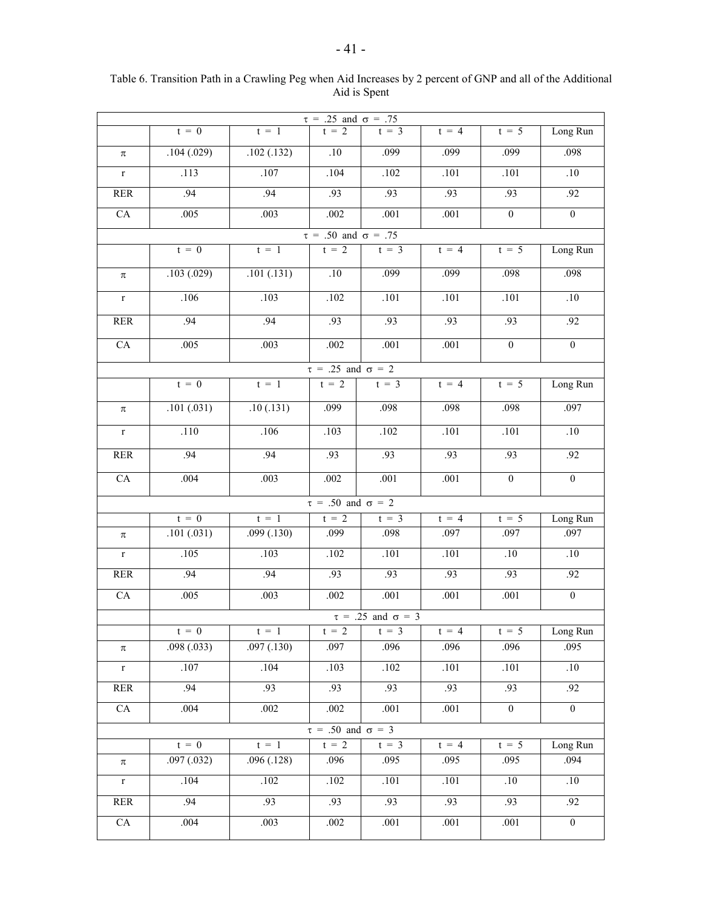| $\tau = .25$ and $\sigma = .75$ |                                 |             |                               |                               |         |                   |                  |  |  |  |  |  |  |
|---------------------------------|---------------------------------|-------------|-------------------------------|-------------------------------|---------|-------------------|------------------|--|--|--|--|--|--|
|                                 | $t = 0$                         | $t = 1$     | $t = 2$                       | $t = 3$                       | $t = 4$ | $t = 5$           | Long Run         |  |  |  |  |  |  |
| $\pi$                           | .104(.029)                      | .102(.132)  | .10                           | .099                          | .099    | .099              | .098             |  |  |  |  |  |  |
| $\mathbf r$                     | .113                            | .107        | .104                          | .102                          | .101    | .101              | .10              |  |  |  |  |  |  |
| <b>RER</b>                      | .94                             | .94         | .93                           | .93                           | .93     | .93               | .92              |  |  |  |  |  |  |
| CA                              | .005                            | .003        | .002                          | .001                          | .001    | $\overline{0}$    | $\boldsymbol{0}$ |  |  |  |  |  |  |
|                                 | $\tau = .50$ and $\sigma = .75$ |             |                               |                               |         |                   |                  |  |  |  |  |  |  |
|                                 | $t = 0$                         | $t = 1$     | $t = 2$                       | $t = 3$                       | $t = 4$ | $t = 5$           | Long Run         |  |  |  |  |  |  |
| $\pi$                           | .103(.029)                      | .101(.131)  | .10                           | .099                          | .099    | .098              | .098             |  |  |  |  |  |  |
| $\mathbf r$                     | $\overline{.}106$               | .103        | .102                          | .101                          | .101    | .101              | $.10\,$          |  |  |  |  |  |  |
| <b>RER</b>                      | .94                             | .94         | .93                           | .93                           | .93     | .93               | .92              |  |  |  |  |  |  |
| ${\rm CA}$                      | .005                            | .003        | .002                          | .001                          | .001    | $\overline{0}$    | $\boldsymbol{0}$ |  |  |  |  |  |  |
| $\tau = .25$ and $\sigma = 2$   |                                 |             |                               |                               |         |                   |                  |  |  |  |  |  |  |
|                                 | $t = 0$                         | $t = 1$     | $t = 2$                       | $t = 3$                       | $t = 4$ | $t = 5$           | Long Run         |  |  |  |  |  |  |
| $\pi$                           | .101(.031)                      | .10(.131)   | .099                          | .098                          | .098    | .098              | .097             |  |  |  |  |  |  |
| $\mathbf r$                     | .110                            | .106        | .103                          | .102                          | .101    | $\overline{.101}$ | .10              |  |  |  |  |  |  |
| <b>RER</b>                      | .94                             | .94         | .93                           | .93                           | .93     | .93               | .92              |  |  |  |  |  |  |
| CA                              | .004                            | .003        | .002                          | .001                          | .001    | $\overline{0}$    | $\overline{0}$   |  |  |  |  |  |  |
|                                 |                                 |             | $\tau = .50$ and $\sigma = 2$ |                               |         |                   |                  |  |  |  |  |  |  |
|                                 | $t = 0$                         | $t = 1$     | $t = 2$                       | $t = 3$                       | $t = 4$ | $t = 5$           | Long Run         |  |  |  |  |  |  |
| $\pi$                           | .101(.031)                      | .099(0.130) | .099                          | .098                          | .097    | .097              | .097             |  |  |  |  |  |  |
| $\mathbf{r}$                    | .105                            | .103        | .102                          | .101                          | .101    | .10               | .10              |  |  |  |  |  |  |
| RER                             | .94                             | .94         | .93                           | .93                           | .93     | .93               | .92              |  |  |  |  |  |  |
| CA                              | .005                            | .003        | .002                          | .001                          | .001    | .001              | $\boldsymbol{0}$ |  |  |  |  |  |  |
|                                 |                                 |             |                               | $\tau = .25$ and $\sigma = 3$ |         |                   |                  |  |  |  |  |  |  |
|                                 | $t = 0$                         | $t = 1$     | $t = 2$                       | $t = 3$                       | $t = 4$ | $t = 5$           | Long Run         |  |  |  |  |  |  |
| $\pi$                           | .098(.033)                      | .097(.130)  | .097                          | .096                          | .096    | .096              | .095             |  |  |  |  |  |  |
| $\mathbf r$                     | .107                            | .104        | .103                          | $.102\,$                      | $.101$  | .101              | $.10$            |  |  |  |  |  |  |
| $\ensuremath{\mathsf{RER}}$     | .94                             | .93         | .93                           | .93                           | .93     | .93               | .92              |  |  |  |  |  |  |
| ${\rm CA}$                      | .004                            | .002        | .002                          | .001                          | .001    | $\boldsymbol{0}$  | $\boldsymbol{0}$ |  |  |  |  |  |  |
|                                 |                                 |             | $\tau = .50$ and $\sigma = 3$ |                               |         |                   |                  |  |  |  |  |  |  |
|                                 | $t = 0$                         | $t = 1$     | $t = 2$                       | $t = 3$                       | $t = 4$ | $t = 5$           | Long Run         |  |  |  |  |  |  |
| $\pi$                           | .097(.032)                      | .096(.128)  | .096                          | .095                          | .095    | .095              | .094             |  |  |  |  |  |  |
| $\mathbf r$                     | $\overline{.104}$               | .102        | $.102$                        | .101                          | .101    | .10               | .10              |  |  |  |  |  |  |
| <b>RER</b>                      | .94                             | .93         | .93                           | .93                           | .93     | .93               | .92              |  |  |  |  |  |  |
| CA                              | .004                            | .003        | $.002\,$                      | .001                          | .001    | .001              | $\boldsymbol{0}$ |  |  |  |  |  |  |

Table 6. Transition Path in a Crawling Peg when Aid Increases by 2 percent of GNP and all of the Additional Aid is Spent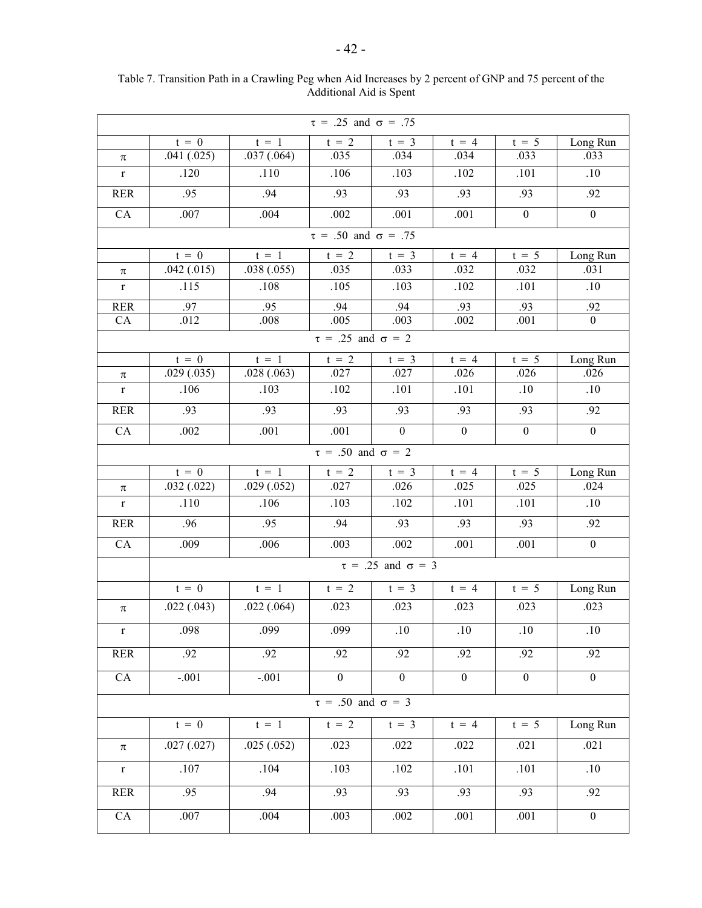| $\tau = .25$ and $\sigma = .75$ |                                 |            |                               |                               |                  |                  |                  |  |  |  |  |  |  |
|---------------------------------|---------------------------------|------------|-------------------------------|-------------------------------|------------------|------------------|------------------|--|--|--|--|--|--|
|                                 | $t = 0$                         | $t = 1$    | $t = 2$                       | $t = 3$                       | $t = 4$          | $t = 5$          | Long Run         |  |  |  |  |  |  |
| $\pi$                           | .041(.025)                      | .037(.064) | .035                          | .034                          | .034             | .033             | .033             |  |  |  |  |  |  |
| $\mathbf r$                     | .120                            | .110       | .106                          | .103                          | .102             | .101             | .10              |  |  |  |  |  |  |
| <b>RER</b>                      | .95                             | .94        | .93                           | .93                           | .93              | .93              | .92              |  |  |  |  |  |  |
| CA                              | .007                            | .004       | .002                          | .001                          | .001             | $\boldsymbol{0}$ | $\overline{0}$   |  |  |  |  |  |  |
|                                 | $\tau = .50$ and $\sigma = .75$ |            |                               |                               |                  |                  |                  |  |  |  |  |  |  |
|                                 | $t = 0$                         | $t = 1$    | $t = 2$                       | $t = 3$                       | $t = 4$          | $t = 5$          | Long Run         |  |  |  |  |  |  |
| π                               | .042(.015)                      | .038(.055) | .035                          | .033                          | .032             | .032             | .031             |  |  |  |  |  |  |
| $\mathbf r$                     | .115                            | .108       | .105                          | .103                          | .102             | .101             | .10              |  |  |  |  |  |  |
| <b>RER</b>                      | .97                             | .95        | .94                           | .94                           | .93              | .93              | .92              |  |  |  |  |  |  |
| CA                              | .012                            | $.008\,$   | .005                          | .003                          | .002             | .001             | $\boldsymbol{0}$ |  |  |  |  |  |  |
|                                 | $\tau = .25$ and $\sigma = 2$   |            |                               |                               |                  |                  |                  |  |  |  |  |  |  |
|                                 | $t = 0$                         | $t = 1$    | $t = 2$                       | $t = 3$                       | $t = 4$          | $t = 5$          | Long Run         |  |  |  |  |  |  |
| π                               | .029(.035)                      | .028(.063) | .027                          | .027                          | .026             | .026             | .026             |  |  |  |  |  |  |
| $\mathbf r$                     | .106                            | .103       | .102                          | .101                          | .101             | .10              | .10              |  |  |  |  |  |  |
| <b>RER</b>                      | .93                             | .93        | .93                           | .93                           | .93              | .93              | .92              |  |  |  |  |  |  |
| CA                              | .002                            | .001       | .001                          | $\boldsymbol{0}$              | $\boldsymbol{0}$ | $\boldsymbol{0}$ | $\overline{0}$   |  |  |  |  |  |  |
| $\tau = .50$ and $\sigma = 2$   |                                 |            |                               |                               |                  |                  |                  |  |  |  |  |  |  |
|                                 | $t = 0$                         | $t = 1$    | $t = 2$                       | $t = 3$                       | $t = 4$          | $t = 5$          | Long Run         |  |  |  |  |  |  |
| $\pi$                           | .032(.022)                      | .029(.052) | .027                          | .026                          | .025             | .025             | .024             |  |  |  |  |  |  |
| $\mathbf r$                     | .110                            | .106       | .103                          | .102                          | .101             | .101             | .10              |  |  |  |  |  |  |
| <b>RER</b>                      | .96                             | .95        | .94                           | .93                           | .93              | .93              | .92              |  |  |  |  |  |  |
| CA                              | .009                            | .006       | .003                          | .002                          | .001             | .001             | $\boldsymbol{0}$ |  |  |  |  |  |  |
|                                 |                                 |            |                               | $\tau = .25$ and $\sigma = 3$ |                  |                  |                  |  |  |  |  |  |  |
|                                 | $t = 0$                         | $t = 1$    | $t = 2$                       | $t = 3$                       | $t = 4$          | $t = 5$          | Long Run         |  |  |  |  |  |  |
| π                               | .022(.043)                      | .022(.064) | .023                          | .023                          | .023             | .023             | .023             |  |  |  |  |  |  |
| r                               | .098                            | .099       | .099                          | .10                           | .10              | .10              | .10              |  |  |  |  |  |  |
| <b>RER</b>                      | .92                             | .92        | .92                           | .92                           | .92              | .92              | .92              |  |  |  |  |  |  |
| CA                              | $-.001$                         | $-.001$    | $\boldsymbol{0}$              | $\mathbf{0}$                  | $\boldsymbol{0}$ | $\boldsymbol{0}$ | $\boldsymbol{0}$ |  |  |  |  |  |  |
|                                 |                                 |            | $\tau = .50$ and $\sigma = 3$ |                               |                  |                  |                  |  |  |  |  |  |  |
|                                 | $t = 0$                         | $t = 1$    | $t = 2$                       | $t = 3$                       | $t = 4$          | $t = 5$          | Long Run         |  |  |  |  |  |  |
| π                               | .027(.027)                      | .025(.052) | .023                          | .022                          | .022             | .021             | .021             |  |  |  |  |  |  |
| $\mathbf r$                     | .107                            | .104       | .103                          | .102                          | .101             | .101             | .10              |  |  |  |  |  |  |
| <b>RER</b>                      | .95                             | .94        | .93                           | .93                           | .93              | .93              | .92              |  |  |  |  |  |  |
|                                 |                                 |            |                               |                               |                  |                  |                  |  |  |  |  |  |  |
| ${\rm CA}$                      | .007                            | .004       | .003                          | $.002\,$                      | $.001$           | .001             | $\boldsymbol{0}$ |  |  |  |  |  |  |

Table 7. Transition Path in a Crawling Peg when Aid Increases by 2 percent of GNP and 75 percent of the Additional Aid is Spent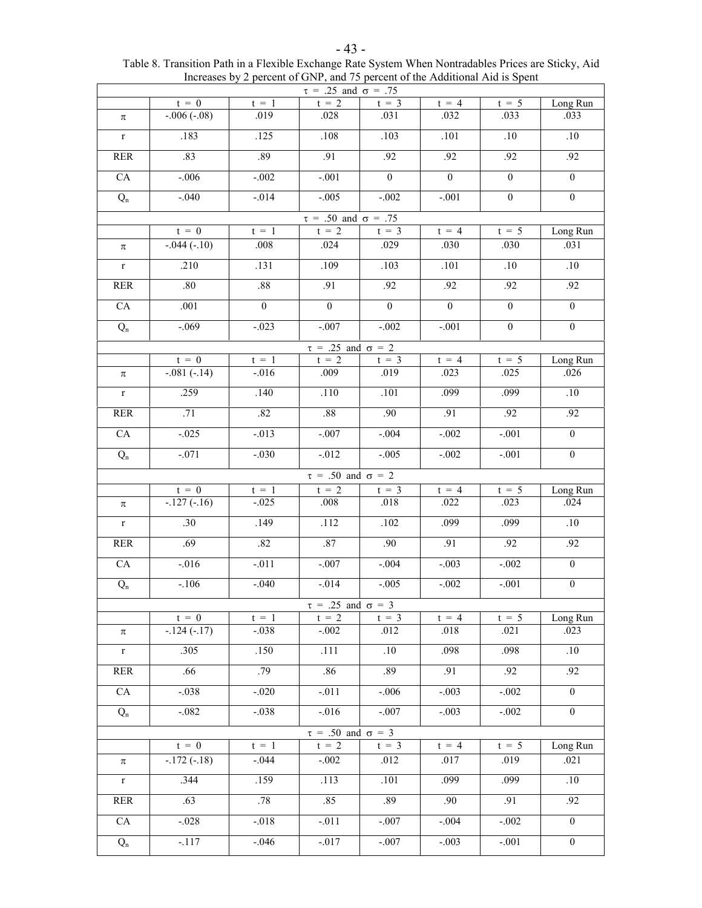|                                 |                  |                | $\tau = .25$ and $\sigma = .75$ |                |                  |                  |                  |  |  |  |  |
|---------------------------------|------------------|----------------|---------------------------------|----------------|------------------|------------------|------------------|--|--|--|--|
|                                 | $t = 0$          | $t = 1$        | $t = 2$                         | $t = 3$        | $t = 4$          | $t = 5$          | Long Run         |  |  |  |  |
| π                               | $-0.006(-0.08)$  | .019           | .028                            | .031           | .032             | .033             | .033             |  |  |  |  |
| $\mathbf r$                     | .183             | .125           | .108                            | .103           | .101             | .10              | $.10\,$          |  |  |  |  |
| <b>RER</b>                      | .83              | .89            | .91                             | .92            | .92              | .92              | .92              |  |  |  |  |
| ${\rm CA}$                      | $-.006$          | $-.002$        | $-.001$                         | $\mathbf{0}$   | $\mathbf{0}$     | $\boldsymbol{0}$ | $\boldsymbol{0}$ |  |  |  |  |
| $Q_n$                           | $-.040$          | $-.014$        | $-.005$                         | $-.002$        | $-.001$          | $\mathbf{0}$     | $\boldsymbol{0}$ |  |  |  |  |
| $\tau = .50$ and $\sigma = .75$ |                  |                |                                 |                |                  |                  |                  |  |  |  |  |
|                                 | $t = 0$          | $t = 1$        | $t = 2$                         | $t = 3$        | $t = 4$          | $t = 5$          | Long Run         |  |  |  |  |
| $\pi$                           | $-0.044(-.10)$   | .008           | .024                            | .029           | .030             | .030             | .031             |  |  |  |  |
| $\mathbf r$                     | .210             | .131           | .109                            | .103           | .101             | .10              | .10              |  |  |  |  |
| <b>RER</b>                      | .80              | .88            | .91                             | .92            | .92              | .92              | .92              |  |  |  |  |
| CA                              | .001             | $\overline{0}$ | $\overline{0}$                  | $\overline{0}$ | $\boldsymbol{0}$ | $\overline{0}$   | $\overline{0}$   |  |  |  |  |
| $Q_{\rm n}$                     | $-.069$          | $-.023$        | $-0.007$                        | $-.002$        | $-.001$          | $\overline{0}$   | $\boldsymbol{0}$ |  |  |  |  |
|                                 |                  |                | $\tau = .25$ and $\sigma = 2$   |                |                  |                  |                  |  |  |  |  |
|                                 | $t = 0$          | $t = 1$        | $t = 2$                         | $t = 3$        | $t = 4$          | $t = 5$          | Long Run         |  |  |  |  |
| $\pi$                           | $-.081(-.14)$    | $-.016$        | .009                            | .019           | .023             | .025             | .026             |  |  |  |  |
| $\mathbf r$                     | .259             | .140           | .110                            | .101           | .099             | .099             | .10              |  |  |  |  |
| <b>RER</b>                      | .71              | .82            | .88                             | .90            | .91              | .92              | .92              |  |  |  |  |
| CA                              | $-.025$          | $-013$         | $-.007$                         | $-.004$        | $-.002$          | $-.001$          | $\boldsymbol{0}$ |  |  |  |  |
| $Q_{\rm n}$                     | $-0.071$         | $-.030$        | $-.012$                         | $-.005$        | $-.002$          | $-.001$          | $\boldsymbol{0}$ |  |  |  |  |
|                                 |                  |                | $\tau = .50$ and $\sigma = 2$   |                |                  |                  |                  |  |  |  |  |
|                                 | $t = 0$          | $t = 1$        | $t = 2$                         | $t = 3$        | $t = 4$          | $t = 5$          | Long Run         |  |  |  |  |
| π                               | $-127(-16)$      | $-.025$        | .008                            | .018           | .022             | .023             | .024             |  |  |  |  |
| $\mathbf r$                     | $\overline{.30}$ | .149           | .112                            | .102           | .099             | .099             | $.10\,$          |  |  |  |  |
| <b>RER</b>                      | .69              | .82            | .87                             | .90            | .91              | .92              | .92              |  |  |  |  |
| ${\rm CA}$                      | $-0.016$         | $-011$         | $-0.007$                        | $-.004$        | $-0.003$         | $-.002$          | $\boldsymbol{0}$ |  |  |  |  |
| $Q_{\rm n}$                     | $-.106$          | $-.040$        | $-0.014$                        | $-.005$        | $-0.002$         | $-.001$          | $\boldsymbol{0}$ |  |  |  |  |
|                                 |                  |                | $\tau = .25$ and $\sigma = 3$   |                |                  |                  |                  |  |  |  |  |
|                                 | $t = 0$          | $t = 1$        | $t = 2$                         | $t = 3$        | $t = 4$          | $t = 5$          | Long Run         |  |  |  |  |
| π                               | $-124(-17)$      | $-0.038$       | $-.002$                         | .012           | .018             | .021             | .023             |  |  |  |  |
| $\mathbf r$                     | .305             | .150           | .111                            | .10            | .098             | .098             | .10              |  |  |  |  |
| <b>RER</b>                      | .66              | .79            | .86                             | .89            | .91              | .92              | .92              |  |  |  |  |
| CA                              | $-.038$          | $-.020$        | $-.011$                         | $-.006$        | $-.003$          | $-.002$          | $\boldsymbol{0}$ |  |  |  |  |
| $Q_{\rm n}$                     | $-.082$          | $-.038$        | $-.016$                         | $-.007$        | $-.003$          | $-.002$          | $\overline{0}$   |  |  |  |  |
|                                 |                  |                | $\tau = .50$ and $\sigma = 3$   |                |                  |                  |                  |  |  |  |  |
|                                 | $t = 0$          | $t = 1$        | $t = 2$                         | $t = 3$        | $t = 4$          | $t = 5$          | Long Run         |  |  |  |  |
| π                               | $-.172(-.18)$    | $-.044$        | $-.002$                         | .012           | .017             | .019             | .021             |  |  |  |  |
| $\mathbf r$                     | .344             | .159           | .113                            | .101           | .099             | .099             | .10              |  |  |  |  |
| <b>RER</b>                      | .63              | .78            | .85                             | .89            | .90              | .91              | .92              |  |  |  |  |
| ${\rm CA}$                      | $-.028$          | $-0.018$       | $-011$                          | $-.007$        | $-.004$          | $-.002$          | $\boldsymbol{0}$ |  |  |  |  |
| $Q_{\rm n}$                     | $-.117$          | $-.046$        | $-017$                          | $-.007$        | $-.003$          | $-.001$          | $\boldsymbol{0}$ |  |  |  |  |

| $-43-$                                                                                               |
|------------------------------------------------------------------------------------------------------|
| Table 8. Transition Path in a Flexible Exchange Rate System When Nontradables Prices are Sticky, Aid |
| Increases by 2 percent of GNP, and 75 percent of the Additional Aid is Spent                         |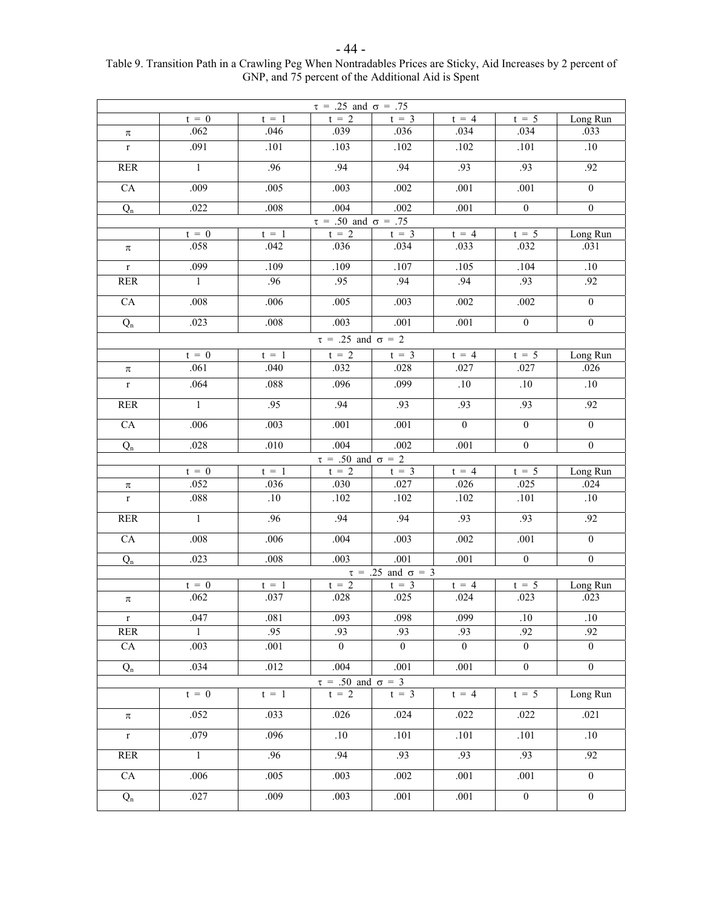| $\tau = .25$ and $\sigma = .75$ |                |         |                                          |                               |          |                |                  |  |  |
|---------------------------------|----------------|---------|------------------------------------------|-------------------------------|----------|----------------|------------------|--|--|
|                                 | $t = 0$        | $t = 1$ | $t = 2$                                  | $t = 3$                       | $t = 4$  | $t = 5$        | Long Run         |  |  |
| $\pi$                           | .062           | .046    | .039                                     | .036                          | .034     | .034           | .033             |  |  |
| $\mathbf{r}$                    | .091           | .101    | .103                                     | .102                          | .102     | .101           | .10              |  |  |
| <b>RER</b>                      | $\mathbf{1}$   | .96     | .94                                      | .94                           | .93      | .93            | .92              |  |  |
| CA                              | .009           | .005    | .003                                     | .002                          | .001     | .001           | $\mathbf{0}$     |  |  |
| $Q_{\rm n}$                     | .022           | .008    | .004                                     | .002                          | .001     | $\mathbf{0}$   | $\boldsymbol{0}$ |  |  |
|                                 |                |         | $\tau = .50$ and $\sigma = .75$          |                               |          |                |                  |  |  |
|                                 | $t = 0$        | $t = 1$ | $t = 2$                                  | $t = 3$                       | $t = 4$  | $t = 5$        | Long Run         |  |  |
| π                               | .058           | .042    | .036                                     | .034                          | .033     | .032           | .031             |  |  |
| $\mathbf r$                     | .099           | .109    | .109                                     | .107                          | .105     | .104           | .10              |  |  |
| <b>RER</b>                      | $\mathbf{1}$   | .96     | .95                                      | .94                           | .94      | .93            | .92              |  |  |
| CA                              | .008           | .006    | .005                                     | .003                          | .002     | .002           | $\mathbf{0}$     |  |  |
| $Q_{\rm n}$                     | .023           | .008    | .003                                     | .001                          | .001     | $\mathbf{0}$   | $\mathbf{0}$     |  |  |
|                                 |                |         | $\tau = .25$ and $\sigma = 2$            |                               |          |                |                  |  |  |
|                                 | $t = 0$        | $t = 1$ | $t = 2$                                  | $t = 3$                       | $t = 4$  | $t = 5$        | Long Run         |  |  |
| $\pi$                           | .061           | .040    | .032                                     | .028                          | .027     | .027           | .026             |  |  |
| $\mathbf r$                     | .064           | .088    | .096                                     | .099                          | .10      | .10            | .10              |  |  |
| <b>RER</b>                      | $\mathbf{1}$   | .95     | .94                                      | .93                           | .93      | .93            | .92              |  |  |
| CA                              | .006           | .003    | .001                                     | .001                          | $\theta$ | $\mathbf{0}$   | $\mathbf{0}$     |  |  |
| $Q_{\rm n}$                     | .028           | .010    | .004                                     | .002                          | .001     | $\overline{0}$ | $\boldsymbol{0}$ |  |  |
|                                 |                |         | $\tau = .50$ and $\sigma = 2$            |                               |          |                |                  |  |  |
|                                 | $t = 0$        | $t = 1$ | $t = 2$                                  | $t = 3$                       | $t = 4$  | $t = 5$        | Long Run         |  |  |
| π                               | .052           | .036    | .030                                     | .027                          | .026     | .025           | .024             |  |  |
| $\overline{\mathrm{r}}$         | .088           | $.10\,$ | .102                                     | .102                          | .102     | .101           | $.10\,$          |  |  |
| <b>RER</b>                      | $\overline{1}$ | .96     | .94                                      | .94                           | .93      | .93            | .92              |  |  |
| CA                              | .008           | .006    | .004                                     | .003                          | .002     | .001           | $\boldsymbol{0}$ |  |  |
| $Q_n$                           | .023           | .008    | .003                                     | .001                          | .001     | $\overline{0}$ | $\boldsymbol{0}$ |  |  |
|                                 |                |         |                                          | $\tau = .25$ and $\sigma = 3$ |          |                |                  |  |  |
|                                 | $t = 0$        | $t = 1$ | $t = 2$                                  | $t = 3$                       | $t = 4$  | $t = 5$        | Long Run         |  |  |
| $\pi$                           | .062           | .037    | .028                                     | .025                          | .024     | .023           | .023             |  |  |
| $\mathbf{r}$                    | .047           | .081    | .093                                     | .098                          | .099     | .10            | .10              |  |  |
| <b>RER</b>                      | $\mathbf{1}$   | .95     | .93                                      | .93                           | .93      | .92            | .92              |  |  |
| CA                              | .003           | .001    | $\theta$                                 | $\overline{0}$                | $\theta$ | $\overline{0}$ | $\theta$         |  |  |
| $Q_n$                           | .034           | .012    | .004                                     | .001                          | .001     | $\overline{0}$ | $\mathbf{0}$     |  |  |
|                                 | $t = 0$        | $t = 1$ | $\tau = .50$ and $\sigma = 3$<br>$t = 2$ | $t = 3$                       | $t = 4$  | $t = 5$        | Long Run         |  |  |
|                                 |                |         |                                          |                               |          |                |                  |  |  |
| $\pi$                           | .052           | .033    | .026                                     | .024                          | .022     | .022           | .021             |  |  |
| $r_{\rm}$                       | .079           | .096    | .10                                      | .101                          | .101     | .101           | .10              |  |  |
| <b>RER</b>                      | $\mathbf{1}$   | .96     | .94                                      | .93                           | .93      | .93            | .92              |  |  |
| ${\rm CA}$                      | .006           | .005    | .003                                     | .002                          | .001     | .001           | $\overline{0}$   |  |  |
| $Q_n$                           | .027           | .009    | .003                                     | .001                          | .001     | $\overline{0}$ | $\mathbf{0}$     |  |  |

#### - 44 - Table 9. Transition Path in a Crawling Peg When Nontradables Prices are Sticky, Aid Increases by 2 percent of GNP, and 75 percent of the Additional Aid is Spent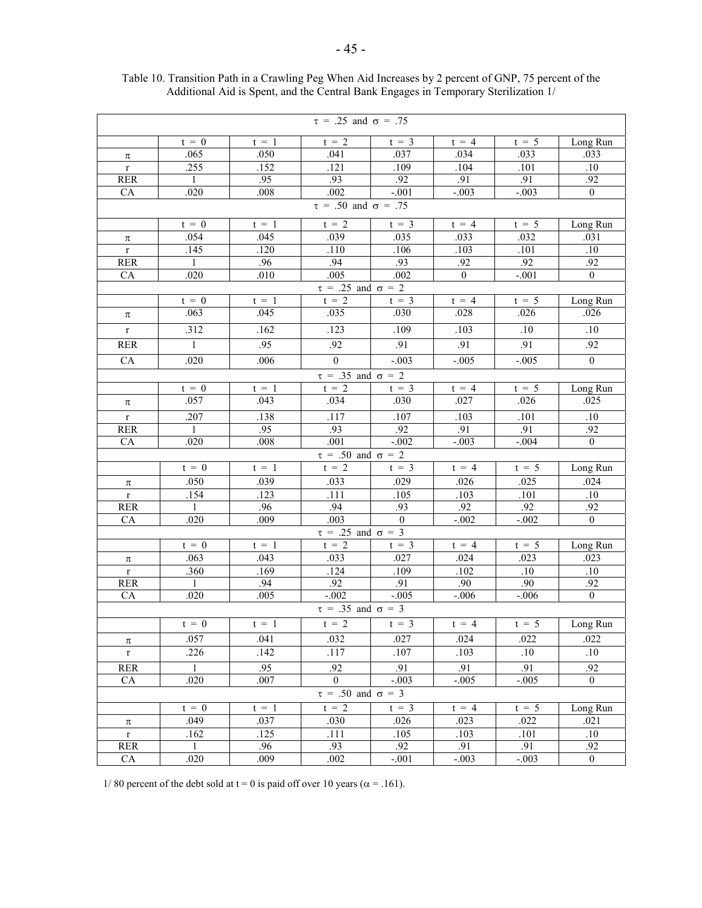| $\tau = .25$ and $\sigma = .75$ |                                 |             |                               |              |                |            |                |  |  |  |  |  |  |
|---------------------------------|---------------------------------|-------------|-------------------------------|--------------|----------------|------------|----------------|--|--|--|--|--|--|
|                                 | $t = 0$                         | $t = 1$     | $t = 2$                       | $t = 3$      | $t = 4$        | $t = 5$    | Long Run       |  |  |  |  |  |  |
| π                               | .065                            | .050        | .041                          | .037         | .034           | .033       | .033           |  |  |  |  |  |  |
| $\mathbf{r}$                    | .255                            | .152        | .121                          | .109         | .104           | .101       | .10            |  |  |  |  |  |  |
| <b>RER</b>                      | $\mathbf{1}$                    | .95         | .93                           | .92          | .91            | .91        | .92            |  |  |  |  |  |  |
| CA                              | .020                            | .008        | .002                          | $-.001$      | $-.003$        | $-.003$    | $\mathbf{0}$   |  |  |  |  |  |  |
|                                 | $\tau = .50$ and $\sigma = .75$ |             |                               |              |                |            |                |  |  |  |  |  |  |
|                                 | $t = 0$                         | $t = 1$     | $t = 2$                       | $t = 3$      | $t = 4$        | $t = 5$    | Long Run       |  |  |  |  |  |  |
| π                               | .054                            | .045        | .039                          | .035         | .033           | .032       | .031           |  |  |  |  |  |  |
| $\mathbf{r}$                    | .145                            | .120        | .110                          | .106         | .103           | .101       | .10            |  |  |  |  |  |  |
| <b>RER</b>                      | $\mathbf{1}$                    | .96         | .94                           | .93          | .92            | .92        | .92            |  |  |  |  |  |  |
| CA                              | .020                            | .010        | .005                          | .002         | $\overline{0}$ | $-.001$    | $\overline{0}$ |  |  |  |  |  |  |
| $\tau = .25$ and $\sigma = 2$   |                                 |             |                               |              |                |            |                |  |  |  |  |  |  |
|                                 | $t = \overline{0}$              | $t = 1$     | $t = 2$                       | $t = 3$      | $t = 4$        | $t = 5$    | Long Run       |  |  |  |  |  |  |
| $\pi$                           | .063                            | .045        | .035                          | .030         | .028           | .026       | .026           |  |  |  |  |  |  |
| $\mathbf r$                     | .312                            | .162        | .123                          | .109         | .103           | .10        | $.10\,$        |  |  |  |  |  |  |
| <b>RER</b>                      | $\mathbf{1}$                    | .95         | .92                           | .91          | .91            | .91        | .92            |  |  |  |  |  |  |
| CA                              | .020                            | .006        | $\overline{0}$                | $-.003$      | $-.005$        | $-.005$    | $\mathbf{0}$   |  |  |  |  |  |  |
| $\tau = .35$ and $\sigma = 2$   |                                 |             |                               |              |                |            |                |  |  |  |  |  |  |
|                                 | $t = 0$                         | $t = 1$     | $t = 2$                       | $t = 3$      | $t = 4$        | $t = 5$    | Long Run       |  |  |  |  |  |  |
| π                               | .057                            | .043        | .034                          | .030         | .027           | .026       | .025           |  |  |  |  |  |  |
| $\mathbf r$                     | .207                            | .138        | .117                          | .107         | .103           | .101       | $.10\,$        |  |  |  |  |  |  |
| <b>RER</b>                      | $\mathbf{1}$                    | .95         | .93                           | .92          | .91            | .91        | .92            |  |  |  |  |  |  |
| CA                              | .020                            | .008        | .001                          | $-.002$      | $-.003$        | $-.004$    | $\overline{0}$ |  |  |  |  |  |  |
|                                 |                                 |             | $\tau = .50$ and $\sigma = 2$ |              |                |            |                |  |  |  |  |  |  |
|                                 | $t = 0$                         | $t = 1$     | $t = 2$                       | $t = 3$      | $t = 4$        | $t = 5$    | Long Run       |  |  |  |  |  |  |
| π                               | .050                            | .039        | .033                          | .029         | .026           | .025       | .024           |  |  |  |  |  |  |
| $r_{\parallel}$                 | .154                            | .123        | .111                          | .105         | .103           | .101       | .10            |  |  |  |  |  |  |
| <b>RER</b>                      | $\mathbf{1}$                    | .96         | .94                           | .93          | .92            | .92        | .92            |  |  |  |  |  |  |
| CA                              | .020                            | .009        | .003                          | $\mathbf{0}$ | $-.002$        | $-.002$    | $\overline{0}$ |  |  |  |  |  |  |
|                                 |                                 |             | $\tau = .25$ and $\sigma = 3$ |              |                |            |                |  |  |  |  |  |  |
|                                 | $t = 0$                         | $t = 1$     | $t = 2$                       | $t = 3$      | $t = 4$        | $t = 5$    | Long Run       |  |  |  |  |  |  |
| π                               | .063                            | .043        | .033                          | .027         | .024           | .023       | .023           |  |  |  |  |  |  |
| $\mathbf r$<br><b>RER</b>       | .360<br>$\mathbf{1}$            | .169<br>.94 | .124<br>.92                   | .109<br>.91  | .102<br>.90    | .10<br>.90 | .10<br>.92     |  |  |  |  |  |  |
| CA                              | .020                            | .005        | $-.002$                       | $-.005$      | $-.006$        | $-.006$    | $\overline{0}$ |  |  |  |  |  |  |
|                                 |                                 |             | $\tau = .35$ and $\sigma = 3$ |              |                |            |                |  |  |  |  |  |  |
|                                 | $t = 0$                         | $t = 1$     | $t = 2$                       | $t = 3$      | $t = 4$        | $t = 5$    | Long Run       |  |  |  |  |  |  |
| π                               | .057                            | .041        | .032                          | .027         | .024           | .022       | .022           |  |  |  |  |  |  |
| $r_{\rm}$                       | .226                            | .142        | .117                          | .107         | .103           | .10        | .10            |  |  |  |  |  |  |
| <b>RER</b>                      | $\mathbf{1}$                    | .95         | .92                           | .91          | .91            | .91        | .92            |  |  |  |  |  |  |
| CA                              | .020                            | .007        | $\overline{0}$                | $-.003$      | $-.005$        | $-.005$    | $\overline{0}$ |  |  |  |  |  |  |
|                                 |                                 |             | $\tau = .50$ and $\sigma = 3$ |              |                |            |                |  |  |  |  |  |  |
|                                 | $t = 0$                         | $t = 1$     | $t = 2$                       | $t = 3$      | $t = 4$        | $t = 5$    | Long Run       |  |  |  |  |  |  |
| π                               | .049                            | .037        | .030                          | .026         | .023           | .022       | .021           |  |  |  |  |  |  |
| $r_{\rm}$                       | .162                            | .125        | .111                          | .105         | .103           | .101       | .10            |  |  |  |  |  |  |
| <b>RER</b>                      | $\mathbf{1}$                    | .96         | .93                           | .92          | .91            | .91        | .92            |  |  |  |  |  |  |
| CA                              | .020                            | .009        | .002                          | $-.001$      | $-.003$        | $-.003$    | $\overline{0}$ |  |  |  |  |  |  |

Table 10. Transition Path in a Crawling Peg When Aid Increases by 2 percent of GNP, 75 percent of the Additional Aid is Spent, and the Central Bank Engages in Temporary Sterilization 1/

1/ 80 percent of the debt sold at t = 0 is paid off over 10 years ( $\alpha$  = .161).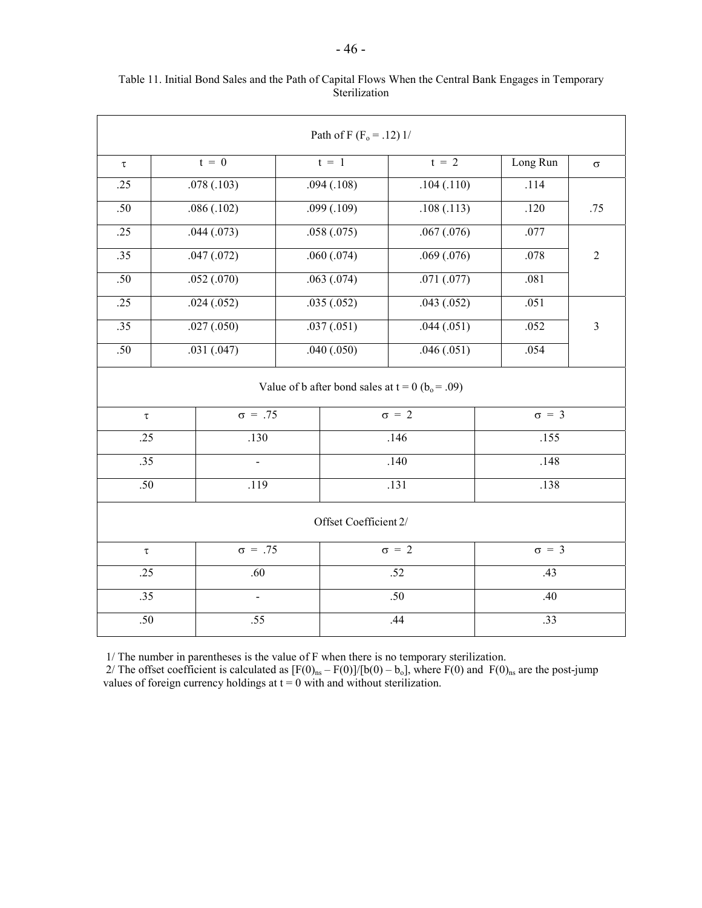| Path of F ( $F_o$ = .12) 1/ |                                                        |                |              |            |              |     |              |                |  |
|-----------------------------|--------------------------------------------------------|----------------|--------------|------------|--------------|-----|--------------|----------------|--|
| $\tau$                      | $t = 0$                                                |                | $t = 1$      |            | $t = 2$      |     | Long Run     | $\sigma$       |  |
| .25                         | .078(.103)                                             |                | .094(.108)   |            | .104(.110)   |     | .114         |                |  |
| .50                         | .086(.102)                                             |                | .099(.109)   |            | .108(.113)   |     | .120         | .75            |  |
| .25                         |                                                        | .044(.073)     | .058(.075)   |            | .067(.076)   |     | .077         |                |  |
| $\overline{.35}$            |                                                        | .047(.072)     |              | .060(.074) | .069(.076)   |     | .078         | $\sqrt{2}$     |  |
| .50                         |                                                        | .052(.070)     | .063(.074)   |            | .071(.077)   |     | .081         |                |  |
| .25                         |                                                        | .024(.052)     |              | .035(.052) | .043(.052)   |     | .051         |                |  |
| .35                         |                                                        | .027(.050)     |              | .037(.051) | .044(.051)   |     | .052         | $\overline{3}$ |  |
| .50                         | .031(.047)                                             |                |              | .040(.050) | .046(.051)   |     | .054         |                |  |
|                             | Value of b after bond sales at $t = 0$ ( $b_0 = .09$ ) |                |              |            |              |     |              |                |  |
| $\tau$                      |                                                        | $\sigma = .75$ |              |            | $\sigma = 2$ |     | $\sigma = 3$ |                |  |
| .25                         |                                                        | .130           |              |            | .146         |     | .155         |                |  |
| .35                         |                                                        | $\blacksquare$ |              |            | .140         |     | .148         |                |  |
| .50<br>$\overline{.}119$    |                                                        |                |              | .138       |              |     |              |                |  |
| Offset Coefficient 2/       |                                                        |                |              |            |              |     |              |                |  |
| $\sigma = .75$<br>$\tau$    |                                                        |                | $\sigma = 2$ |            | $\sigma = 3$ |     |              |                |  |
| .25<br>.60                  |                                                        |                | .52          |            | .43          |     |              |                |  |
| $\overline{.35}$            |                                                        | $\frac{1}{2}$  |              |            | .50          | .40 |              |                |  |
| .50                         |                                                        | .55            |              | .44        |              | .33 |              |                |  |

Table 11. Initial Bond Sales and the Path of Capital Flows When the Central Bank Engages in Temporary **Sterilization** 

1/ The number in parentheses is the value of F when there is no temporary sterilization.

2/ The offset coefficient is calculated as  $[F(0)_{ns} - F(0)]/[b(0) - b_0]$ , where  $F(0)$  and  $F(0)_{ns}$  are the post-jump values of foreign currency holdings at  $t = 0$  with and without sterilization.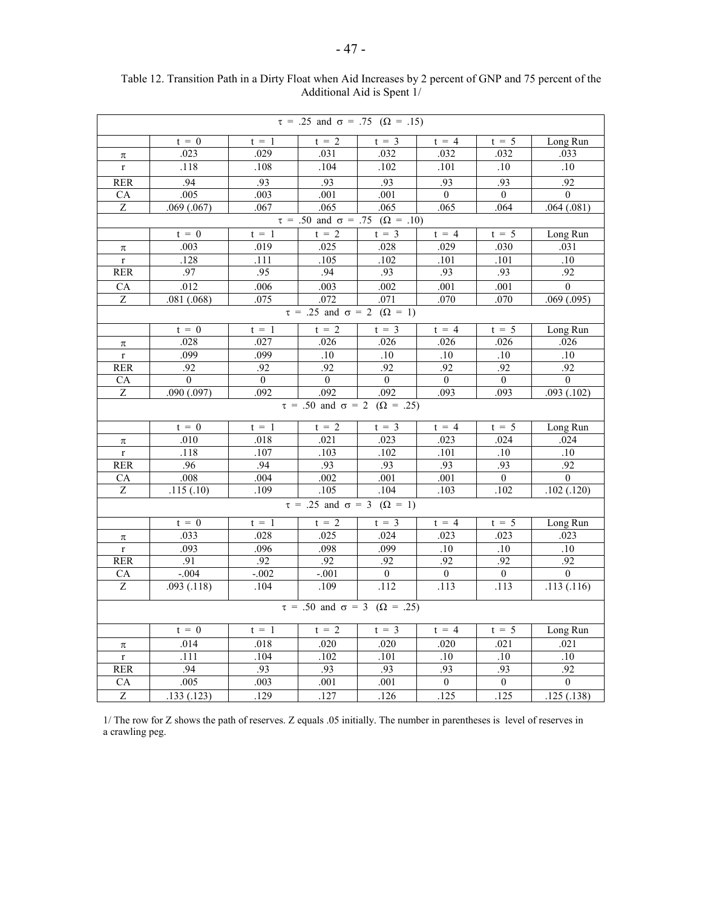| $\tau = .25$ and $\sigma = .75$ ( $\Omega = .15$ ) |                                                |                  |                                                    |                |                |                |                  |  |  |
|----------------------------------------------------|------------------------------------------------|------------------|----------------------------------------------------|----------------|----------------|----------------|------------------|--|--|
|                                                    | $t = 0$                                        | $t = 1$          | $t = 2$                                            | $t = 3$        | $t = 4$        | $t = 5$        | Long Run         |  |  |
| $\pi$                                              | .023                                           | .029             | .031                                               | .032           | .032           | .032           | .033             |  |  |
| $\mathbf r$                                        | .118                                           | .108             | .104                                               | .102           | .101           | .10            | .10              |  |  |
| <b>RER</b>                                         | .94                                            | .93              | .93                                                | .93            | .93            | .93            | .92              |  |  |
| ${\rm CA}$                                         | .005                                           | .003             | .001                                               | .001           | $\overline{0}$ | $\overline{0}$ | $\theta$         |  |  |
| $\overline{z}$                                     | .069(.067)                                     | .067             | .065                                               | .065           | .065           | .064           | .064(.081)       |  |  |
|                                                    |                                                |                  | $\tau = .50$ and $\sigma = .75$ ( $\Omega = .10$ ) |                |                |                |                  |  |  |
|                                                    | $t = 0$                                        | $t = 1$          | $t = 2$                                            | $t = 3$        | $t = 4$        | $t = 5$        | Long Run         |  |  |
| $\pi$                                              | .003                                           | .019             | .025                                               | .028           | .029           | .030           | .031             |  |  |
| $\mathbf r$                                        | .128                                           | .111             | .105                                               | .102           | .101           | .101           | .10              |  |  |
| <b>RER</b>                                         | .97                                            | .95              | .94                                                | .93            | .93            | .93            | .92              |  |  |
| CA                                                 | .012                                           | .006             | .003                                               | .002           | .001           | .001           | $\overline{0}$   |  |  |
| $\overline{Z}$                                     | .081(.068)                                     | 075              | .072                                               | .071           | .070           | .070           | .069(.095)       |  |  |
|                                                    | $\tau = .25$ and $\sigma = 2$ ( $\Omega = 1$ ) |                  |                                                    |                |                |                |                  |  |  |
|                                                    | $t = 0$                                        | $t = 1$          | $t = 2$                                            | $t = 3$        | $t = 4$        | $t = 5$        | Long Run         |  |  |
| $\pi$                                              | .028                                           | .027             | .026                                               | .026           | .026           | .026           | .026             |  |  |
| $\overline{\text{r}}$                              | .099                                           | .099             | $\overline{.10}$                                   | .10            | $.10$          | $.10\,$        | .10              |  |  |
| RER                                                | .92                                            | .92              | .92                                                | .92            | .92            | .92            | .92              |  |  |
| <b>CA</b>                                          | $\overline{0}$                                 | $\theta$         | $\theta$                                           | $\theta$       | $\overline{0}$ | $\overline{0}$ | $\theta$         |  |  |
| $\overline{Z}$                                     | .090(.097)                                     | $\overline{0}92$ | .092                                               | .092           | .093           | .093           | .093(.102)       |  |  |
|                                                    |                                                |                  | $\tau = .50$ and $\sigma = 2$ ( $\Omega = .25$ )   |                |                |                |                  |  |  |
|                                                    | $t = 0$                                        | $t = 1$          | $t = 2$                                            | $t = 3$        | $t = 4$        | $t = 5$        | Long Run         |  |  |
| π                                                  | .010                                           | .018             | .021                                               | .023           | .023           | .024           | .024             |  |  |
| $\mathbf r$                                        | .118                                           | .107             | .103                                               | .102           | .101           | .10            | .10              |  |  |
| <b>RER</b>                                         | .96                                            | .94              | .93                                                | .93            | .93            | .93            | .92              |  |  |
| CA                                                 | .008                                           | .004             | .002                                               | .001           | .001           | $\mathbf{0}$   | $\overline{0}$   |  |  |
| $\overline{Z}$                                     | .115(.10)                                      | .109             | .105                                               | .104           | .103           | .102           | .102(.120)       |  |  |
|                                                    |                                                |                  | $\tau = .25$ and $\sigma = 3$ ( $\Omega = 1$ )     |                |                |                |                  |  |  |
|                                                    | $t = 0$                                        | $t = 1$          | $t = 2$                                            | $t = 3$        | $t = 4$        | $t = 5$        | Long Run         |  |  |
| π                                                  | .033                                           | .028             | .025                                               | .024           | .023           | .023           | .023             |  |  |
| $\mathbf r$                                        | .093                                           | .096             | .098                                               | .099           | $.10\,$        | .10            | .10              |  |  |
| <b>RER</b>                                         | .91                                            | .92              | .92                                                | .92            | .92            | .92            | .92              |  |  |
| CA                                                 | $-.004$                                        | $-.002$          | $-.001$                                            | $\overline{0}$ | $\overline{0}$ | $\overline{0}$ | $\mathbf{0}$     |  |  |
| $\overline{Z}$                                     | .093(.118)                                     | .104             | .109                                               | .112           | .113           | .113           | .113(.116)       |  |  |
| $\tau = .50$ and $\sigma = 3$ ( $\Omega = .25$ )   |                                                |                  |                                                    |                |                |                |                  |  |  |
|                                                    | $t = 0$                                        | $t = 1$          | $t = 2$                                            | $t = 3$        | $t = 4$        | $t = 5$        | Long Run         |  |  |
| $\pi$                                              | .014                                           | .018             | .020                                               | .020           | .020           | .021           | .021             |  |  |
| $\mathbf{r}$                                       | .111                                           | .104             | .102                                               | .101           | .10            | .10            | .10              |  |  |
| <b>RER</b>                                         | .94                                            | .93              | .93                                                | .93            | .93            | .93            | .92              |  |  |
| CA                                                 | .005                                           | .003             | .001                                               | .001           | $\overline{0}$ | $\overline{0}$ | $\boldsymbol{0}$ |  |  |
| $\overline{Z}$                                     | .133(.123)                                     | .129             | .127                                               | .126           | .125           | .125           | .125(.138)       |  |  |

Table 12. Transition Path in a Dirty Float when Aid Increases by 2 percent of GNP and 75 percent of the Additional Aid is Spent 1/

1/ The row for Z shows the path of reserves. Z equals .05 initially. The number in parentheses is level of reserves in a crawling peg.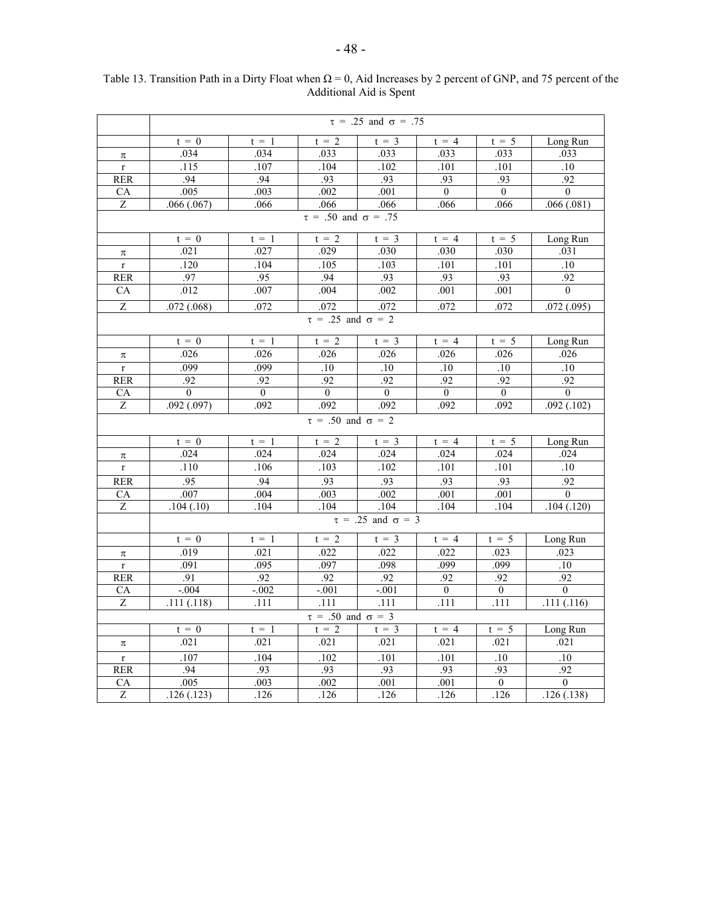|                               | $\tau = .25$ and $\sigma = .75$ |          |                               |          |                |                |                |  |  |
|-------------------------------|---------------------------------|----------|-------------------------------|----------|----------------|----------------|----------------|--|--|
|                               | $t = 0$                         | $t = 1$  | $t = 2$                       | $t = 3$  | $t = 4$        | $t = 5$        | Long Run       |  |  |
| $\pi$                         | .034                            | .034     | .033                          | .033     | .033           | .033           | .033           |  |  |
| $\overline{r}$                | .115                            | .107     | .104                          | .102     | .101           | .101           | .10            |  |  |
| <b>RER</b>                    | .94                             | .94      | .93                           | .93      | .93            | .93            | .92            |  |  |
| CA                            | .005                            | .003     | .002                          | .001     | $\overline{0}$ | $\overline{0}$ | $\overline{0}$ |  |  |
| $\overline{Z}$                | .066(.067)                      | .066     | .066                          | .066     | .066           | .066           | .066(.081)     |  |  |
|                               | $\tau = .50$ and $\sigma = .75$ |          |                               |          |                |                |                |  |  |
|                               | $t = 0$                         | $t = 1$  | $t = 2$                       | $t = 3$  | $t = 4$        | $t = 5$        | Long Run       |  |  |
| $\pi$                         | .021                            | .027     | .029                          | .030     | .030           | .030           | .031           |  |  |
| $\mathbf r$                   | .120                            | .104     | .105                          | .103     | .101           | .101           | .10            |  |  |
| <b>RER</b>                    | .97                             | .95      | .94                           | .93      | .93            | .93            | .92            |  |  |
| ${\rm CA}$                    | .012                            | .007     | .004                          | .002     | .001           | .001           | $\overline{0}$ |  |  |
| $\overline{z}$                | .072(.068)                      | .072     | .072                          | .072     | .072           | .072           | .072(.095)     |  |  |
|                               |                                 |          | $\tau = .25$ and $\sigma = 2$ |          |                |                |                |  |  |
|                               | $t = 0$                         | $t = 1$  | $t = 2$                       | $t = 3$  | $t = 4$        | $t = 5$        | Long Run       |  |  |
| $\pi$                         | .026                            | .026     | .026                          | .026     | .026           | .026           | .026           |  |  |
| $\mathbf r$                   | .099                            | .099     | .10                           | .10      | $.10\,$        | .10            | .10            |  |  |
| <b>RER</b>                    | .92                             | .92      | .92                           | .92      | .92            | .92            | .92            |  |  |
| CA                            | $\Omega$                        | $\theta$ | $\theta$                      | $\theta$ | $\mathbf{0}$   | $\overline{0}$ | $\theta$       |  |  |
| $\boldsymbol{Z}$              | .092(.097)                      | .092     | .092                          | .092     | .092           | .092           | .092(.102)     |  |  |
|                               |                                 |          | $\tau = .50$ and $\sigma = 2$ |          |                |                |                |  |  |
|                               | $t = 0$                         | $t = 1$  | $t = 2$                       | $t = 3$  | $t = 4$        | $t = 5$        | Long Run       |  |  |
| $\pi$                         | .024                            | .024     | .024                          | .024     | .024           | .024           | .024           |  |  |
| $\mathbf r$                   | .110                            | .106     | .103                          | .102     | .101           | .101           | $.10\,$        |  |  |
| <b>RER</b>                    | .95                             | .94      | .93                           | .93      | .93            | .93            | .92            |  |  |
| CA                            | .007                            | .004     | .003                          | .002     | .001           | .001           | $\overline{0}$ |  |  |
| Z                             | .104(.10)                       | .104     | .104                          | .104     | .104           | .104           | .104(.120)     |  |  |
|                               | $\tau = .25$ and $\sigma = 3$   |          |                               |          |                |                |                |  |  |
|                               | $t = 0$                         | $t = 1$  | $t = 2$                       | $t = 3$  | $t = 4$        | $t = 5$        | Long Run       |  |  |
| $\pi$                         | .019                            | .021     | .022                          | .022     | .022           | .023           | .023           |  |  |
| $\bar{\rm r}$                 | .091                            | .095     | .097                          | .098     | .099           | .099           | .10            |  |  |
| RER                           | .91                             | .92      | .92                           | .92      | .92            | .92            | .92            |  |  |
| <b>CA</b>                     | $-0.04$                         | $-.002$  | $-0.01$                       | $-.001$  | $\overline{0}$ | $\overline{0}$ | $\overline{0}$ |  |  |
| $\overline{Z}$                | .111(.118)                      | .111     | .111                          | .111     | .111           | .111           | .111(.116)     |  |  |
| $\tau = .50$ and $\sigma = 3$ |                                 |          |                               |          |                |                |                |  |  |
|                               | $t = 0$                         | $t = 1$  | $t = 2$                       | $t = 3$  | $t = 4$        | $t = 5$        | Long Run       |  |  |
| $\pi$                         | .021                            | .021     | .021                          | .021     | .021           | .021           | .021           |  |  |
| $\mathbf r$                   | .107                            | .104     | .102                          | .101     | .101           | .10            | $.10\,$        |  |  |
| <b>RER</b>                    | .94                             | .93      | .93                           | .93      | .93            | .93            | .92            |  |  |
| CA                            | .005                            | .003     | .002                          | .001     | .001           | $\overline{0}$ | $\overline{0}$ |  |  |
| $\overline{z}$                | .126(.123)                      | .126     | .126                          | .126     | .126           | .126           | .126(.138)     |  |  |

Table 13. Transition Path in a Dirty Float when  $\Omega = 0$ , Aid Increases by 2 percent of GNP, and 75 percent of the Additional Aid is Spent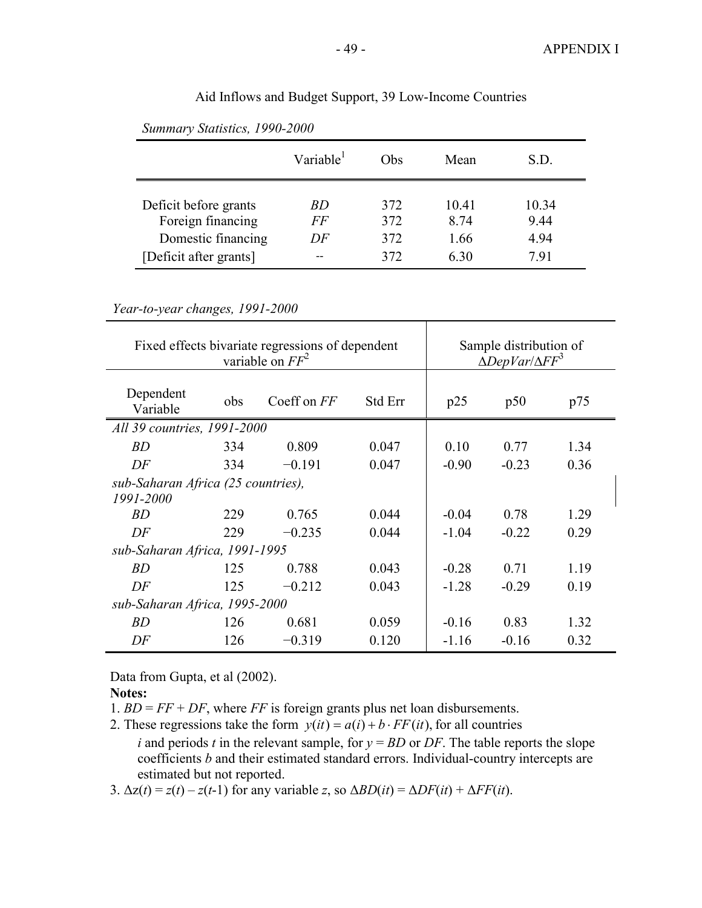| Summary Statistics, 1990-2000                                                              |                       |                          |                               |                               |  |  |  |
|--------------------------------------------------------------------------------------------|-----------------------|--------------------------|-------------------------------|-------------------------------|--|--|--|
|                                                                                            | Variable              | Obs                      | Mean                          | S.D.                          |  |  |  |
| Deficit before grants<br>Foreign financing<br>Domestic financing<br>[Deficit after grants] | <i>BD</i><br>FF<br>DF | 372<br>372<br>372<br>372 | 10.41<br>8.74<br>1.66<br>6.30 | 10.34<br>9.44<br>4.94<br>7.91 |  |  |  |

Aid Inflows and Budget Support, 39 Low-Income Countries

*Summary Statistics, 1990-2000*

*Year-to-year changes, 1991-2000*

| Fixed effects bivariate regressions of dependent | Sample distribution of<br>$\triangle$ DepVar/ $\triangle$ FF <sup>3</sup> |             |         |         |         |      |
|--------------------------------------------------|---------------------------------------------------------------------------|-------------|---------|---------|---------|------|
| Dependent<br>Variable                            | obs                                                                       | Coeff on FF | Std Err | p25     | p50     | p75  |
| All 39 countries, 1991-2000                      |                                                                           |             |         |         |         |      |
| BD                                               | 334                                                                       | 0.809       | 0.047   | 0.10    | 0.77    | 1.34 |
| DF                                               | 334                                                                       | $-0.191$    | 0.047   | $-0.90$ | $-0.23$ | 0.36 |
| sub-Saharan Africa (25 countries),               |                                                                           |             |         |         |         |      |
| 1991-2000                                        |                                                                           |             |         |         |         |      |
| <i>BD</i>                                        | 229                                                                       | 0.765       | 0.044   | $-0.04$ | 0.78    | 1.29 |
| DF                                               | 229                                                                       | $-0.235$    | 0.044   | $-1.04$ | $-0.22$ | 0.29 |
| sub-Saharan Africa, 1991-1995                    |                                                                           |             |         |         |         |      |
| BD                                               | 125                                                                       | 0.788       | 0.043   | $-0.28$ | 0.71    | 1.19 |
| DF                                               | 125                                                                       | $-0.212$    | 0.043   | $-1.28$ | $-0.29$ | 0.19 |
| sub-Saharan Africa, 1995-2000                    |                                                                           |             |         |         |         |      |
| BD                                               | 126                                                                       | 0.681       | 0.059   | $-0.16$ | 0.83    | 1.32 |
| DF                                               | 126                                                                       | $-0.319$    | 0.120   | $-1.16$ | $-0.16$ | 0.32 |

Data from Gupta, et al (2002).

**Notes:**

1.  $BD = FF + DF$ , where *FF* is foreign grants plus net loan disbursements.

2. These regressions take the form  $y(it) = a(i) + b \cdot FF(it)$ , for all countries *i* and periods *t* in the relevant sample, for  $y = BD$  or *DF*. The table reports the slope coefficients *b* and their estimated standard errors. Individual-country intercepts are estimated but not reported.

3. ∆z(*t*) = *z*(*t*) – *z*(*t*-1) for any variable *z*, so ∆*BD*(*it*) = ∆*DF*(*it*) + ∆*FF*(*it*).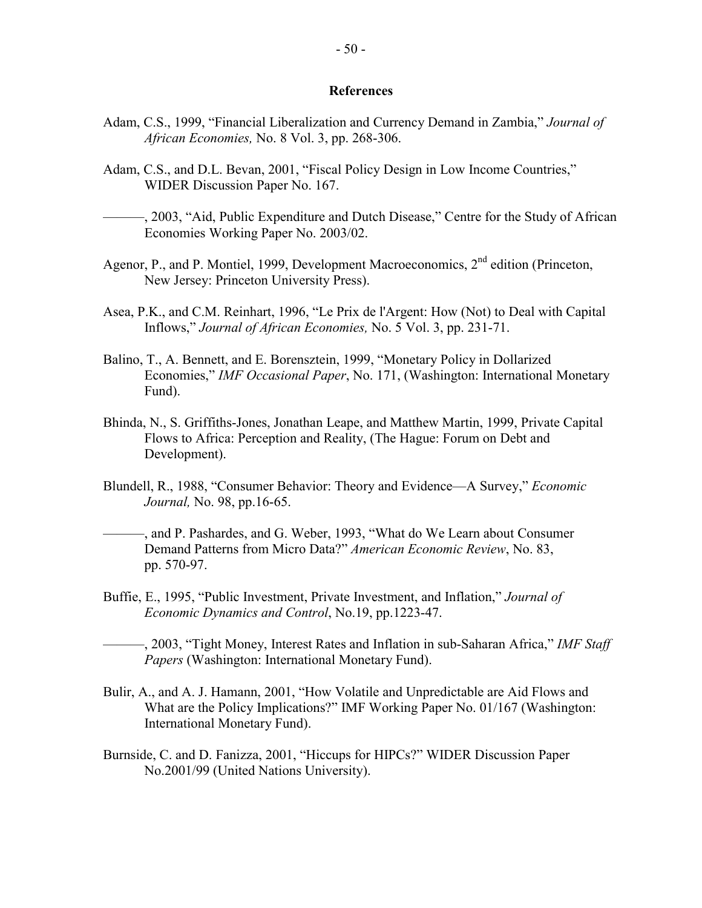#### **References**

- Adam, C.S., 1999, "Financial Liberalization and Currency Demand in Zambia," *Journal of African Economies,* No. 8 Vol. 3, pp. 268-306.
- Adam, C.S., and D.L. Bevan, 2001, "Fiscal Policy Design in Low Income Countries," WIDER Discussion Paper No. 167.
- $-$ , 2003, "Aid, Public Expenditure and Dutch Disease," Centre for the Study of African Economies Working Paper No. 2003/02.
- Agenor, P., and P. Montiel, 1999, Development Macroeconomics, 2<sup>nd</sup> edition (Princeton, New Jersey: Princeton University Press).
- Asea, P.K., and C.M. Reinhart, 1996, "Le Prix de l'Argent: How (Not) to Deal with Capital Inflows," *Journal of African Economies,* No. 5 Vol. 3, pp. 231-71.
- Balino, T., A. Bennett, and E. Borensztein, 1999, "Monetary Policy in Dollarized Economies," *IMF Occasional Paper*, No. 171, (Washington: International Monetary Fund).
- Bhinda, N., S. Griffiths-Jones, Jonathan Leape, and Matthew Martin, 1999, Private Capital Flows to Africa: Perception and Reality, (The Hague: Forum on Debt and Development).
- Blundell, R., 1988, "Consumer Behavior: Theory and Evidence—A Survey," *Economic Journal,* No. 98, pp.16-65.
- ———, and P. Pashardes, and G. Weber, 1993, "What do We Learn about Consumer Demand Patterns from Micro Data?" *American Economic Review*, No. 83, pp. 570-97.
- Buffie, E., 1995, "Public Investment, Private Investment, and Inflation," *Journal of Economic Dynamics and Control*, No.19, pp.1223-47.

———, 2003, "Tight Money, Interest Rates and Inflation in sub-Saharan Africa," *IMF Staff Papers* (Washington: International Monetary Fund).

- Bulir, A., and A. J. Hamann, 2001, "How Volatile and Unpredictable are Aid Flows and What are the Policy Implications?" IMF Working Paper No. 01/167 (Washington: International Monetary Fund).
- Burnside, C. and D. Fanizza, 2001, "Hiccups for HIPCs?" WIDER Discussion Paper No.2001/99 (United Nations University).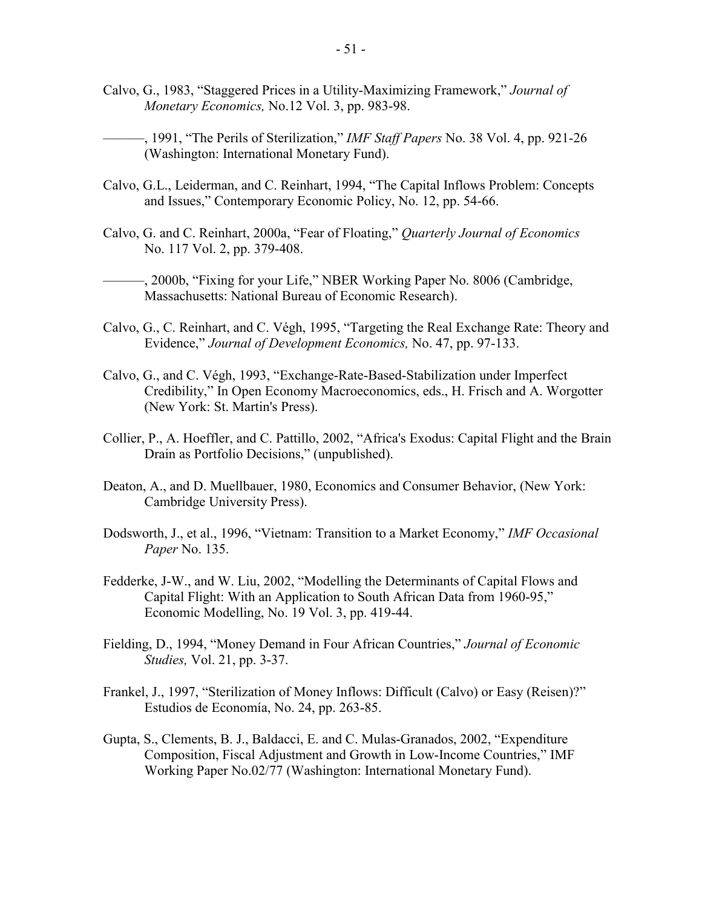- Calvo, G., 1983, "Staggered Prices in a Utility-Maximizing Framework," *Journal of Monetary Economics,* No.12 Vol. 3, pp. 983-98.
	- ———, 1991, "The Perils of Sterilization," *IMF Staff Papers* No. 38 Vol. 4, pp. 921-26 (Washington: International Monetary Fund).
- Calvo, G.L., Leiderman, and C. Reinhart, 1994, "The Capital Inflows Problem: Concepts and Issues," Contemporary Economic Policy, No. 12, pp. 54-66.
- Calvo, G. and C. Reinhart, 2000a, "Fear of Floating," *Quarterly Journal of Economics*  No. 117 Vol. 2, pp. 379-408.
- ———, 2000b, "Fixing for your Life," NBER Working Paper No. 8006 (Cambridge, Massachusetts: National Bureau of Economic Research).
- Calvo, G., C. Reinhart, and C. Végh, 1995, "Targeting the Real Exchange Rate: Theory and Evidence," *Journal of Development Economics,* No. 47, pp. 97-133.
- Calvo, G., and C. Végh, 1993, "Exchange-Rate-Based-Stabilization under Imperfect Credibility," In Open Economy Macroeconomics, eds., H. Frisch and A. Worgotter (New York: St. Martin's Press).
- Collier, P., A. Hoeffler, and C. Pattillo, 2002, "Africa's Exodus: Capital Flight and the Brain Drain as Portfolio Decisions," (unpublished).
- Deaton, A., and D. Muellbauer, 1980, Economics and Consumer Behavior, (New York: Cambridge University Press).
- Dodsworth, J., et al., 1996, "Vietnam: Transition to a Market Economy," *IMF Occasional Paper* No. 135.
- Fedderke, J-W., and W. Liu, 2002, "Modelling the Determinants of Capital Flows and Capital Flight: With an Application to South African Data from 1960-95," Economic Modelling, No. 19 Vol. 3, pp. 419-44.
- Fielding, D., 1994, "Money Demand in Four African Countries," *Journal of Economic Studies,* Vol. 21, pp. 3-37.
- Frankel, J., 1997, "Sterilization of Money Inflows: Difficult (Calvo) or Easy (Reisen)?" Estudios de Economía, No. 24, pp. 263-85.
- Gupta, S., Clements, B. J., Baldacci, E. and C. Mulas-Granados, 2002, "Expenditure Composition, Fiscal Adjustment and Growth in Low-Income Countries," IMF Working Paper No.02/77 (Washington: International Monetary Fund).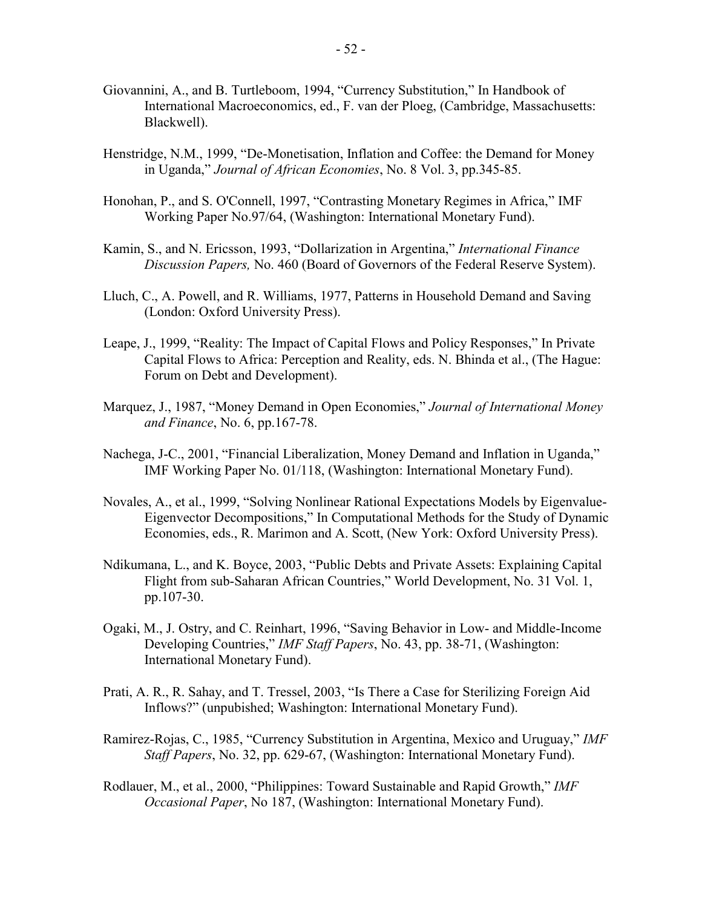- Giovannini, A., and B. Turtleboom, 1994, "Currency Substitution," In Handbook of International Macroeconomics, ed., F. van der Ploeg, (Cambridge, Massachusetts: Blackwell).
- Henstridge, N.M., 1999, "De-Monetisation, Inflation and Coffee: the Demand for Money in Uganda," *Journal of African Economies*, No. 8 Vol. 3, pp.345-85.
- Honohan, P., and S. O'Connell, 1997, "Contrasting Monetary Regimes in Africa," IMF Working Paper No.97/64, (Washington: International Monetary Fund).
- Kamin, S., and N. Ericsson, 1993, "Dollarization in Argentina," *International Finance Discussion Papers,* No. 460 (Board of Governors of the Federal Reserve System).
- Lluch, C., A. Powell, and R. Williams, 1977, Patterns in Household Demand and Saving (London: Oxford University Press).
- Leape, J., 1999, "Reality: The Impact of Capital Flows and Policy Responses," In Private Capital Flows to Africa: Perception and Reality, eds. N. Bhinda et al., (The Hague: Forum on Debt and Development).
- Marquez, J., 1987, "Money Demand in Open Economies," *Journal of International Money and Finance*, No. 6, pp.167-78.
- Nachega, J-C., 2001, "Financial Liberalization, Money Demand and Inflation in Uganda," IMF Working Paper No. 01/118, (Washington: International Monetary Fund).
- Novales, A., et al., 1999, "Solving Nonlinear Rational Expectations Models by Eigenvalue-Eigenvector Decompositions," In Computational Methods for the Study of Dynamic Economies, eds., R. Marimon and A. Scott, (New York: Oxford University Press).
- Ndikumana, L., and K. Boyce, 2003, "Public Debts and Private Assets: Explaining Capital Flight from sub-Saharan African Countries," World Development, No. 31 Vol. 1, pp.107-30.
- Ogaki, M., J. Ostry, and C. Reinhart, 1996, "Saving Behavior in Low- and Middle-Income Developing Countries," *IMF Staff Papers*, No. 43, pp. 38-71, (Washington: International Monetary Fund).
- Prati, A. R., R. Sahay, and T. Tressel, 2003, "Is There a Case for Sterilizing Foreign Aid Inflows?" (unpubished; Washington: International Monetary Fund).
- Ramirez-Rojas, C., 1985, "Currency Substitution in Argentina, Mexico and Uruguay," *IMF Staff Papers*, No. 32, pp. 629-67, (Washington: International Monetary Fund).
- Rodlauer, M., et al., 2000, "Philippines: Toward Sustainable and Rapid Growth," *IMF Occasional Paper*, No 187, (Washington: International Monetary Fund).